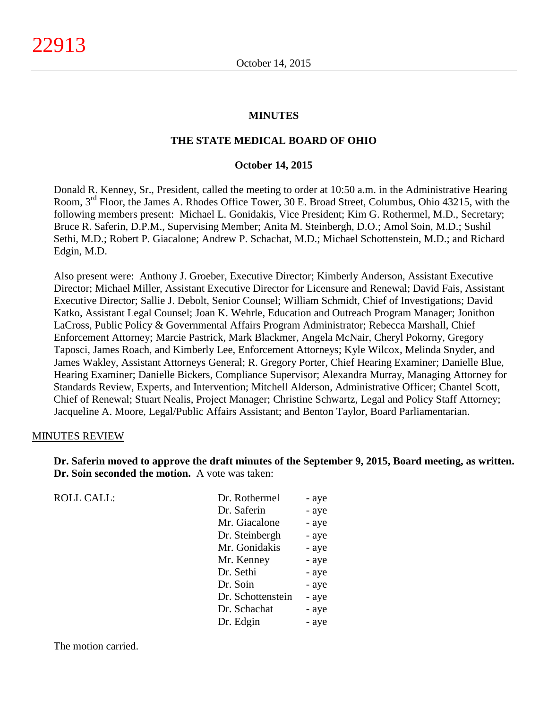#### **MINUTES**

#### **THE STATE MEDICAL BOARD OF OHIO**

#### **October 14, 2015**

Donald R. Kenney, Sr., President, called the meeting to order at 10:50 a.m. in the Administrative Hearing Room, 3rd Floor, the James A. Rhodes Office Tower, 30 E. Broad Street, Columbus, Ohio 43215, with the following members present: Michael L. Gonidakis, Vice President; Kim G. Rothermel, M.D., Secretary; Bruce R. Saferin, D.P.M., Supervising Member; Anita M. Steinbergh, D.O.; Amol Soin, M.D.; Sushil Sethi, M.D.; Robert P. Giacalone; Andrew P. Schachat, M.D.; Michael Schottenstein, M.D.; and Richard Edgin, M.D.

Also present were: Anthony J. Groeber, Executive Director; Kimberly Anderson, Assistant Executive Director; Michael Miller, Assistant Executive Director for Licensure and Renewal; David Fais, Assistant Executive Director; Sallie J. Debolt, Senior Counsel; William Schmidt, Chief of Investigations; David Katko, Assistant Legal Counsel; Joan K. Wehrle, Education and Outreach Program Manager; Jonithon LaCross, Public Policy & Governmental Affairs Program Administrator; Rebecca Marshall, Chief Enforcement Attorney; Marcie Pastrick, Mark Blackmer, Angela McNair, Cheryl Pokorny, Gregory Taposci, James Roach, and Kimberly Lee, Enforcement Attorneys; Kyle Wilcox, Melinda Snyder, and James Wakley, Assistant Attorneys General; R. Gregory Porter, Chief Hearing Examiner; Danielle Blue, Hearing Examiner; Danielle Bickers, Compliance Supervisor; Alexandra Murray, Managing Attorney for Standards Review, Experts, and Intervention; Mitchell Alderson, Administrative Officer; Chantel Scott, Chief of Renewal; Stuart Nealis, Project Manager; Christine Schwartz, Legal and Policy Staff Attorney; Jacqueline A. Moore, Legal/Public Affairs Assistant; and Benton Taylor, Board Parliamentarian.

#### MINUTES REVIEW

**Dr. Saferin moved to approve the draft minutes of the September 9, 2015, Board meeting, as written. Dr. Soin seconded the motion.** A vote was taken:

| <b>ROLL CALL:</b> | Dr. Rothermel     | - aye |
|-------------------|-------------------|-------|
|                   | Dr. Saferin       | - aye |
|                   | Mr. Giacalone     | - aye |
|                   | Dr. Steinbergh    | - aye |
|                   | Mr. Gonidakis     | - aye |
|                   | Mr. Kenney        | - aye |
|                   | Dr. Sethi         | - aye |
|                   | Dr. Soin          | - aye |
|                   | Dr. Schottenstein | - aye |
|                   | Dr. Schachat      | - aye |
|                   | Dr. Edgin         | - aye |
|                   |                   |       |

The motion carried.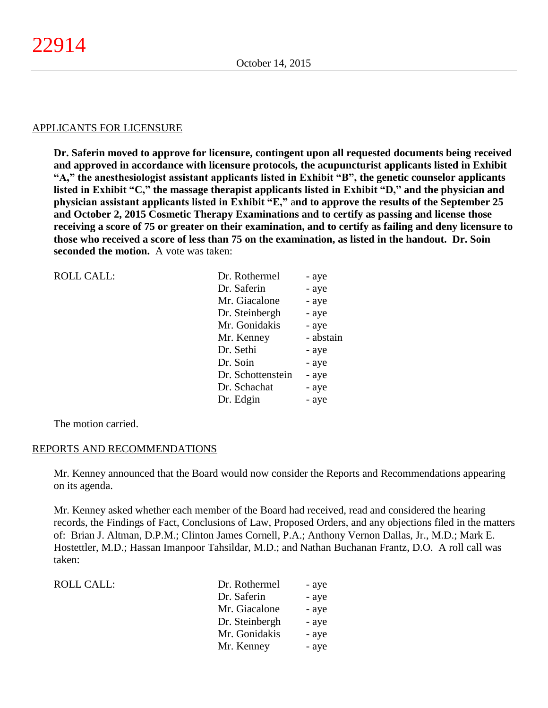#### APPLICANTS FOR LICENSURE

**Dr. Saferin moved to approve for licensure, contingent upon all requested documents being received and approved in accordance with licensure protocols, the acupuncturist applicants listed in Exhibit "A," the anesthesiologist assistant applicants listed in Exhibit "B", the genetic counselor applicants listed in Exhibit "C," the massage therapist applicants listed in Exhibit "D," and the physician and physician assistant applicants listed in Exhibit "E,"** a**nd to approve the results of the September 25 and October 2, 2015 Cosmetic Therapy Examinations and to certify as passing and license those receiving a score of 75 or greater on their examination, and to certify as failing and deny licensure to those who received a score of less than 75 on the examination, as listed in the handout. Dr. Soin seconded the motion.** A vote was taken:

| <b>ROLL CALL:</b> | Dr. Rothermel     | - aye     |
|-------------------|-------------------|-----------|
|                   | Dr. Saferin       | - aye     |
|                   | Mr. Giacalone     | - aye     |
|                   | Dr. Steinbergh    | - aye     |
|                   | Mr. Gonidakis     | - aye     |
|                   | Mr. Kenney        | - abstain |
|                   | Dr. Sethi         | - aye     |
|                   | Dr. Soin          | - aye     |
|                   | Dr. Schottenstein | - aye     |
|                   | Dr. Schachat      | - aye     |
|                   | Dr. Edgin         | - aye     |
|                   |                   |           |

The motion carried.

#### REPORTS AND RECOMMENDATIONS

Mr. Kenney announced that the Board would now consider the Reports and Recommendations appearing on its agenda.

Mr. Kenney asked whether each member of the Board had received, read and considered the hearing records, the Findings of Fact, Conclusions of Law, Proposed Orders, and any objections filed in the matters of: Brian J. Altman, D.P.M.; Clinton James Cornell, P.A.; Anthony Vernon Dallas, Jr., M.D.; Mark E. Hostettler, M.D.; Hassan Imanpoor Tahsildar, M.D.; and Nathan Buchanan Frantz, D.O. A roll call was taken:

| ROLL CALL: | Dr. Rothermel  | - aye |
|------------|----------------|-------|
|            | Dr. Saferin    | - aye |
|            | Mr. Giacalone  | - aye |
|            | Dr. Steinbergh | - aye |
|            | Mr. Gonidakis  | - aye |
|            | Mr. Kenney     | - aye |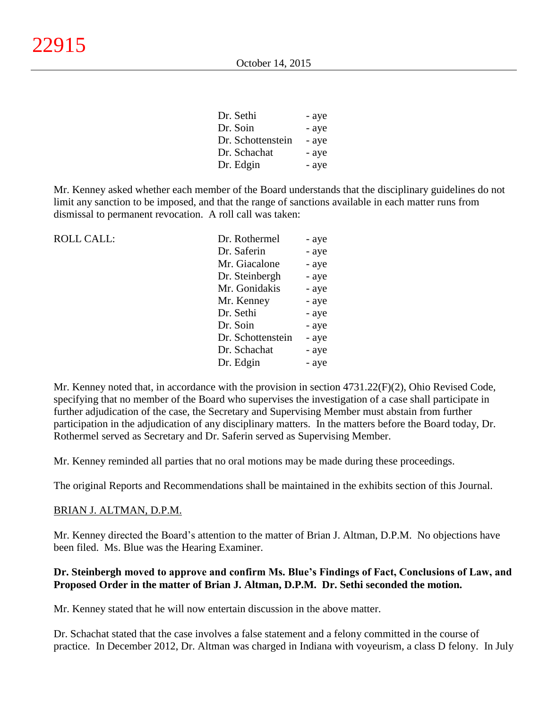| Dr. Sethi         | - aye |
|-------------------|-------|
| Dr. Soin          | - aye |
| Dr. Schottenstein | - aye |
| Dr. Schachat      | - aye |
| Dr. Edgin         | - aye |

Mr. Kenney asked whether each member of the Board understands that the disciplinary guidelines do not limit any sanction to be imposed, and that the range of sanctions available in each matter runs from dismissal to permanent revocation. A roll call was taken:

| <b>ROLL CALL:</b> | Dr. Rothermel     | - aye |
|-------------------|-------------------|-------|
|                   | Dr. Saferin       | - aye |
|                   | Mr. Giacalone     | - aye |
|                   | Dr. Steinbergh    | - aye |
|                   | Mr. Gonidakis     | - aye |
|                   | Mr. Kenney        | - aye |
|                   | Dr. Sethi         | - aye |
|                   | Dr. Soin          | - aye |
|                   | Dr. Schottenstein | - aye |
|                   | Dr. Schachat      | - aye |
|                   | Dr. Edgin         | - aye |
|                   |                   |       |

Mr. Kenney noted that, in accordance with the provision in section 4731.22(F)(2), Ohio Revised Code, specifying that no member of the Board who supervises the investigation of a case shall participate in further adjudication of the case, the Secretary and Supervising Member must abstain from further participation in the adjudication of any disciplinary matters. In the matters before the Board today, Dr. Rothermel served as Secretary and Dr. Saferin served as Supervising Member.

Mr. Kenney reminded all parties that no oral motions may be made during these proceedings.

The original Reports and Recommendations shall be maintained in the exhibits section of this Journal.

# BRIAN J. ALTMAN, D.P.M.

Mr. Kenney directed the Board's attention to the matter of Brian J. Altman, D.P.M. No objections have been filed. Ms. Blue was the Hearing Examiner.

# **Dr. Steinbergh moved to approve and confirm Ms. Blue's Findings of Fact, Conclusions of Law, and Proposed Order in the matter of Brian J. Altman, D.P.M. Dr. Sethi seconded the motion.**

Mr. Kenney stated that he will now entertain discussion in the above matter.

Dr. Schachat stated that the case involves a false statement and a felony committed in the course of practice. In December 2012, Dr. Altman was charged in Indiana with voyeurism, a class D felony. In July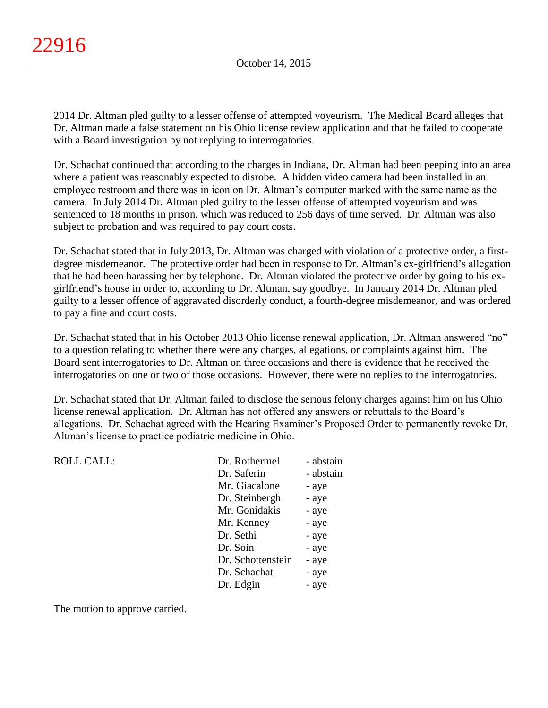2014 Dr. Altman pled guilty to a lesser offense of attempted voyeurism. The Medical Board alleges that Dr. Altman made a false statement on his Ohio license review application and that he failed to cooperate with a Board investigation by not replying to interrogatories.

Dr. Schachat continued that according to the charges in Indiana, Dr. Altman had been peeping into an area where a patient was reasonably expected to disrobe. A hidden video camera had been installed in an employee restroom and there was in icon on Dr. Altman's computer marked with the same name as the camera. In July 2014 Dr. Altman pled guilty to the lesser offense of attempted voyeurism and was sentenced to 18 months in prison, which was reduced to 256 days of time served. Dr. Altman was also subject to probation and was required to pay court costs.

Dr. Schachat stated that in July 2013, Dr. Altman was charged with violation of a protective order, a firstdegree misdemeanor. The protective order had been in response to Dr. Altman's ex-girlfriend's allegation that he had been harassing her by telephone. Dr. Altman violated the protective order by going to his exgirlfriend's house in order to, according to Dr. Altman, say goodbye. In January 2014 Dr. Altman pled guilty to a lesser offence of aggravated disorderly conduct, a fourth-degree misdemeanor, and was ordered to pay a fine and court costs.

Dr. Schachat stated that in his October 2013 Ohio license renewal application, Dr. Altman answered "no" to a question relating to whether there were any charges, allegations, or complaints against him. The Board sent interrogatories to Dr. Altman on three occasions and there is evidence that he received the interrogatories on one or two of those occasions. However, there were no replies to the interrogatories.

Dr. Schachat stated that Dr. Altman failed to disclose the serious felony charges against him on his Ohio license renewal application. Dr. Altman has not offered any answers or rebuttals to the Board's allegations. Dr. Schachat agreed with the Hearing Examiner's Proposed Order to permanently revoke Dr. Altman's license to practice podiatric medicine in Ohio.

| <b>ROLL CALL:</b> | Dr. Rothermel     | - abstain |
|-------------------|-------------------|-----------|
|                   | Dr. Saferin       | - abstain |
|                   | Mr. Giacalone     | - aye     |
|                   | Dr. Steinbergh    | - aye     |
|                   | Mr. Gonidakis     | - aye     |
|                   | Mr. Kenney        | - aye     |
|                   | Dr. Sethi         | - aye     |
|                   | Dr. Soin          | - aye     |
|                   | Dr. Schottenstein | - aye     |
|                   | Dr. Schachat      | - aye     |
|                   | Dr. Edgin         | - aye     |
|                   |                   |           |

The motion to approve carried.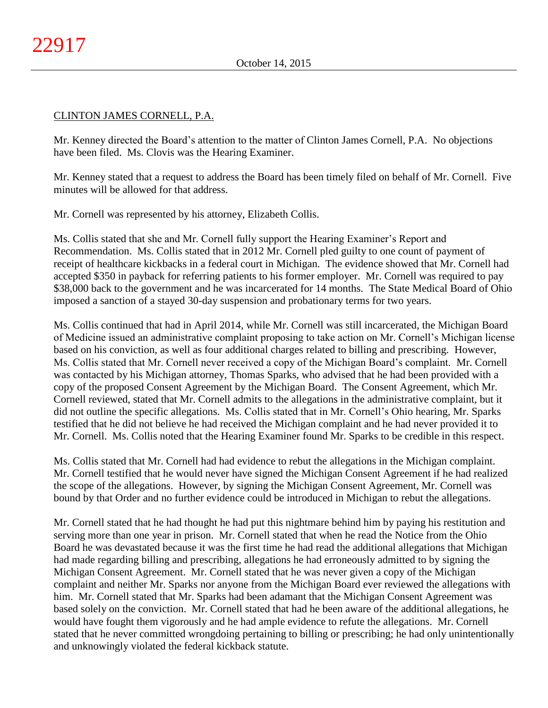# CLINTON JAMES CORNELL, P.A.

Mr. Kenney directed the Board's attention to the matter of Clinton James Cornell, P.A. No objections have been filed. Ms. Clovis was the Hearing Examiner.

Mr. Kenney stated that a request to address the Board has been timely filed on behalf of Mr. Cornell. Five minutes will be allowed for that address.

Mr. Cornell was represented by his attorney, Elizabeth Collis.

Ms. Collis stated that she and Mr. Cornell fully support the Hearing Examiner's Report and Recommendation. Ms. Collis stated that in 2012 Mr. Cornell pled guilty to one count of payment of receipt of healthcare kickbacks in a federal court in Michigan. The evidence showed that Mr. Cornell had accepted \$350 in payback for referring patients to his former employer. Mr. Cornell was required to pay \$38,000 back to the government and he was incarcerated for 14 months. The State Medical Board of Ohio imposed a sanction of a stayed 30-day suspension and probationary terms for two years.

Ms. Collis continued that had in April 2014, while Mr. Cornell was still incarcerated, the Michigan Board of Medicine issued an administrative complaint proposing to take action on Mr. Cornell's Michigan license based on his conviction, as well as four additional charges related to billing and prescribing. However, Ms. Collis stated that Mr. Cornell never received a copy of the Michigan Board's complaint. Mr. Cornell was contacted by his Michigan attorney, Thomas Sparks, who advised that he had been provided with a copy of the proposed Consent Agreement by the Michigan Board. The Consent Agreement, which Mr. Cornell reviewed, stated that Mr. Cornell admits to the allegations in the administrative complaint, but it did not outline the specific allegations. Ms. Collis stated that in Mr. Cornell's Ohio hearing, Mr. Sparks testified that he did not believe he had received the Michigan complaint and he had never provided it to Mr. Cornell. Ms. Collis noted that the Hearing Examiner found Mr. Sparks to be credible in this respect.

Ms. Collis stated that Mr. Cornell had had evidence to rebut the allegations in the Michigan complaint. Mr. Cornell testified that he would never have signed the Michigan Consent Agreement if he had realized the scope of the allegations. However, by signing the Michigan Consent Agreement, Mr. Cornell was bound by that Order and no further evidence could be introduced in Michigan to rebut the allegations.

Mr. Cornell stated that he had thought he had put this nightmare behind him by paying his restitution and serving more than one year in prison. Mr. Cornell stated that when he read the Notice from the Ohio Board he was devastated because it was the first time he had read the additional allegations that Michigan had made regarding billing and prescribing, allegations he had erroneously admitted to by signing the Michigan Consent Agreement. Mr. Cornell stated that he was never given a copy of the Michigan complaint and neither Mr. Sparks nor anyone from the Michigan Board ever reviewed the allegations with him. Mr. Cornell stated that Mr. Sparks had been adamant that the Michigan Consent Agreement was based solely on the conviction. Mr. Cornell stated that had he been aware of the additional allegations, he would have fought them vigorously and he had ample evidence to refute the allegations. Mr. Cornell stated that he never committed wrongdoing pertaining to billing or prescribing; he had only unintentionally and unknowingly violated the federal kickback statute.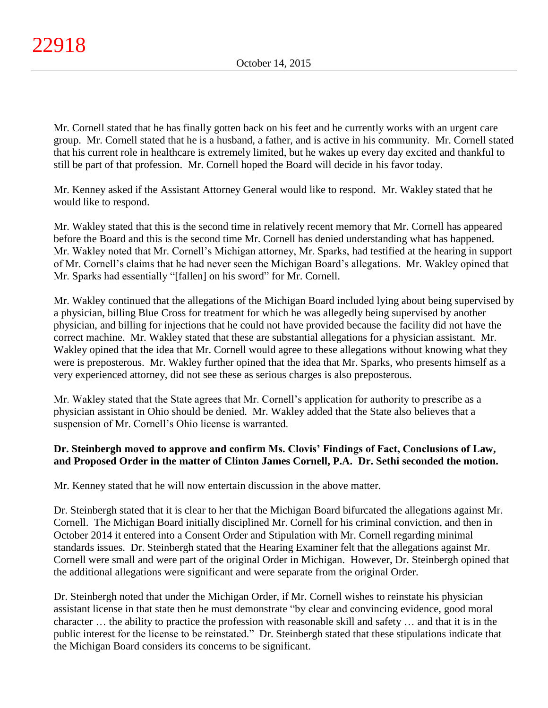Mr. Cornell stated that he has finally gotten back on his feet and he currently works with an urgent care group. Mr. Cornell stated that he is a husband, a father, and is active in his community. Mr. Cornell stated that his current role in healthcare is extremely limited, but he wakes up every day excited and thankful to still be part of that profession. Mr. Cornell hoped the Board will decide in his favor today.

Mr. Kenney asked if the Assistant Attorney General would like to respond. Mr. Wakley stated that he would like to respond.

Mr. Wakley stated that this is the second time in relatively recent memory that Mr. Cornell has appeared before the Board and this is the second time Mr. Cornell has denied understanding what has happened. Mr. Wakley noted that Mr. Cornell's Michigan attorney, Mr. Sparks, had testified at the hearing in support of Mr. Cornell's claims that he had never seen the Michigan Board's allegations. Mr. Wakley opined that Mr. Sparks had essentially "[fallen] on his sword" for Mr. Cornell.

Mr. Wakley continued that the allegations of the Michigan Board included lying about being supervised by a physician, billing Blue Cross for treatment for which he was allegedly being supervised by another physician, and billing for injections that he could not have provided because the facility did not have the correct machine. Mr. Wakley stated that these are substantial allegations for a physician assistant. Mr. Wakley opined that the idea that Mr. Cornell would agree to these allegations without knowing what they were is preposterous. Mr. Wakley further opined that the idea that Mr. Sparks, who presents himself as a very experienced attorney, did not see these as serious charges is also preposterous.

Mr. Wakley stated that the State agrees that Mr. Cornell's application for authority to prescribe as a physician assistant in Ohio should be denied. Mr. Wakley added that the State also believes that a suspension of Mr. Cornell's Ohio license is warranted.

# **Dr. Steinbergh moved to approve and confirm Ms. Clovis' Findings of Fact, Conclusions of Law, and Proposed Order in the matter of Clinton James Cornell, P.A. Dr. Sethi seconded the motion.**

Mr. Kenney stated that he will now entertain discussion in the above matter.

Dr. Steinbergh stated that it is clear to her that the Michigan Board bifurcated the allegations against Mr. Cornell. The Michigan Board initially disciplined Mr. Cornell for his criminal conviction, and then in October 2014 it entered into a Consent Order and Stipulation with Mr. Cornell regarding minimal standards issues. Dr. Steinbergh stated that the Hearing Examiner felt that the allegations against Mr. Cornell were small and were part of the original Order in Michigan. However, Dr. Steinbergh opined that the additional allegations were significant and were separate from the original Order.

Dr. Steinbergh noted that under the Michigan Order, if Mr. Cornell wishes to reinstate his physician assistant license in that state then he must demonstrate "by clear and convincing evidence, good moral character … the ability to practice the profession with reasonable skill and safety … and that it is in the public interest for the license to be reinstated." Dr. Steinbergh stated that these stipulations indicate that the Michigan Board considers its concerns to be significant.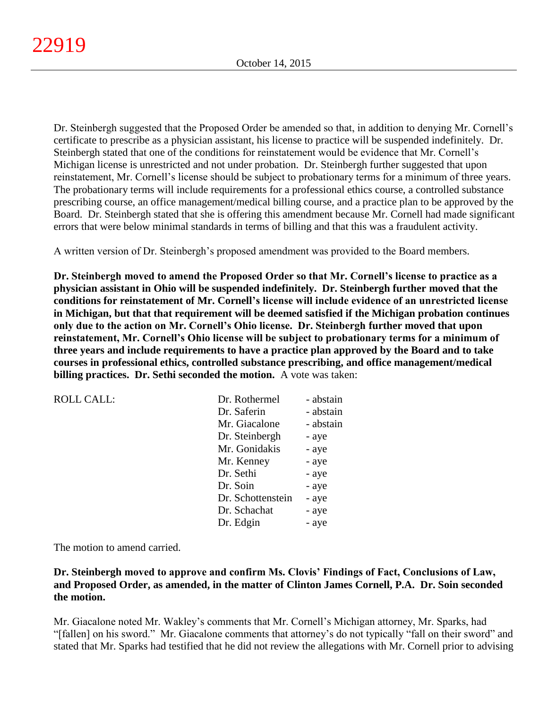Dr. Steinbergh suggested that the Proposed Order be amended so that, in addition to denying Mr. Cornell's certificate to prescribe as a physician assistant, his license to practice will be suspended indefinitely. Dr. Steinbergh stated that one of the conditions for reinstatement would be evidence that Mr. Cornell's Michigan license is unrestricted and not under probation. Dr. Steinbergh further suggested that upon reinstatement, Mr. Cornell's license should be subject to probationary terms for a minimum of three years. The probationary terms will include requirements for a professional ethics course, a controlled substance prescribing course, an office management/medical billing course, and a practice plan to be approved by the Board. Dr. Steinbergh stated that she is offering this amendment because Mr. Cornell had made significant errors that were below minimal standards in terms of billing and that this was a fraudulent activity.

A written version of Dr. Steinbergh's proposed amendment was provided to the Board members.

**Dr. Steinbergh moved to amend the Proposed Order so that Mr. Cornell's license to practice as a physician assistant in Ohio will be suspended indefinitely. Dr. Steinbergh further moved that the conditions for reinstatement of Mr. Cornell's license will include evidence of an unrestricted license in Michigan, but that that requirement will be deemed satisfied if the Michigan probation continues only due to the action on Mr. Cornell's Ohio license. Dr. Steinbergh further moved that upon reinstatement, Mr. Cornell's Ohio license will be subject to probationary terms for a minimum of three years and include requirements to have a practice plan approved by the Board and to take courses in professional ethics, controlled substance prescribing, and office management/medical billing practices. Dr. Sethi seconded the motion.** A vote was taken:

| <b>ROLL CALL:</b> | Dr. Rothermel     | - abstain |
|-------------------|-------------------|-----------|
|                   | Dr. Saferin       | - abstain |
|                   | Mr. Giacalone     | - abstain |
|                   | Dr. Steinbergh    | - aye     |
|                   | Mr. Gonidakis     | - aye     |
|                   | Mr. Kenney        | - aye     |
|                   | Dr. Sethi         | - aye     |
|                   | Dr. Soin          | - aye     |
|                   | Dr. Schottenstein | - aye     |
|                   | Dr. Schachat      | - aye     |
|                   | Dr. Edgin         | - aye     |

The motion to amend carried.

# **Dr. Steinbergh moved to approve and confirm Ms. Clovis' Findings of Fact, Conclusions of Law, and Proposed Order, as amended, in the matter of Clinton James Cornell, P.A. Dr. Soin seconded the motion.**

Mr. Giacalone noted Mr. Wakley's comments that Mr. Cornell's Michigan attorney, Mr. Sparks, had "[fallen] on his sword." Mr. Giacalone comments that attorney's do not typically "fall on their sword" and stated that Mr. Sparks had testified that he did not review the allegations with Mr. Cornell prior to advising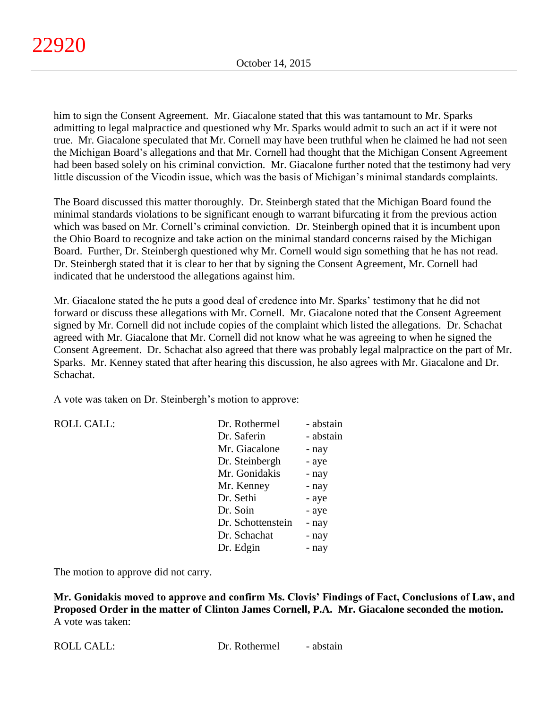him to sign the Consent Agreement. Mr. Giacalone stated that this was tantamount to Mr. Sparks admitting to legal malpractice and questioned why Mr. Sparks would admit to such an act if it were not true. Mr. Giacalone speculated that Mr. Cornell may have been truthful when he claimed he had not seen the Michigan Board's allegations and that Mr. Cornell had thought that the Michigan Consent Agreement had been based solely on his criminal conviction. Mr. Giacalone further noted that the testimony had very little discussion of the Vicodin issue, which was the basis of Michigan's minimal standards complaints.

The Board discussed this matter thoroughly. Dr. Steinbergh stated that the Michigan Board found the minimal standards violations to be significant enough to warrant bifurcating it from the previous action which was based on Mr. Cornell's criminal conviction. Dr. Steinbergh opined that it is incumbent upon the Ohio Board to recognize and take action on the minimal standard concerns raised by the Michigan Board. Further, Dr. Steinbergh questioned why Mr. Cornell would sign something that he has not read. Dr. Steinbergh stated that it is clear to her that by signing the Consent Agreement, Mr. Cornell had indicated that he understood the allegations against him.

Mr. Giacalone stated the he puts a good deal of credence into Mr. Sparks' testimony that he did not forward or discuss these allegations with Mr. Cornell. Mr. Giacalone noted that the Consent Agreement signed by Mr. Cornell did not include copies of the complaint which listed the allegations. Dr. Schachat agreed with Mr. Giacalone that Mr. Cornell did not know what he was agreeing to when he signed the Consent Agreement. Dr. Schachat also agreed that there was probably legal malpractice on the part of Mr. Sparks. Mr. Kenney stated that after hearing this discussion, he also agrees with Mr. Giacalone and Dr. Schachat.

A vote was taken on Dr. Steinbergh's motion to approve:

| <b>ROLL CALL:</b> | Dr. Rothermel     | - abstain |
|-------------------|-------------------|-----------|
|                   | Dr. Saferin       | - abstain |
|                   | Mr. Giacalone     | - nay     |
|                   | Dr. Steinbergh    | - aye     |
|                   | Mr. Gonidakis     | - nay     |
|                   | Mr. Kenney        | - nay     |
|                   | Dr. Sethi         | - aye     |
|                   | Dr. Soin          | - aye     |
|                   | Dr. Schottenstein | - nay     |
|                   | Dr. Schachat      | - nay     |
|                   | Dr. Edgin         | - nay     |
|                   |                   |           |

The motion to approve did not carry.

**Mr. Gonidakis moved to approve and confirm Ms. Clovis' Findings of Fact, Conclusions of Law, and Proposed Order in the matter of Clinton James Cornell, P.A. Mr. Giacalone seconded the motion.** A vote was taken: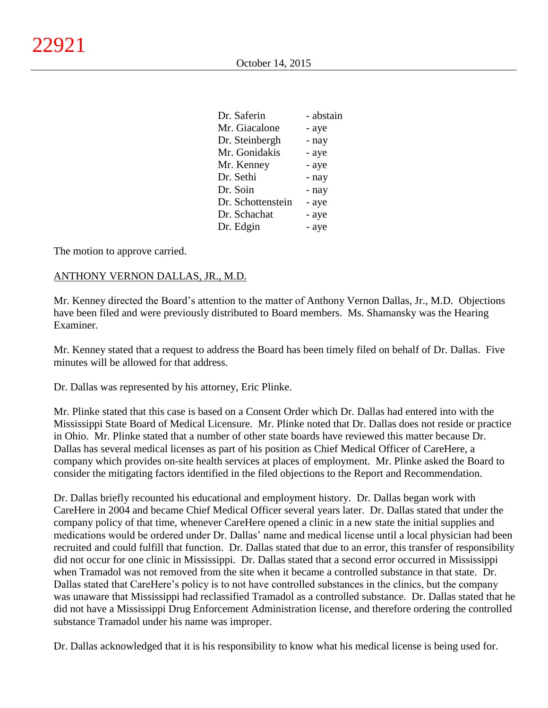| Dr. Saferin       | - abstain |
|-------------------|-----------|
| Mr. Giacalone     | - aye     |
| Dr. Steinbergh    | - nay     |
| Mr. Gonidakis     | - aye     |
| Mr. Kenney        | - aye     |
| Dr. Sethi         | - nay     |
| Dr. Soin          | - nay     |
| Dr. Schottenstein | - aye     |
| Dr. Schachat      | - aye     |
| Dr. Edgin         | - aye     |

The motion to approve carried.

#### ANTHONY VERNON DALLAS, JR., M.D.

Mr. Kenney directed the Board's attention to the matter of Anthony Vernon Dallas, Jr., M.D. Objections have been filed and were previously distributed to Board members. Ms. Shamansky was the Hearing Examiner.

Mr. Kenney stated that a request to address the Board has been timely filed on behalf of Dr. Dallas. Five minutes will be allowed for that address.

Dr. Dallas was represented by his attorney, Eric Plinke.

Mr. Plinke stated that this case is based on a Consent Order which Dr. Dallas had entered into with the Mississippi State Board of Medical Licensure. Mr. Plinke noted that Dr. Dallas does not reside or practice in Ohio. Mr. Plinke stated that a number of other state boards have reviewed this matter because Dr. Dallas has several medical licenses as part of his position as Chief Medical Officer of CareHere, a company which provides on-site health services at places of employment. Mr. Plinke asked the Board to consider the mitigating factors identified in the filed objections to the Report and Recommendation.

Dr. Dallas briefly recounted his educational and employment history. Dr. Dallas began work with CareHere in 2004 and became Chief Medical Officer several years later. Dr. Dallas stated that under the company policy of that time, whenever CareHere opened a clinic in a new state the initial supplies and medications would be ordered under Dr. Dallas' name and medical license until a local physician had been recruited and could fulfill that function. Dr. Dallas stated that due to an error, this transfer of responsibility did not occur for one clinic in Mississippi. Dr. Dallas stated that a second error occurred in Mississippi when Tramadol was not removed from the site when it became a controlled substance in that state. Dr. Dallas stated that CareHere's policy is to not have controlled substances in the clinics, but the company was unaware that Mississippi had reclassified Tramadol as a controlled substance. Dr. Dallas stated that he did not have a Mississippi Drug Enforcement Administration license, and therefore ordering the controlled substance Tramadol under his name was improper.

Dr. Dallas acknowledged that it is his responsibility to know what his medical license is being used for.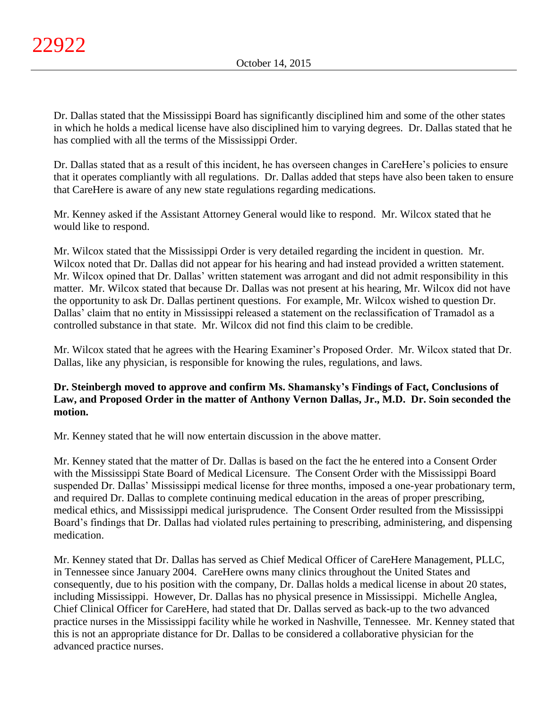Dr. Dallas stated that the Mississippi Board has significantly disciplined him and some of the other states in which he holds a medical license have also disciplined him to varying degrees. Dr. Dallas stated that he has complied with all the terms of the Mississippi Order.

Dr. Dallas stated that as a result of this incident, he has overseen changes in CareHere's policies to ensure that it operates compliantly with all regulations. Dr. Dallas added that steps have also been taken to ensure that CareHere is aware of any new state regulations regarding medications.

Mr. Kenney asked if the Assistant Attorney General would like to respond. Mr. Wilcox stated that he would like to respond.

Mr. Wilcox stated that the Mississippi Order is very detailed regarding the incident in question. Mr. Wilcox noted that Dr. Dallas did not appear for his hearing and had instead provided a written statement. Mr. Wilcox opined that Dr. Dallas' written statement was arrogant and did not admit responsibility in this matter. Mr. Wilcox stated that because Dr. Dallas was not present at his hearing, Mr. Wilcox did not have the opportunity to ask Dr. Dallas pertinent questions. For example, Mr. Wilcox wished to question Dr. Dallas' claim that no entity in Mississippi released a statement on the reclassification of Tramadol as a controlled substance in that state. Mr. Wilcox did not find this claim to be credible.

Mr. Wilcox stated that he agrees with the Hearing Examiner's Proposed Order. Mr. Wilcox stated that Dr. Dallas, like any physician, is responsible for knowing the rules, regulations, and laws.

# **Dr. Steinbergh moved to approve and confirm Ms. Shamansky's Findings of Fact, Conclusions of Law, and Proposed Order in the matter of Anthony Vernon Dallas, Jr., M.D. Dr. Soin seconded the motion.**

Mr. Kenney stated that he will now entertain discussion in the above matter.

Mr. Kenney stated that the matter of Dr. Dallas is based on the fact the he entered into a Consent Order with the Mississippi State Board of Medical Licensure. The Consent Order with the Mississippi Board suspended Dr. Dallas' Mississippi medical license for three months, imposed a one-year probationary term, and required Dr. Dallas to complete continuing medical education in the areas of proper prescribing, medical ethics, and Mississippi medical jurisprudence. The Consent Order resulted from the Mississippi Board's findings that Dr. Dallas had violated rules pertaining to prescribing, administering, and dispensing medication.

Mr. Kenney stated that Dr. Dallas has served as Chief Medical Officer of CareHere Management, PLLC, in Tennessee since January 2004. CareHere owns many clinics throughout the United States and consequently, due to his position with the company, Dr. Dallas holds a medical license in about 20 states, including Mississippi. However, Dr. Dallas has no physical presence in Mississippi. Michelle Anglea, Chief Clinical Officer for CareHere, had stated that Dr. Dallas served as back-up to the two advanced practice nurses in the Mississippi facility while he worked in Nashville, Tennessee. Mr. Kenney stated that this is not an appropriate distance for Dr. Dallas to be considered a collaborative physician for the advanced practice nurses.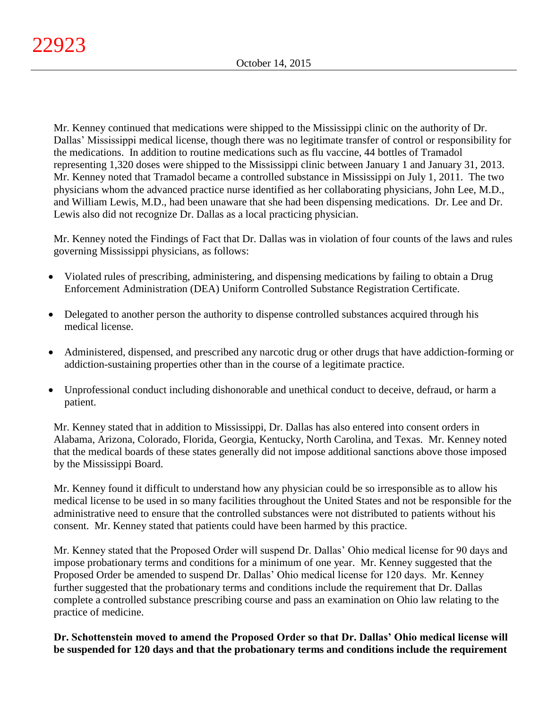Mr. Kenney continued that medications were shipped to the Mississippi clinic on the authority of Dr. Dallas' Mississippi medical license, though there was no legitimate transfer of control or responsibility for the medications. In addition to routine medications such as flu vaccine, 44 bottles of Tramadol representing 1,320 doses were shipped to the Mississippi clinic between January 1 and January 31, 2013. Mr. Kenney noted that Tramadol became a controlled substance in Mississippi on July 1, 2011. The two physicians whom the advanced practice nurse identified as her collaborating physicians, John Lee, M.D., and William Lewis, M.D., had been unaware that she had been dispensing medications. Dr. Lee and Dr. Lewis also did not recognize Dr. Dallas as a local practicing physician.

Mr. Kenney noted the Findings of Fact that Dr. Dallas was in violation of four counts of the laws and rules governing Mississippi physicians, as follows:

- Violated rules of prescribing, administering, and dispensing medications by failing to obtain a Drug Enforcement Administration (DEA) Uniform Controlled Substance Registration Certificate.
- Delegated to another person the authority to dispense controlled substances acquired through his medical license.
- Administered, dispensed, and prescribed any narcotic drug or other drugs that have addiction-forming or addiction-sustaining properties other than in the course of a legitimate practice.
- Unprofessional conduct including dishonorable and unethical conduct to deceive, defraud, or harm a patient.

Mr. Kenney stated that in addition to Mississippi, Dr. Dallas has also entered into consent orders in Alabama, Arizona, Colorado, Florida, Georgia, Kentucky, North Carolina, and Texas. Mr. Kenney noted that the medical boards of these states generally did not impose additional sanctions above those imposed by the Mississippi Board.

Mr. Kenney found it difficult to understand how any physician could be so irresponsible as to allow his medical license to be used in so many facilities throughout the United States and not be responsible for the administrative need to ensure that the controlled substances were not distributed to patients without his consent. Mr. Kenney stated that patients could have been harmed by this practice.

Mr. Kenney stated that the Proposed Order will suspend Dr. Dallas' Ohio medical license for 90 days and impose probationary terms and conditions for a minimum of one year. Mr. Kenney suggested that the Proposed Order be amended to suspend Dr. Dallas' Ohio medical license for 120 days. Mr. Kenney further suggested that the probationary terms and conditions include the requirement that Dr. Dallas complete a controlled substance prescribing course and pass an examination on Ohio law relating to the practice of medicine.

**Dr. Schottenstein moved to amend the Proposed Order so that Dr. Dallas' Ohio medical license will be suspended for 120 days and that the probationary terms and conditions include the requirement**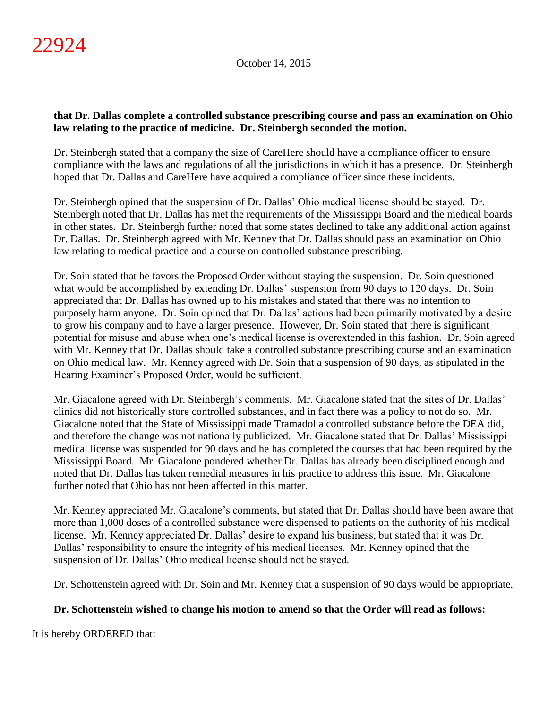# **that Dr. Dallas complete a controlled substance prescribing course and pass an examination on Ohio law relating to the practice of medicine. Dr. Steinbergh seconded the motion.**

Dr. Steinbergh stated that a company the size of CareHere should have a compliance officer to ensure compliance with the laws and regulations of all the jurisdictions in which it has a presence. Dr. Steinbergh hoped that Dr. Dallas and CareHere have acquired a compliance officer since these incidents.

Dr. Steinbergh opined that the suspension of Dr. Dallas' Ohio medical license should be stayed. Dr. Steinbergh noted that Dr. Dallas has met the requirements of the Mississippi Board and the medical boards in other states. Dr. Steinbergh further noted that some states declined to take any additional action against Dr. Dallas. Dr. Steinbergh agreed with Mr. Kenney that Dr. Dallas should pass an examination on Ohio law relating to medical practice and a course on controlled substance prescribing.

Dr. Soin stated that he favors the Proposed Order without staying the suspension. Dr. Soin questioned what would be accomplished by extending Dr. Dallas' suspension from 90 days to 120 days. Dr. Soin appreciated that Dr. Dallas has owned up to his mistakes and stated that there was no intention to purposely harm anyone. Dr. Soin opined that Dr. Dallas' actions had been primarily motivated by a desire to grow his company and to have a larger presence. However, Dr. Soin stated that there is significant potential for misuse and abuse when one's medical license is overextended in this fashion. Dr. Soin agreed with Mr. Kenney that Dr. Dallas should take a controlled substance prescribing course and an examination on Ohio medical law. Mr. Kenney agreed with Dr. Soin that a suspension of 90 days, as stipulated in the Hearing Examiner's Proposed Order, would be sufficient.

Mr. Giacalone agreed with Dr. Steinbergh's comments. Mr. Giacalone stated that the sites of Dr. Dallas' clinics did not historically store controlled substances, and in fact there was a policy to not do so. Mr. Giacalone noted that the State of Mississippi made Tramadol a controlled substance before the DEA did, and therefore the change was not nationally publicized. Mr. Giacalone stated that Dr. Dallas' Mississippi medical license was suspended for 90 days and he has completed the courses that had been required by the Mississippi Board. Mr. Giacalone pondered whether Dr. Dallas has already been disciplined enough and noted that Dr. Dallas has taken remedial measures in his practice to address this issue. Mr. Giacalone further noted that Ohio has not been affected in this matter.

Mr. Kenney appreciated Mr. Giacalone's comments, but stated that Dr. Dallas should have been aware that more than 1,000 doses of a controlled substance were dispensed to patients on the authority of his medical license. Mr. Kenney appreciated Dr. Dallas' desire to expand his business, but stated that it was Dr. Dallas' responsibility to ensure the integrity of his medical licenses. Mr. Kenney opined that the suspension of Dr. Dallas' Ohio medical license should not be stayed.

Dr. Schottenstein agreed with Dr. Soin and Mr. Kenney that a suspension of 90 days would be appropriate.

# **Dr. Schottenstein wished to change his motion to amend so that the Order will read as follows:**

It is hereby ORDERED that: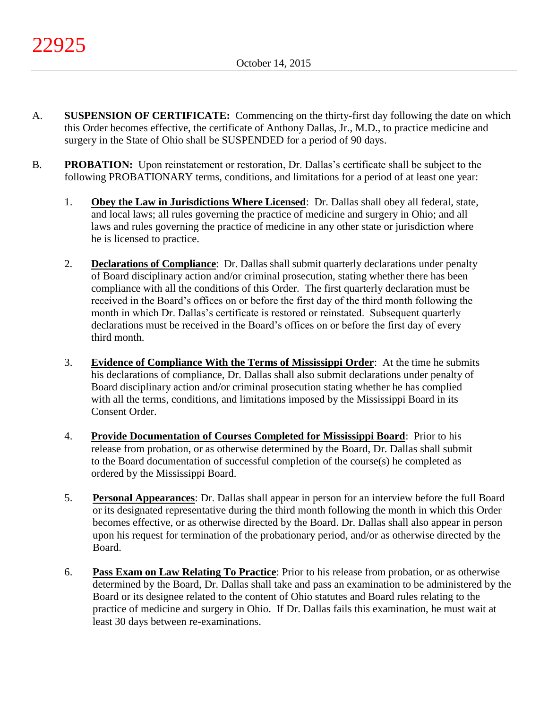- A. **SUSPENSION OF CERTIFICATE:** Commencing on the thirty-first day following the date on which this Order becomes effective, the certificate of Anthony Dallas, Jr., M.D., to practice medicine and surgery in the State of Ohio shall be SUSPENDED for a period of 90 days.
- B. **PROBATION:** Upon reinstatement or restoration, Dr. Dallas's certificate shall be subject to the following PROBATIONARY terms, conditions, and limitations for a period of at least one year:
	- 1. **Obey the Law in Jurisdictions Where Licensed**: Dr. Dallas shall obey all federal, state, and local laws; all rules governing the practice of medicine and surgery in Ohio; and all laws and rules governing the practice of medicine in any other state or jurisdiction where he is licensed to practice.
	- 2. **Declarations of Compliance**: Dr. Dallas shall submit quarterly declarations under penalty of Board disciplinary action and/or criminal prosecution, stating whether there has been compliance with all the conditions of this Order. The first quarterly declaration must be received in the Board's offices on or before the first day of the third month following the month in which Dr. Dallas's certificate is restored or reinstated. Subsequent quarterly declarations must be received in the Board's offices on or before the first day of every third month.
	- 3. **Evidence of Compliance With the Terms of Mississippi Order**: At the time he submits his declarations of compliance, Dr. Dallas shall also submit declarations under penalty of Board disciplinary action and/or criminal prosecution stating whether he has complied with all the terms, conditions, and limitations imposed by the Mississippi Board in its Consent Order.
	- 4. **Provide Documentation of Courses Completed for Mississippi Board**: Prior to his release from probation, or as otherwise determined by the Board, Dr. Dallas shall submit to the Board documentation of successful completion of the course(s) he completed as ordered by the Mississippi Board.
	- 5. **Personal Appearances**: Dr. Dallas shall appear in person for an interview before the full Board or its designated representative during the third month following the month in which this Order becomes effective, or as otherwise directed by the Board. Dr. Dallas shall also appear in person upon his request for termination of the probationary period, and/or as otherwise directed by the Board.
	- 6. **Pass Exam on Law Relating To Practice**: Prior to his release from probation, or as otherwise determined by the Board, Dr. Dallas shall take and pass an examination to be administered by the Board or its designee related to the content of Ohio statutes and Board rules relating to the practice of medicine and surgery in Ohio. If Dr. Dallas fails this examination, he must wait at least 30 days between re-examinations.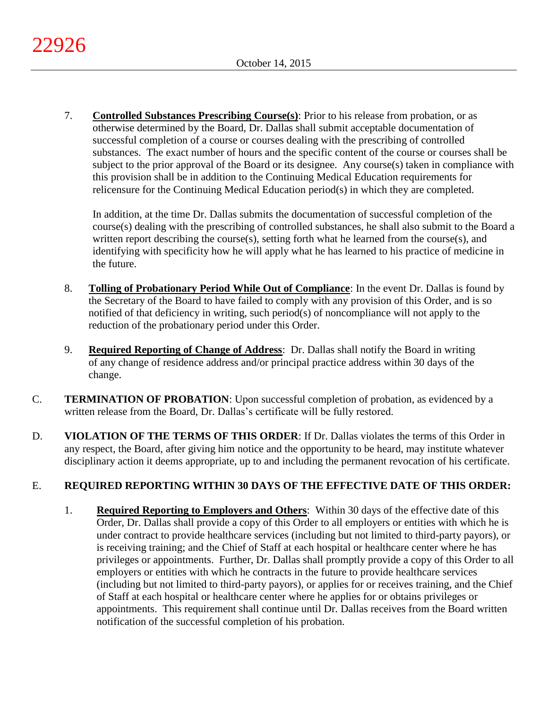7. **Controlled Substances Prescribing Course(s)**: Prior to his release from probation, or as otherwise determined by the Board, Dr. Dallas shall submit acceptable documentation of successful completion of a course or courses dealing with the prescribing of controlled substances. The exact number of hours and the specific content of the course or courses shall be subject to the prior approval of the Board or its designee. Any course(s) taken in compliance with this provision shall be in addition to the Continuing Medical Education requirements for relicensure for the Continuing Medical Education period(s) in which they are completed.

In addition, at the time Dr. Dallas submits the documentation of successful completion of the course(s) dealing with the prescribing of controlled substances, he shall also submit to the Board a written report describing the course(s), setting forth what he learned from the course(s), and identifying with specificity how he will apply what he has learned to his practice of medicine in the future.

- 8. **Tolling of Probationary Period While Out of Compliance**: In the event Dr. Dallas is found by the Secretary of the Board to have failed to comply with any provision of this Order, and is so notified of that deficiency in writing, such period(s) of noncompliance will not apply to the reduction of the probationary period under this Order.
- 9. **Required Reporting of Change of Address**: Dr. Dallas shall notify the Board in writing of any change of residence address and/or principal practice address within 30 days of the change.
- C. **TERMINATION OF PROBATION**: Upon successful completion of probation, as evidenced by a written release from the Board, Dr. Dallas's certificate will be fully restored.
- D. **VIOLATION OF THE TERMS OF THIS ORDER**: If Dr. Dallas violates the terms of this Order in any respect, the Board, after giving him notice and the opportunity to be heard, may institute whatever disciplinary action it deems appropriate, up to and including the permanent revocation of his certificate.

# E. **REQUIRED REPORTING WITHIN 30 DAYS OF THE EFFECTIVE DATE OF THIS ORDER:**

1. **Required Reporting to Employers and Others**: Within 30 days of the effective date of this Order, Dr. Dallas shall provide a copy of this Order to all employers or entities with which he is under contract to provide healthcare services (including but not limited to third-party payors), or is receiving training; and the Chief of Staff at each hospital or healthcare center where he has privileges or appointments. Further, Dr. Dallas shall promptly provide a copy of this Order to all employers or entities with which he contracts in the future to provide healthcare services (including but not limited to third-party payors), or applies for or receives training, and the Chief of Staff at each hospital or healthcare center where he applies for or obtains privileges or appointments. This requirement shall continue until Dr. Dallas receives from the Board written notification of the successful completion of his probation.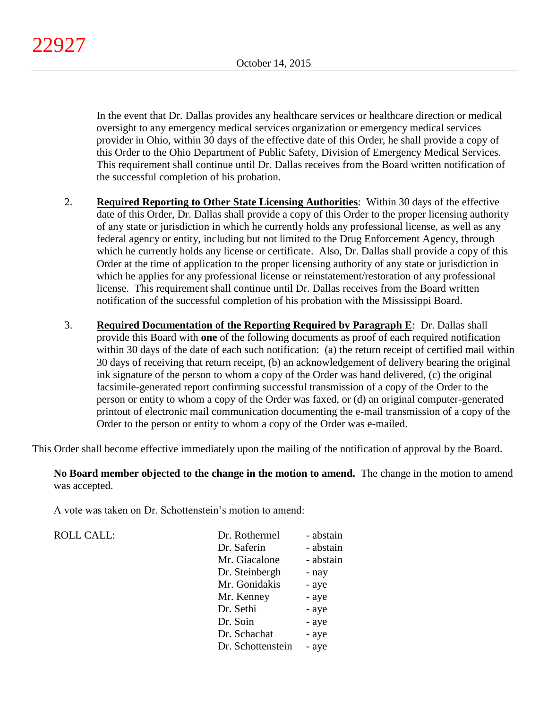In the event that Dr. Dallas provides any healthcare services or healthcare direction or medical oversight to any emergency medical services organization or emergency medical services provider in Ohio, within 30 days of the effective date of this Order, he shall provide a copy of this Order to the Ohio Department of Public Safety, Division of Emergency Medical Services. This requirement shall continue until Dr. Dallas receives from the Board written notification of the successful completion of his probation.

- 2. **Required Reporting to Other State Licensing Authorities**: Within 30 days of the effective date of this Order, Dr. Dallas shall provide a copy of this Order to the proper licensing authority of any state or jurisdiction in which he currently holds any professional license, as well as any federal agency or entity, including but not limited to the Drug Enforcement Agency, through which he currently holds any license or certificate. Also, Dr. Dallas shall provide a copy of this Order at the time of application to the proper licensing authority of any state or jurisdiction in which he applies for any professional license or reinstatement/restoration of any professional license. This requirement shall continue until Dr. Dallas receives from the Board written notification of the successful completion of his probation with the Mississippi Board.
- 3. **Required Documentation of the Reporting Required by Paragraph E**: Dr. Dallas shall provide this Board with **one** of the following documents as proof of each required notification within 30 days of the date of each such notification: (a) the return receipt of certified mail within 30 days of receiving that return receipt, (b) an acknowledgement of delivery bearing the original ink signature of the person to whom a copy of the Order was hand delivered, (c) the original facsimile-generated report confirming successful transmission of a copy of the Order to the person or entity to whom a copy of the Order was faxed, or (d) an original computer-generated printout of electronic mail communication documenting the e-mail transmission of a copy of the Order to the person or entity to whom a copy of the Order was e-mailed.

This Order shall become effective immediately upon the mailing of the notification of approval by the Board.

**No Board member objected to the change in the motion to amend.** The change in the motion to amend was accepted.

A vote was taken on Dr. Schottenstein's motion to amend:

ROLL CALL:

| Dr. Rothermel     | - abstain |
|-------------------|-----------|
| Dr. Saferin       | - abstain |
| Mr. Giacalone     | - abstain |
| Dr. Steinbergh    | - nay     |
| Mr. Gonidakis     | - aye     |
| Mr. Kenney        | - aye     |
| Dr. Sethi         | - aye     |
| Dr. Soin          | - aye     |
| Dr. Schachat      | - aye     |
| Dr. Schottenstein | - aye     |
|                   |           |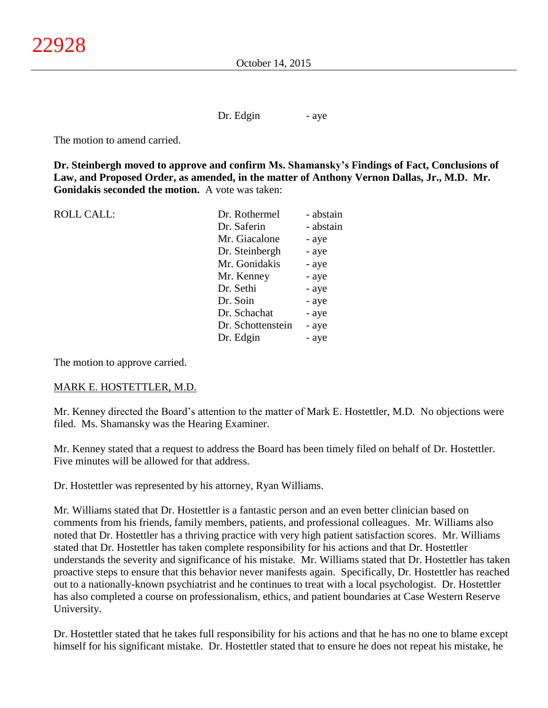Dr. Edgin - aye

The motion to amend carried.

**Dr. Steinbergh moved to approve and confirm Ms. Shamansky's Findings of Fact, Conclusions of Law, and Proposed Order, as amended, in the matter of Anthony Vernon Dallas, Jr., M.D. Mr. Gonidakis seconded the motion.** A vote was taken:

| <b>ROLL CALL:</b> | Dr. Rothermel     | - abstain |
|-------------------|-------------------|-----------|
|                   | Dr. Saferin       | - abstain |
|                   | Mr. Giacalone     | - aye     |
|                   | Dr. Steinbergh    | - aye     |
|                   | Mr. Gonidakis     | - aye     |
|                   | Mr. Kenney        | - aye     |
|                   | Dr. Sethi         | - aye     |
|                   | Dr. Soin          | - aye     |
|                   | Dr. Schachat      | - aye     |
|                   | Dr. Schottenstein | - aye     |
|                   | Dr. Edgin         | - aye     |
|                   |                   |           |

The motion to approve carried.

# MARK E. HOSTETTLER, M.D.

Mr. Kenney directed the Board's attention to the matter of Mark E. Hostettler, M.D. No objections were filed. Ms. Shamansky was the Hearing Examiner.

Mr. Kenney stated that a request to address the Board has been timely filed on behalf of Dr. Hostettler. Five minutes will be allowed for that address.

Dr. Hostettler was represented by his attorney, Ryan Williams.

Mr. Williams stated that Dr. Hostettler is a fantastic person and an even better clinician based on comments from his friends, family members, patients, and professional colleagues. Mr. Williams also noted that Dr. Hostettler has a thriving practice with very high patient satisfaction scores. Mr. Williams stated that Dr. Hostettler has taken complete responsibility for his actions and that Dr. Hostettler understands the severity and significance of his mistake. Mr. Williams stated that Dr. Hostettler has taken proactive steps to ensure that this behavior never manifests again. Specifically, Dr. Hostettler has reached out to a nationally-known psychiatrist and he continues to treat with a local psychologist. Dr. Hostettler has also completed a course on professionalism, ethics, and patient boundaries at Case Western Reserve University.

Dr. Hostettler stated that he takes full responsibility for his actions and that he has no one to blame except himself for his significant mistake. Dr. Hostettler stated that to ensure he does not repeat his mistake, he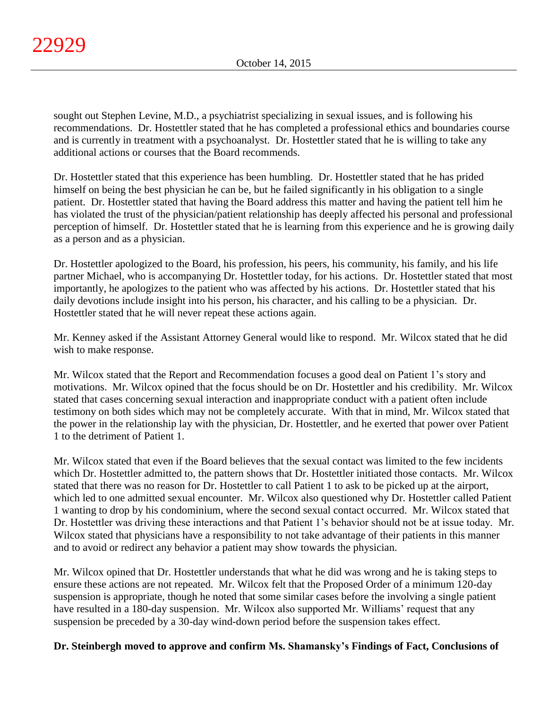sought out Stephen Levine, M.D., a psychiatrist specializing in sexual issues, and is following his recommendations. Dr. Hostettler stated that he has completed a professional ethics and boundaries course and is currently in treatment with a psychoanalyst. Dr. Hostettler stated that he is willing to take any additional actions or courses that the Board recommends.

Dr. Hostettler stated that this experience has been humbling. Dr. Hostettler stated that he has prided himself on being the best physician he can be, but he failed significantly in his obligation to a single patient. Dr. Hostettler stated that having the Board address this matter and having the patient tell him he has violated the trust of the physician/patient relationship has deeply affected his personal and professional perception of himself. Dr. Hostettler stated that he is learning from this experience and he is growing daily as a person and as a physician.

Dr. Hostettler apologized to the Board, his profession, his peers, his community, his family, and his life partner Michael, who is accompanying Dr. Hostettler today, for his actions. Dr. Hostettler stated that most importantly, he apologizes to the patient who was affected by his actions. Dr. Hostettler stated that his daily devotions include insight into his person, his character, and his calling to be a physician. Dr. Hostettler stated that he will never repeat these actions again.

Mr. Kenney asked if the Assistant Attorney General would like to respond. Mr. Wilcox stated that he did wish to make response.

Mr. Wilcox stated that the Report and Recommendation focuses a good deal on Patient 1's story and motivations. Mr. Wilcox opined that the focus should be on Dr. Hostettler and his credibility. Mr. Wilcox stated that cases concerning sexual interaction and inappropriate conduct with a patient often include testimony on both sides which may not be completely accurate. With that in mind, Mr. Wilcox stated that the power in the relationship lay with the physician, Dr. Hostettler, and he exerted that power over Patient 1 to the detriment of Patient 1.

Mr. Wilcox stated that even if the Board believes that the sexual contact was limited to the few incidents which Dr. Hostettler admitted to, the pattern shows that Dr. Hostettler initiated those contacts. Mr. Wilcox stated that there was no reason for Dr. Hostettler to call Patient 1 to ask to be picked up at the airport, which led to one admitted sexual encounter. Mr. Wilcox also questioned why Dr. Hostettler called Patient 1 wanting to drop by his condominium, where the second sexual contact occurred. Mr. Wilcox stated that Dr. Hostettler was driving these interactions and that Patient 1's behavior should not be at issue today. Mr. Wilcox stated that physicians have a responsibility to not take advantage of their patients in this manner and to avoid or redirect any behavior a patient may show towards the physician.

Mr. Wilcox opined that Dr. Hostettler understands that what he did was wrong and he is taking steps to ensure these actions are not repeated. Mr. Wilcox felt that the Proposed Order of a minimum 120-day suspension is appropriate, though he noted that some similar cases before the involving a single patient have resulted in a 180-day suspension. Mr. Wilcox also supported Mr. Williams' request that any suspension be preceded by a 30-day wind-down period before the suspension takes effect.

# **Dr. Steinbergh moved to approve and confirm Ms. Shamansky's Findings of Fact, Conclusions of**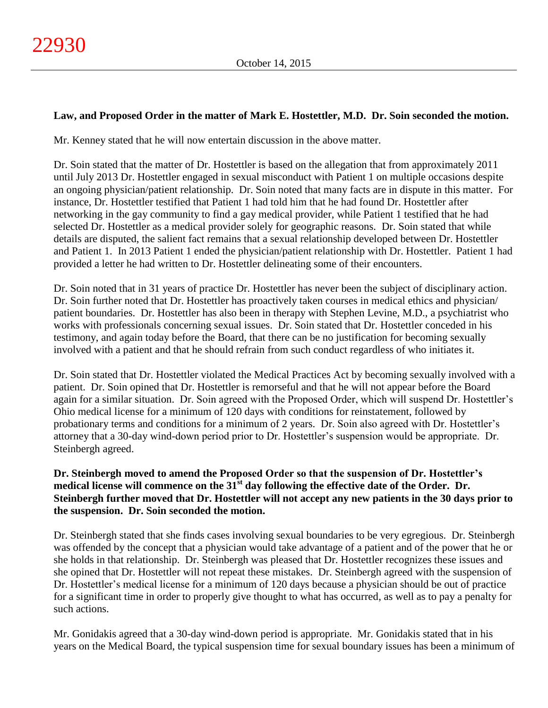# **Law, and Proposed Order in the matter of Mark E. Hostettler, M.D. Dr. Soin seconded the motion.**

Mr. Kenney stated that he will now entertain discussion in the above matter.

Dr. Soin stated that the matter of Dr. Hostettler is based on the allegation that from approximately 2011 until July 2013 Dr. Hostettler engaged in sexual misconduct with Patient 1 on multiple occasions despite an ongoing physician/patient relationship. Dr. Soin noted that many facts are in dispute in this matter. For instance, Dr. Hostettler testified that Patient 1 had told him that he had found Dr. Hostettler after networking in the gay community to find a gay medical provider, while Patient 1 testified that he had selected Dr. Hostettler as a medical provider solely for geographic reasons. Dr. Soin stated that while details are disputed, the salient fact remains that a sexual relationship developed between Dr. Hostettler and Patient 1. In 2013 Patient 1 ended the physician/patient relationship with Dr. Hostettler. Patient 1 had provided a letter he had written to Dr. Hostettler delineating some of their encounters.

Dr. Soin noted that in 31 years of practice Dr. Hostettler has never been the subject of disciplinary action. Dr. Soin further noted that Dr. Hostettler has proactively taken courses in medical ethics and physician/ patient boundaries. Dr. Hostettler has also been in therapy with Stephen Levine, M.D., a psychiatrist who works with professionals concerning sexual issues. Dr. Soin stated that Dr. Hostettler conceded in his testimony, and again today before the Board, that there can be no justification for becoming sexually involved with a patient and that he should refrain from such conduct regardless of who initiates it.

Dr. Soin stated that Dr. Hostettler violated the Medical Practices Act by becoming sexually involved with a patient. Dr. Soin opined that Dr. Hostettler is remorseful and that he will not appear before the Board again for a similar situation. Dr. Soin agreed with the Proposed Order, which will suspend Dr. Hostettler's Ohio medical license for a minimum of 120 days with conditions for reinstatement, followed by probationary terms and conditions for a minimum of 2 years. Dr. Soin also agreed with Dr. Hostettler's attorney that a 30-day wind-down period prior to Dr. Hostettler's suspension would be appropriate. Dr. Steinbergh agreed.

# **Dr. Steinbergh moved to amend the Proposed Order so that the suspension of Dr. Hostettler's medical license will commence on the 31st day following the effective date of the Order. Dr. Steinbergh further moved that Dr. Hostettler will not accept any new patients in the 30 days prior to the suspension. Dr. Soin seconded the motion.**

Dr. Steinbergh stated that she finds cases involving sexual boundaries to be very egregious. Dr. Steinbergh was offended by the concept that a physician would take advantage of a patient and of the power that he or she holds in that relationship. Dr. Steinbergh was pleased that Dr. Hostettler recognizes these issues and she opined that Dr. Hostettler will not repeat these mistakes. Dr. Steinbergh agreed with the suspension of Dr. Hostettler's medical license for a minimum of 120 days because a physician should be out of practice for a significant time in order to properly give thought to what has occurred, as well as to pay a penalty for such actions.

Mr. Gonidakis agreed that a 30-day wind-down period is appropriate. Mr. Gonidakis stated that in his years on the Medical Board, the typical suspension time for sexual boundary issues has been a minimum of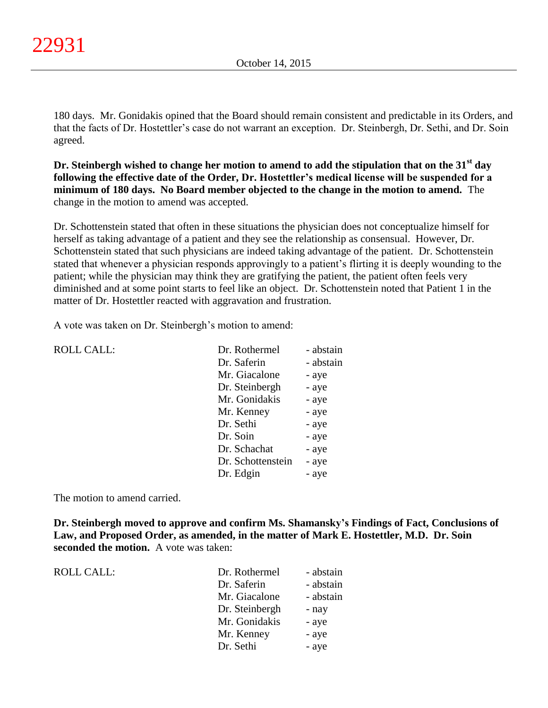180 days. Mr. Gonidakis opined that the Board should remain consistent and predictable in its Orders, and that the facts of Dr. Hostettler's case do not warrant an exception. Dr. Steinbergh, Dr. Sethi, and Dr. Soin agreed.

**Dr. Steinbergh wished to change her motion to amend to add the stipulation that on the 31st day following the effective date of the Order, Dr. Hostettler's medical license will be suspended for a minimum of 180 days. No Board member objected to the change in the motion to amend.** The change in the motion to amend was accepted.

Dr. Schottenstein stated that often in these situations the physician does not conceptualize himself for herself as taking advantage of a patient and they see the relationship as consensual. However, Dr. Schottenstein stated that such physicians are indeed taking advantage of the patient. Dr. Schottenstein stated that whenever a physician responds approvingly to a patient's flirting it is deeply wounding to the patient; while the physician may think they are gratifying the patient, the patient often feels very diminished and at some point starts to feel like an object. Dr. Schottenstein noted that Patient 1 in the matter of Dr. Hostettler reacted with aggravation and frustration.

A vote was taken on Dr. Steinbergh's motion to amend:

| <b>ROLL CALL:</b> | Dr. Rothermel     | - abstain |
|-------------------|-------------------|-----------|
|                   | Dr. Saferin       | - abstain |
|                   | Mr. Giacalone     | - aye     |
|                   | Dr. Steinbergh    | - aye     |
|                   | Mr. Gonidakis     | - aye     |
|                   | Mr. Kenney        | - aye     |
|                   | Dr. Sethi         | - aye     |
|                   | Dr. Soin          | - aye     |
|                   | Dr. Schachat      | - aye     |
|                   | Dr. Schottenstein | - aye     |
|                   | Dr. Edgin         | - aye     |
|                   |                   |           |

The motion to amend carried.

**Dr. Steinbergh moved to approve and confirm Ms. Shamansky's Findings of Fact, Conclusions of Law, and Proposed Order, as amended, in the matter of Mark E. Hostettler, M.D. Dr. Soin seconded the motion.** A vote was taken:

ROLL CALL:

| Dr. Rothermel  | - abstain |
|----------------|-----------|
| Dr. Saferin    | - abstain |
| Mr. Giacalone  | - abstain |
| Dr. Steinbergh | - nay     |
| Mr. Gonidakis  | - aye     |
| Mr. Kenney     | - aye     |
| Dr. Sethi      | - aye     |
|                |           |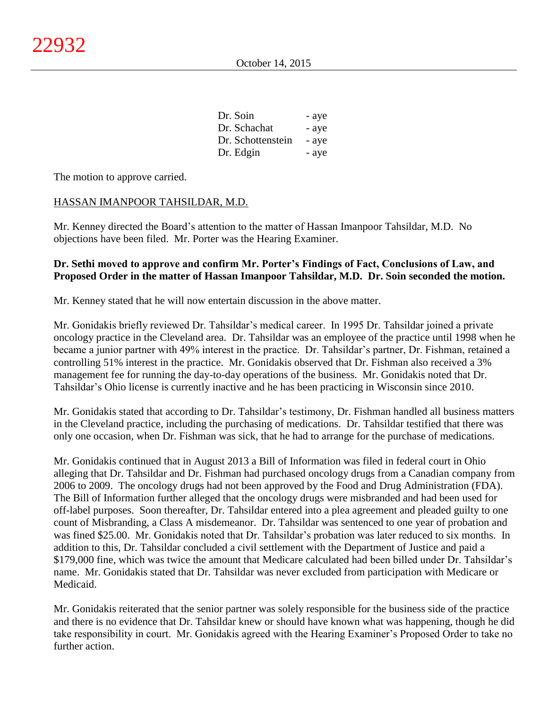| Dr. Soin          | - aye |
|-------------------|-------|
| Dr. Schachat      | - aye |
| Dr. Schottenstein | - aye |
| Dr. Edgin         | - aye |

The motion to approve carried.

# HASSAN IMANPOOR TAHSILDAR, M.D.

Mr. Kenney directed the Board's attention to the matter of Hassan Imanpoor Tahsildar, M.D. No objections have been filed. Mr. Porter was the Hearing Examiner.

# **Dr. Sethi moved to approve and confirm Mr. Porter's Findings of Fact, Conclusions of Law, and Proposed Order in the matter of Hassan Imanpoor Tahsildar, M.D. Dr. Soin seconded the motion.**

Mr. Kenney stated that he will now entertain discussion in the above matter.

Mr. Gonidakis briefly reviewed Dr. Tahsildar's medical career. In 1995 Dr. Tahsildar joined a private oncology practice in the Cleveland area. Dr. Tahsildar was an employee of the practice until 1998 when he became a junior partner with 49% interest in the practice. Dr. Tahsildar's partner, Dr. Fishman, retained a controlling 51% interest in the practice. Mr. Gonidakis observed that Dr. Fishman also received a 3% management fee for running the day-to-day operations of the business. Mr. Gonidakis noted that Dr. Tahsildar's Ohio license is currently inactive and he has been practicing in Wisconsin since 2010.

Mr. Gonidakis stated that according to Dr. Tahsildar's testimony, Dr. Fishman handled all business matters in the Cleveland practice, including the purchasing of medications. Dr. Tahsildar testified that there was only one occasion, when Dr. Fishman was sick, that he had to arrange for the purchase of medications.

Mr. Gonidakis continued that in August 2013 a Bill of Information was filed in federal court in Ohio alleging that Dr. Tahsildar and Dr. Fishman had purchased oncology drugs from a Canadian company from 2006 to 2009. The oncology drugs had not been approved by the Food and Drug Administration (FDA). The Bill of Information further alleged that the oncology drugs were misbranded and had been used for off-label purposes. Soon thereafter, Dr. Tahsildar entered into a plea agreement and pleaded guilty to one count of Misbranding, a Class A misdemeanor. Dr. Tahsildar was sentenced to one year of probation and was fined \$25.00. Mr. Gonidakis noted that Dr. Tahsildar's probation was later reduced to six months. In addition to this, Dr. Tahsildar concluded a civil settlement with the Department of Justice and paid a \$179,000 fine, which was twice the amount that Medicare calculated had been billed under Dr. Tahsildar's name. Mr. Gonidakis stated that Dr. Tahsildar was never excluded from participation with Medicare or Medicaid.

Mr. Gonidakis reiterated that the senior partner was solely responsible for the business side of the practice and there is no evidence that Dr. Tahsildar knew or should have known what was happening, though he did take responsibility in court. Mr. Gonidakis agreed with the Hearing Examiner's Proposed Order to take no further action.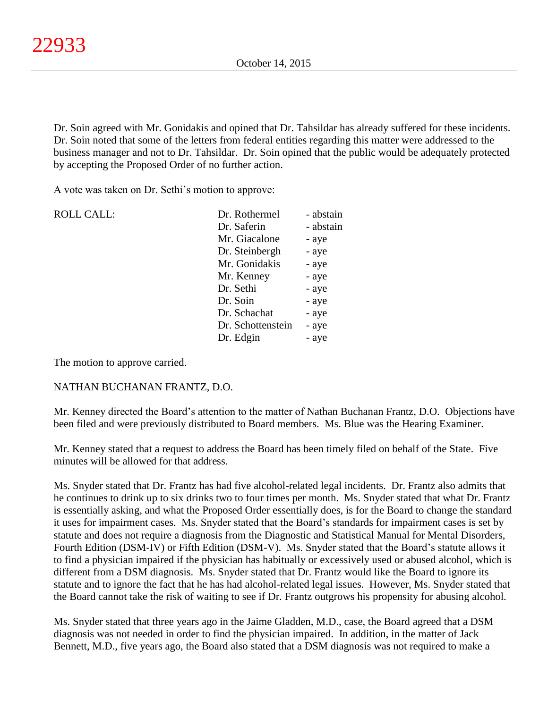Dr. Soin agreed with Mr. Gonidakis and opined that Dr. Tahsildar has already suffered for these incidents. Dr. Soin noted that some of the letters from federal entities regarding this matter were addressed to the business manager and not to Dr. Tahsildar. Dr. Soin opined that the public would be adequately protected by accepting the Proposed Order of no further action.

A vote was taken on Dr. Sethi's motion to approve:

| <b>ROLL CALL:</b> | Dr. Rothermel     | - abstain |
|-------------------|-------------------|-----------|
|                   | Dr. Saferin       | - abstain |
|                   | Mr. Giacalone     | - aye     |
|                   | Dr. Steinbergh    | - aye     |
|                   | Mr. Gonidakis     | - aye     |
|                   | Mr. Kenney        | - aye     |
|                   | Dr. Sethi         | - aye     |
|                   | Dr. Soin          | - aye     |
|                   | Dr. Schachat      | - aye     |
|                   | Dr. Schottenstein | - aye     |
|                   | Dr. Edgin         | - aye     |
|                   |                   |           |

The motion to approve carried.

# NATHAN BUCHANAN FRANTZ, D.O.

Mr. Kenney directed the Board's attention to the matter of Nathan Buchanan Frantz, D.O. Objections have been filed and were previously distributed to Board members. Ms. Blue was the Hearing Examiner.

Mr. Kenney stated that a request to address the Board has been timely filed on behalf of the State. Five minutes will be allowed for that address.

Ms. Snyder stated that Dr. Frantz has had five alcohol-related legal incidents. Dr. Frantz also admits that he continues to drink up to six drinks two to four times per month. Ms. Snyder stated that what Dr. Frantz is essentially asking, and what the Proposed Order essentially does, is for the Board to change the standard it uses for impairment cases. Ms. Snyder stated that the Board's standards for impairment cases is set by statute and does not require a diagnosis from the Diagnostic and Statistical Manual for Mental Disorders, Fourth Edition (DSM-IV) or Fifth Edition (DSM-V). Ms. Snyder stated that the Board's statute allows it to find a physician impaired if the physician has habitually or excessively used or abused alcohol, which is different from a DSM diagnosis. Ms. Snyder stated that Dr. Frantz would like the Board to ignore its statute and to ignore the fact that he has had alcohol-related legal issues. However, Ms. Snyder stated that the Board cannot take the risk of waiting to see if Dr. Frantz outgrows his propensity for abusing alcohol.

Ms. Snyder stated that three years ago in the Jaime Gladden, M.D., case, the Board agreed that a DSM diagnosis was not needed in order to find the physician impaired. In addition, in the matter of Jack Bennett, M.D., five years ago, the Board also stated that a DSM diagnosis was not required to make a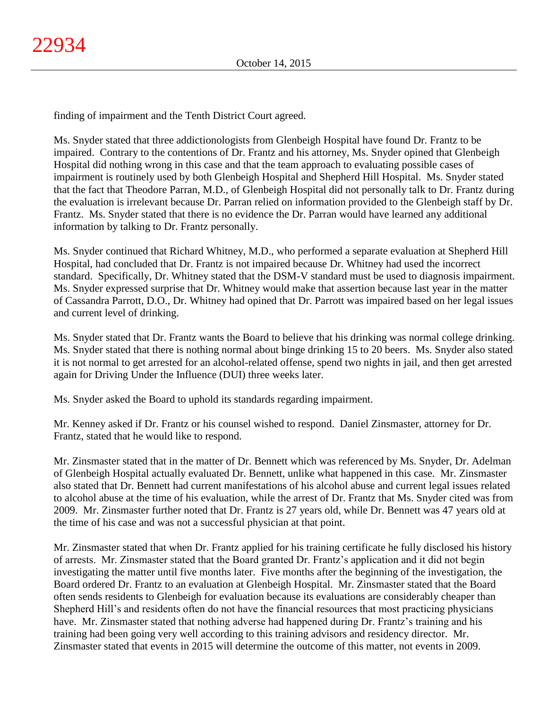finding of impairment and the Tenth District Court agreed.

Ms. Snyder stated that three addictionologists from Glenbeigh Hospital have found Dr. Frantz to be impaired. Contrary to the contentions of Dr. Frantz and his attorney, Ms. Snyder opined that Glenbeigh Hospital did nothing wrong in this case and that the team approach to evaluating possible cases of impairment is routinely used by both Glenbeigh Hospital and Shepherd Hill Hospital. Ms. Snyder stated that the fact that Theodore Parran, M.D., of Glenbeigh Hospital did not personally talk to Dr. Frantz during the evaluation is irrelevant because Dr. Parran relied on information provided to the Glenbeigh staff by Dr. Frantz. Ms. Snyder stated that there is no evidence the Dr. Parran would have learned any additional information by talking to Dr. Frantz personally.

Ms. Snyder continued that Richard Whitney, M.D., who performed a separate evaluation at Shepherd Hill Hospital, had concluded that Dr. Frantz is not impaired because Dr. Whitney had used the incorrect standard. Specifically, Dr. Whitney stated that the DSM-V standard must be used to diagnosis impairment. Ms. Snyder expressed surprise that Dr. Whitney would make that assertion because last year in the matter of Cassandra Parrott, D.O., Dr. Whitney had opined that Dr. Parrott was impaired based on her legal issues and current level of drinking.

Ms. Snyder stated that Dr. Frantz wants the Board to believe that his drinking was normal college drinking. Ms. Snyder stated that there is nothing normal about binge drinking 15 to 20 beers. Ms. Snyder also stated it is not normal to get arrested for an alcohol-related offense, spend two nights in jail, and then get arrested again for Driving Under the Influence (DUI) three weeks later.

Ms. Snyder asked the Board to uphold its standards regarding impairment.

Mr. Kenney asked if Dr. Frantz or his counsel wished to respond. Daniel Zinsmaster, attorney for Dr. Frantz, stated that he would like to respond.

Mr. Zinsmaster stated that in the matter of Dr. Bennett which was referenced by Ms. Snyder, Dr. Adelman of Glenbeigh Hospital actually evaluated Dr. Bennett, unlike what happened in this case. Mr. Zinsmaster also stated that Dr. Bennett had current manifestations of his alcohol abuse and current legal issues related to alcohol abuse at the time of his evaluation, while the arrest of Dr. Frantz that Ms. Snyder cited was from 2009. Mr. Zinsmaster further noted that Dr. Frantz is 27 years old, while Dr. Bennett was 47 years old at the time of his case and was not a successful physician at that point.

Mr. Zinsmaster stated that when Dr. Frantz applied for his training certificate he fully disclosed his history of arrests. Mr. Zinsmaster stated that the Board granted Dr. Frantz's application and it did not begin investigating the matter until five months later. Five months after the beginning of the investigation, the Board ordered Dr. Frantz to an evaluation at Glenbeigh Hospital. Mr. Zinsmaster stated that the Board often sends residents to Glenbeigh for evaluation because its evaluations are considerably cheaper than Shepherd Hill's and residents often do not have the financial resources that most practicing physicians have. Mr. Zinsmaster stated that nothing adverse had happened during Dr. Frantz's training and his training had been going very well according to this training advisors and residency director. Mr. Zinsmaster stated that events in 2015 will determine the outcome of this matter, not events in 2009.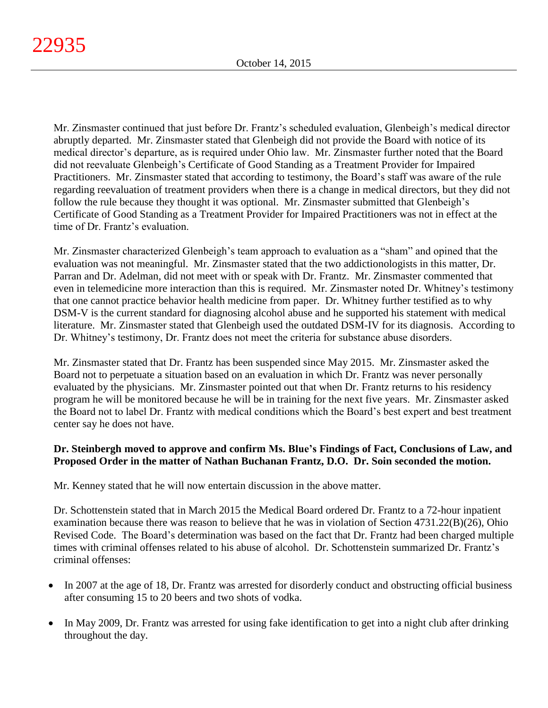Mr. Zinsmaster continued that just before Dr. Frantz's scheduled evaluation, Glenbeigh's medical director abruptly departed. Mr. Zinsmaster stated that Glenbeigh did not provide the Board with notice of its medical director's departure, as is required under Ohio law. Mr. Zinsmaster further noted that the Board did not reevaluate Glenbeigh's Certificate of Good Standing as a Treatment Provider for Impaired Practitioners. Mr. Zinsmaster stated that according to testimony, the Board's staff was aware of the rule regarding reevaluation of treatment providers when there is a change in medical directors, but they did not follow the rule because they thought it was optional. Mr. Zinsmaster submitted that Glenbeigh's Certificate of Good Standing as a Treatment Provider for Impaired Practitioners was not in effect at the time of Dr. Frantz's evaluation.

Mr. Zinsmaster characterized Glenbeigh's team approach to evaluation as a "sham" and opined that the evaluation was not meaningful. Mr. Zinsmaster stated that the two addictionologists in this matter, Dr. Parran and Dr. Adelman, did not meet with or speak with Dr. Frantz. Mr. Zinsmaster commented that even in telemedicine more interaction than this is required. Mr. Zinsmaster noted Dr. Whitney's testimony that one cannot practice behavior health medicine from paper. Dr. Whitney further testified as to why DSM-V is the current standard for diagnosing alcohol abuse and he supported his statement with medical literature. Mr. Zinsmaster stated that Glenbeigh used the outdated DSM-IV for its diagnosis. According to Dr. Whitney's testimony, Dr. Frantz does not meet the criteria for substance abuse disorders.

Mr. Zinsmaster stated that Dr. Frantz has been suspended since May 2015. Mr. Zinsmaster asked the Board not to perpetuate a situation based on an evaluation in which Dr. Frantz was never personally evaluated by the physicians. Mr. Zinsmaster pointed out that when Dr. Frantz returns to his residency program he will be monitored because he will be in training for the next five years. Mr. Zinsmaster asked the Board not to label Dr. Frantz with medical conditions which the Board's best expert and best treatment center say he does not have.

# **Dr. Steinbergh moved to approve and confirm Ms. Blue's Findings of Fact, Conclusions of Law, and Proposed Order in the matter of Nathan Buchanan Frantz, D.O. Dr. Soin seconded the motion.**

Mr. Kenney stated that he will now entertain discussion in the above matter.

Dr. Schottenstein stated that in March 2015 the Medical Board ordered Dr. Frantz to a 72-hour inpatient examination because there was reason to believe that he was in violation of Section 4731.22(B)(26), Ohio Revised Code. The Board's determination was based on the fact that Dr. Frantz had been charged multiple times with criminal offenses related to his abuse of alcohol. Dr. Schottenstein summarized Dr. Frantz's criminal offenses:

- In 2007 at the age of 18, Dr. Frantz was arrested for disorderly conduct and obstructing official business after consuming 15 to 20 beers and two shots of vodka.
- In May 2009, Dr. Frantz was arrested for using fake identification to get into a night club after drinking throughout the day.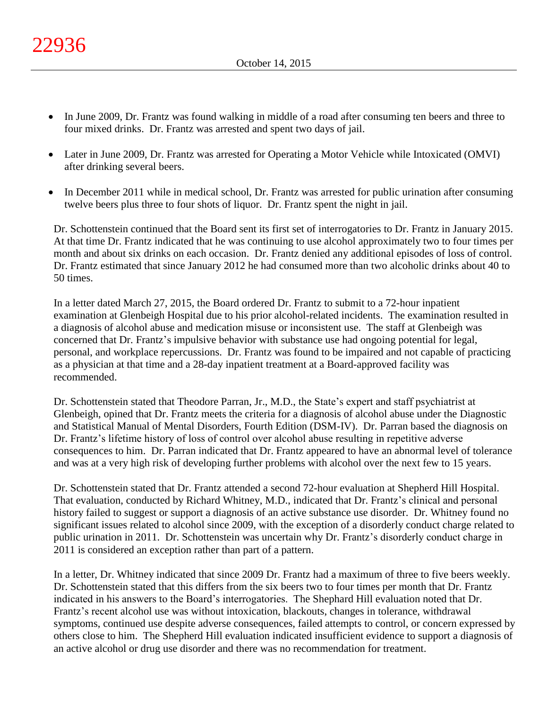- In June 2009, Dr. Frantz was found walking in middle of a road after consuming ten beers and three to four mixed drinks. Dr. Frantz was arrested and spent two days of jail.
- Later in June 2009, Dr. Frantz was arrested for Operating a Motor Vehicle while Intoxicated (OMVI) after drinking several beers.
- In December 2011 while in medical school, Dr. Frantz was arrested for public urination after consuming twelve beers plus three to four shots of liquor. Dr. Frantz spent the night in jail.

Dr. Schottenstein continued that the Board sent its first set of interrogatories to Dr. Frantz in January 2015. At that time Dr. Frantz indicated that he was continuing to use alcohol approximately two to four times per month and about six drinks on each occasion. Dr. Frantz denied any additional episodes of loss of control. Dr. Frantz estimated that since January 2012 he had consumed more than two alcoholic drinks about 40 to 50 times.

In a letter dated March 27, 2015, the Board ordered Dr. Frantz to submit to a 72-hour inpatient examination at Glenbeigh Hospital due to his prior alcohol-related incidents. The examination resulted in a diagnosis of alcohol abuse and medication misuse or inconsistent use. The staff at Glenbeigh was concerned that Dr. Frantz's impulsive behavior with substance use had ongoing potential for legal, personal, and workplace repercussions. Dr. Frantz was found to be impaired and not capable of practicing as a physician at that time and a 28-day inpatient treatment at a Board-approved facility was recommended.

Dr. Schottenstein stated that Theodore Parran, Jr., M.D., the State's expert and staff psychiatrist at Glenbeigh, opined that Dr. Frantz meets the criteria for a diagnosis of alcohol abuse under the Diagnostic and Statistical Manual of Mental Disorders, Fourth Edition (DSM-IV). Dr. Parran based the diagnosis on Dr. Frantz's lifetime history of loss of control over alcohol abuse resulting in repetitive adverse consequences to him. Dr. Parran indicated that Dr. Frantz appeared to have an abnormal level of tolerance and was at a very high risk of developing further problems with alcohol over the next few to 15 years.

Dr. Schottenstein stated that Dr. Frantz attended a second 72-hour evaluation at Shepherd Hill Hospital. That evaluation, conducted by Richard Whitney, M.D., indicated that Dr. Frantz's clinical and personal history failed to suggest or support a diagnosis of an active substance use disorder. Dr. Whitney found no significant issues related to alcohol since 2009, with the exception of a disorderly conduct charge related to public urination in 2011. Dr. Schottenstein was uncertain why Dr. Frantz's disorderly conduct charge in 2011 is considered an exception rather than part of a pattern.

In a letter, Dr. Whitney indicated that since 2009 Dr. Frantz had a maximum of three to five beers weekly. Dr. Schottenstein stated that this differs from the six beers two to four times per month that Dr. Frantz indicated in his answers to the Board's interrogatories. The Shephard Hill evaluation noted that Dr. Frantz's recent alcohol use was without intoxication, blackouts, changes in tolerance, withdrawal symptoms, continued use despite adverse consequences, failed attempts to control, or concern expressed by others close to him. The Shepherd Hill evaluation indicated insufficient evidence to support a diagnosis of an active alcohol or drug use disorder and there was no recommendation for treatment.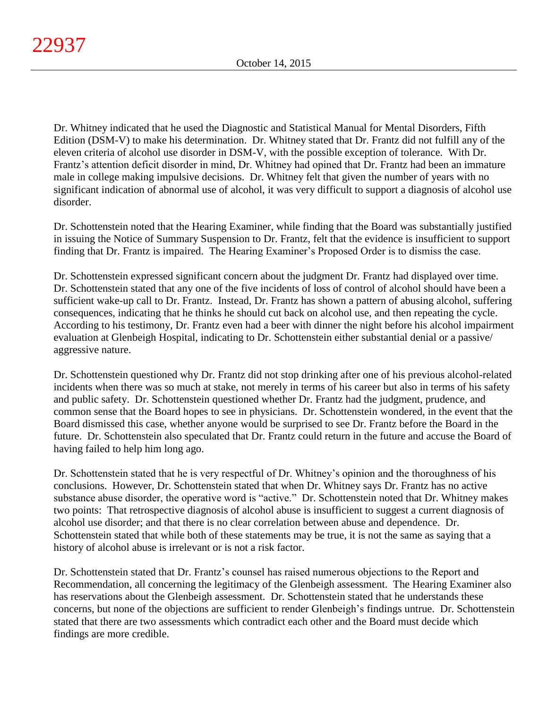Dr. Whitney indicated that he used the Diagnostic and Statistical Manual for Mental Disorders, Fifth Edition (DSM-V) to make his determination. Dr. Whitney stated that Dr. Frantz did not fulfill any of the eleven criteria of alcohol use disorder in DSM-V, with the possible exception of tolerance. With Dr. Frantz's attention deficit disorder in mind, Dr. Whitney had opined that Dr. Frantz had been an immature male in college making impulsive decisions. Dr. Whitney felt that given the number of years with no significant indication of abnormal use of alcohol, it was very difficult to support a diagnosis of alcohol use disorder.

Dr. Schottenstein noted that the Hearing Examiner, while finding that the Board was substantially justified in issuing the Notice of Summary Suspension to Dr. Frantz, felt that the evidence is insufficient to support finding that Dr. Frantz is impaired. The Hearing Examiner's Proposed Order is to dismiss the case.

Dr. Schottenstein expressed significant concern about the judgment Dr. Frantz had displayed over time. Dr. Schottenstein stated that any one of the five incidents of loss of control of alcohol should have been a sufficient wake-up call to Dr. Frantz. Instead, Dr. Frantz has shown a pattern of abusing alcohol, suffering consequences, indicating that he thinks he should cut back on alcohol use, and then repeating the cycle. According to his testimony, Dr. Frantz even had a beer with dinner the night before his alcohol impairment evaluation at Glenbeigh Hospital, indicating to Dr. Schottenstein either substantial denial or a passive/ aggressive nature.

Dr. Schottenstein questioned why Dr. Frantz did not stop drinking after one of his previous alcohol-related incidents when there was so much at stake, not merely in terms of his career but also in terms of his safety and public safety. Dr. Schottenstein questioned whether Dr. Frantz had the judgment, prudence, and common sense that the Board hopes to see in physicians. Dr. Schottenstein wondered, in the event that the Board dismissed this case, whether anyone would be surprised to see Dr. Frantz before the Board in the future. Dr. Schottenstein also speculated that Dr. Frantz could return in the future and accuse the Board of having failed to help him long ago.

Dr. Schottenstein stated that he is very respectful of Dr. Whitney's opinion and the thoroughness of his conclusions. However, Dr. Schottenstein stated that when Dr. Whitney says Dr. Frantz has no active substance abuse disorder, the operative word is "active." Dr. Schottenstein noted that Dr. Whitney makes two points: That retrospective diagnosis of alcohol abuse is insufficient to suggest a current diagnosis of alcohol use disorder; and that there is no clear correlation between abuse and dependence. Dr. Schottenstein stated that while both of these statements may be true, it is not the same as saying that a history of alcohol abuse is irrelevant or is not a risk factor.

Dr. Schottenstein stated that Dr. Frantz's counsel has raised numerous objections to the Report and Recommendation, all concerning the legitimacy of the Glenbeigh assessment. The Hearing Examiner also has reservations about the Glenbeigh assessment. Dr. Schottenstein stated that he understands these concerns, but none of the objections are sufficient to render Glenbeigh's findings untrue. Dr. Schottenstein stated that there are two assessments which contradict each other and the Board must decide which findings are more credible.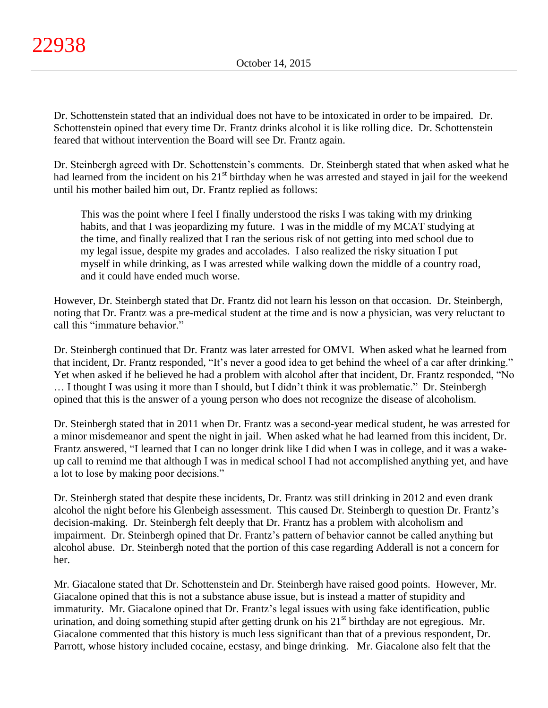Dr. Schottenstein stated that an individual does not have to be intoxicated in order to be impaired. Dr. Schottenstein opined that every time Dr. Frantz drinks alcohol it is like rolling dice. Dr. Schottenstein feared that without intervention the Board will see Dr. Frantz again.

Dr. Steinbergh agreed with Dr. Schottenstein's comments. Dr. Steinbergh stated that when asked what he had learned from the incident on his 21<sup>st</sup> birthday when he was arrested and stayed in jail for the weekend until his mother bailed him out, Dr. Frantz replied as follows:

This was the point where I feel I finally understood the risks I was taking with my drinking habits, and that I was jeopardizing my future. I was in the middle of my MCAT studying at the time, and finally realized that I ran the serious risk of not getting into med school due to my legal issue, despite my grades and accolades. I also realized the risky situation I put myself in while drinking, as I was arrested while walking down the middle of a country road, and it could have ended much worse.

However, Dr. Steinbergh stated that Dr. Frantz did not learn his lesson on that occasion. Dr. Steinbergh, noting that Dr. Frantz was a pre-medical student at the time and is now a physician, was very reluctant to call this "immature behavior."

Dr. Steinbergh continued that Dr. Frantz was later arrested for OMVI. When asked what he learned from that incident, Dr. Frantz responded, "It's never a good idea to get behind the wheel of a car after drinking." Yet when asked if he believed he had a problem with alcohol after that incident, Dr. Frantz responded, "No … I thought I was using it more than I should, but I didn't think it was problematic." Dr. Steinbergh opined that this is the answer of a young person who does not recognize the disease of alcoholism.

Dr. Steinbergh stated that in 2011 when Dr. Frantz was a second-year medical student, he was arrested for a minor misdemeanor and spent the night in jail. When asked what he had learned from this incident, Dr. Frantz answered, "I learned that I can no longer drink like I did when I was in college, and it was a wakeup call to remind me that although I was in medical school I had not accomplished anything yet, and have a lot to lose by making poor decisions."

Dr. Steinbergh stated that despite these incidents, Dr. Frantz was still drinking in 2012 and even drank alcohol the night before his Glenbeigh assessment. This caused Dr. Steinbergh to question Dr. Frantz's decision-making. Dr. Steinbergh felt deeply that Dr. Frantz has a problem with alcoholism and impairment. Dr. Steinbergh opined that Dr. Frantz's pattern of behavior cannot be called anything but alcohol abuse. Dr. Steinbergh noted that the portion of this case regarding Adderall is not a concern for her.

Mr. Giacalone stated that Dr. Schottenstein and Dr. Steinbergh have raised good points. However, Mr. Giacalone opined that this is not a substance abuse issue, but is instead a matter of stupidity and immaturity. Mr. Giacalone opined that Dr. Frantz's legal issues with using fake identification, public urination, and doing something stupid after getting drunk on his 21<sup>st</sup> birthday are not egregious. Mr. Giacalone commented that this history is much less significant than that of a previous respondent, Dr. Parrott, whose history included cocaine, ecstasy, and binge drinking. Mr. Giacalone also felt that the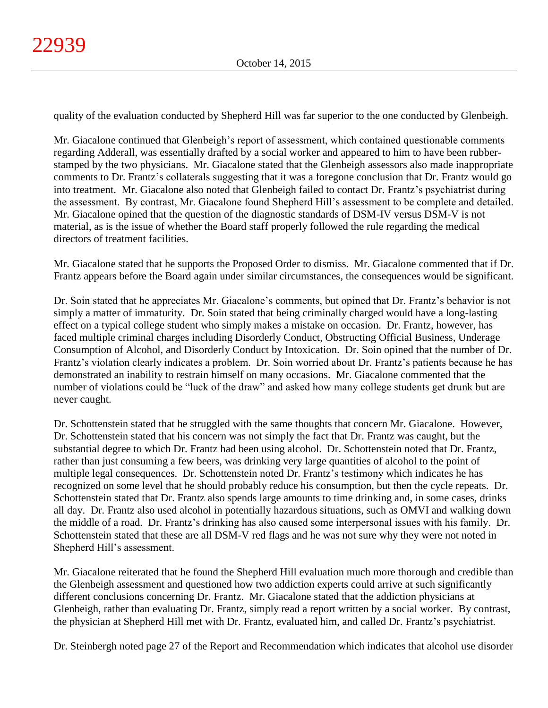quality of the evaluation conducted by Shepherd Hill was far superior to the one conducted by Glenbeigh.

Mr. Giacalone continued that Glenbeigh's report of assessment, which contained questionable comments regarding Adderall, was essentially drafted by a social worker and appeared to him to have been rubberstamped by the two physicians. Mr. Giacalone stated that the Glenbeigh assessors also made inappropriate comments to Dr. Frantz's collaterals suggesting that it was a foregone conclusion that Dr. Frantz would go into treatment. Mr. Giacalone also noted that Glenbeigh failed to contact Dr. Frantz's psychiatrist during the assessment. By contrast, Mr. Giacalone found Shepherd Hill's assessment to be complete and detailed. Mr. Giacalone opined that the question of the diagnostic standards of DSM-IV versus DSM-V is not material, as is the issue of whether the Board staff properly followed the rule regarding the medical directors of treatment facilities.

Mr. Giacalone stated that he supports the Proposed Order to dismiss. Mr. Giacalone commented that if Dr. Frantz appears before the Board again under similar circumstances, the consequences would be significant.

Dr. Soin stated that he appreciates Mr. Giacalone's comments, but opined that Dr. Frantz's behavior is not simply a matter of immaturity. Dr. Soin stated that being criminally charged would have a long-lasting effect on a typical college student who simply makes a mistake on occasion. Dr. Frantz, however, has faced multiple criminal charges including Disorderly Conduct, Obstructing Official Business, Underage Consumption of Alcohol, and Disorderly Conduct by Intoxication. Dr. Soin opined that the number of Dr. Frantz's violation clearly indicates a problem. Dr. Soin worried about Dr. Frantz's patients because he has demonstrated an inability to restrain himself on many occasions. Mr. Giacalone commented that the number of violations could be "luck of the draw" and asked how many college students get drunk but are never caught.

Dr. Schottenstein stated that he struggled with the same thoughts that concern Mr. Giacalone. However, Dr. Schottenstein stated that his concern was not simply the fact that Dr. Frantz was caught, but the substantial degree to which Dr. Frantz had been using alcohol. Dr. Schottenstein noted that Dr. Frantz, rather than just consuming a few beers, was drinking very large quantities of alcohol to the point of multiple legal consequences. Dr. Schottenstein noted Dr. Frantz's testimony which indicates he has recognized on some level that he should probably reduce his consumption, but then the cycle repeats. Dr. Schottenstein stated that Dr. Frantz also spends large amounts to time drinking and, in some cases, drinks all day. Dr. Frantz also used alcohol in potentially hazardous situations, such as OMVI and walking down the middle of a road. Dr. Frantz's drinking has also caused some interpersonal issues with his family. Dr. Schottenstein stated that these are all DSM-V red flags and he was not sure why they were not noted in Shepherd Hill's assessment.

Mr. Giacalone reiterated that he found the Shepherd Hill evaluation much more thorough and credible than the Glenbeigh assessment and questioned how two addiction experts could arrive at such significantly different conclusions concerning Dr. Frantz. Mr. Giacalone stated that the addiction physicians at Glenbeigh, rather than evaluating Dr. Frantz, simply read a report written by a social worker. By contrast, the physician at Shepherd Hill met with Dr. Frantz, evaluated him, and called Dr. Frantz's psychiatrist.

Dr. Steinbergh noted page 27 of the Report and Recommendation which indicates that alcohol use disorder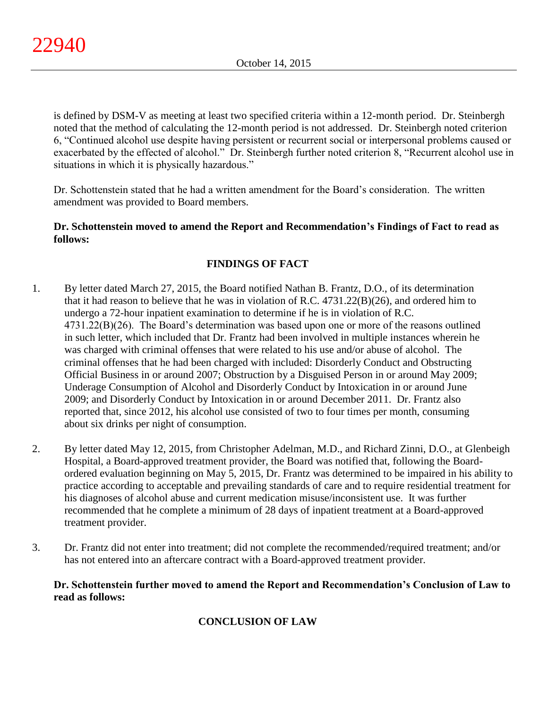is defined by DSM-V as meeting at least two specified criteria within a 12-month period. Dr. Steinbergh noted that the method of calculating the 12-month period is not addressed. Dr. Steinbergh noted criterion 6, "Continued alcohol use despite having persistent or recurrent social or interpersonal problems caused or exacerbated by the effected of alcohol." Dr. Steinbergh further noted criterion 8, "Recurrent alcohol use in situations in which it is physically hazardous."

Dr. Schottenstein stated that he had a written amendment for the Board's consideration. The written amendment was provided to Board members.

# **Dr. Schottenstein moved to amend the Report and Recommendation's Findings of Fact to read as follows:**

# **FINDINGS OF FACT**

- 1. By letter dated March 27, 2015, the Board notified Nathan B. Frantz, D.O., of its determination that it had reason to believe that he was in violation of R.C. 4731.22(B)(26), and ordered him to undergo a 72-hour inpatient examination to determine if he is in violation of R.C. 4731.22(B)(26). The Board's determination was based upon one or more of the reasons outlined in such letter, which included that Dr. Frantz had been involved in multiple instances wherein he was charged with criminal offenses that were related to his use and/or abuse of alcohol. The criminal offenses that he had been charged with included: Disorderly Conduct and Obstructing Official Business in or around 2007; Obstruction by a Disguised Person in or around May 2009; Underage Consumption of Alcohol and Disorderly Conduct by Intoxication in or around June 2009; and Disorderly Conduct by Intoxication in or around December 2011. Dr. Frantz also reported that, since 2012, his alcohol use consisted of two to four times per month, consuming about six drinks per night of consumption.
- 2. By letter dated May 12, 2015, from Christopher Adelman, M.D., and Richard Zinni, D.O., at Glenbeigh Hospital, a Board-approved treatment provider, the Board was notified that, following the Boardordered evaluation beginning on May 5, 2015, Dr. Frantz was determined to be impaired in his ability to practice according to acceptable and prevailing standards of care and to require residential treatment for his diagnoses of alcohol abuse and current medication misuse/inconsistent use. It was further recommended that he complete a minimum of 28 days of inpatient treatment at a Board-approved treatment provider.
- 3. Dr. Frantz did not enter into treatment; did not complete the recommended/required treatment; and/or has not entered into an aftercare contract with a Board-approved treatment provider.

**Dr. Schottenstein further moved to amend the Report and Recommendation's Conclusion of Law to read as follows:**

# **CONCLUSION OF LAW**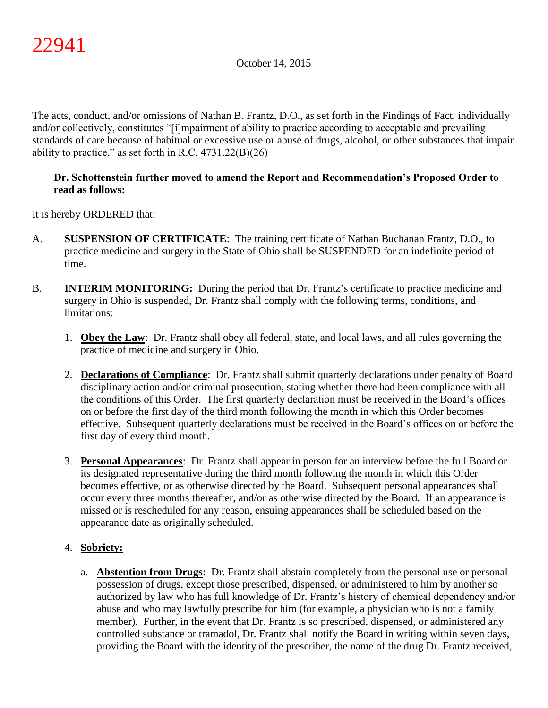The acts, conduct, and/or omissions of Nathan B. Frantz, D.O., as set forth in the Findings of Fact, individually and/or collectively, constitutes "[i]mpairment of ability to practice according to acceptable and prevailing standards of care because of habitual or excessive use or abuse of drugs, alcohol, or other substances that impair ability to practice," as set forth in R.C.  $4731.22(B)(26)$ 

# **Dr. Schottenstein further moved to amend the Report and Recommendation's Proposed Order to read as follows:**

It is hereby ORDERED that:

- A. **SUSPENSION OF CERTIFICATE**: The training certificate of Nathan Buchanan Frantz, D.O., to practice medicine and surgery in the State of Ohio shall be SUSPENDED for an indefinite period of time.
- B. **INTERIM MONITORING:** During the period that Dr. Frantz's certificate to practice medicine and surgery in Ohio is suspended, Dr. Frantz shall comply with the following terms, conditions, and limitations:
	- 1. **Obey the Law**: Dr. Frantz shall obey all federal, state, and local laws, and all rules governing the practice of medicine and surgery in Ohio.
	- 2. **Declarations of Compliance**: Dr. Frantz shall submit quarterly declarations under penalty of Board disciplinary action and/or criminal prosecution, stating whether there had been compliance with all the conditions of this Order. The first quarterly declaration must be received in the Board's offices on or before the first day of the third month following the month in which this Order becomes effective. Subsequent quarterly declarations must be received in the Board's offices on or before the first day of every third month.
	- 3. **Personal Appearances**: Dr. Frantz shall appear in person for an interview before the full Board or its designated representative during the third month following the month in which this Order becomes effective, or as otherwise directed by the Board. Subsequent personal appearances shall occur every three months thereafter, and/or as otherwise directed by the Board. If an appearance is missed or is rescheduled for any reason, ensuing appearances shall be scheduled based on the appearance date as originally scheduled.

# 4. **Sobriety:**

a. **Abstention from Drugs**: Dr. Frantz shall abstain completely from the personal use or personal possession of drugs, except those prescribed, dispensed, or administered to him by another so authorized by law who has full knowledge of Dr. Frantz's history of chemical dependency and/or abuse and who may lawfully prescribe for him (for example, a physician who is not a family member). Further, in the event that Dr. Frantz is so prescribed, dispensed, or administered any controlled substance or tramadol, Dr. Frantz shall notify the Board in writing within seven days, providing the Board with the identity of the prescriber, the name of the drug Dr. Frantz received,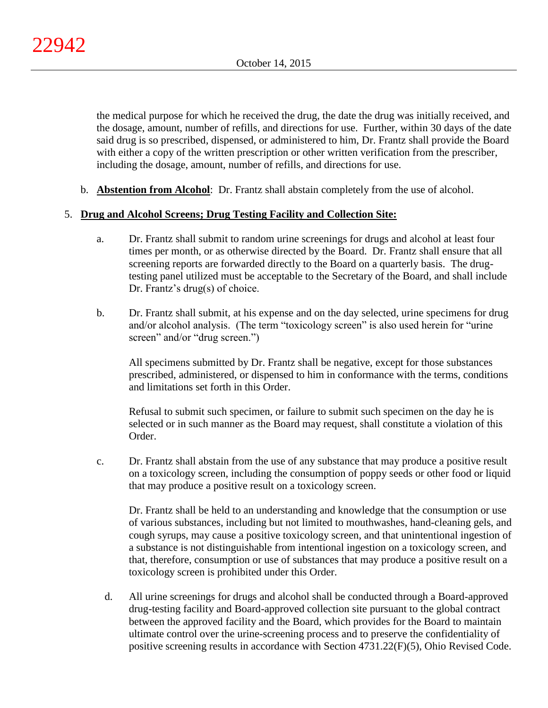the medical purpose for which he received the drug, the date the drug was initially received, and the dosage, amount, number of refills, and directions for use. Further, within 30 days of the date said drug is so prescribed, dispensed, or administered to him, Dr. Frantz shall provide the Board with either a copy of the written prescription or other written verification from the prescriber, including the dosage, amount, number of refills, and directions for use.

b. **Abstention from Alcohol**: Dr. Frantz shall abstain completely from the use of alcohol.

# 5. **Drug and Alcohol Screens; Drug Testing Facility and Collection Site:**

- a. Dr. Frantz shall submit to random urine screenings for drugs and alcohol at least four times per month, or as otherwise directed by the Board. Dr. Frantz shall ensure that all screening reports are forwarded directly to the Board on a quarterly basis. The drugtesting panel utilized must be acceptable to the Secretary of the Board, and shall include Dr. Frantz's drug(s) of choice.
- b. Dr. Frantz shall submit, at his expense and on the day selected, urine specimens for drug and/or alcohol analysis. (The term "toxicology screen" is also used herein for "urine screen" and/or "drug screen.")

All specimens submitted by Dr. Frantz shall be negative, except for those substances prescribed, administered, or dispensed to him in conformance with the terms, conditions and limitations set forth in this Order.

Refusal to submit such specimen, or failure to submit such specimen on the day he is selected or in such manner as the Board may request, shall constitute a violation of this Order.

c. Dr. Frantz shall abstain from the use of any substance that may produce a positive result on a toxicology screen, including the consumption of poppy seeds or other food or liquid that may produce a positive result on a toxicology screen.

Dr. Frantz shall be held to an understanding and knowledge that the consumption or use of various substances, including but not limited to mouthwashes, hand-cleaning gels, and cough syrups, may cause a positive toxicology screen, and that unintentional ingestion of a substance is not distinguishable from intentional ingestion on a toxicology screen, and that, therefore, consumption or use of substances that may produce a positive result on a toxicology screen is prohibited under this Order.

d. All urine screenings for drugs and alcohol shall be conducted through a Board-approved drug-testing facility and Board-approved collection site pursuant to the global contract between the approved facility and the Board, which provides for the Board to maintain ultimate control over the urine-screening process and to preserve the confidentiality of positive screening results in accordance with Section 4731.22(F)(5), Ohio Revised Code.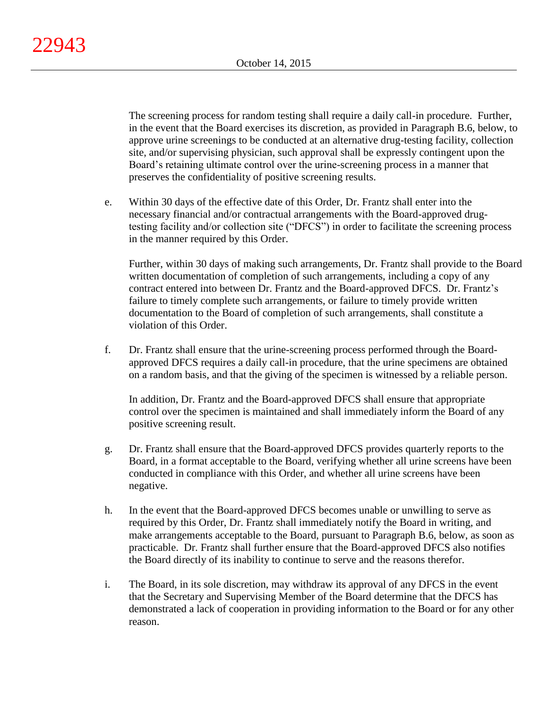The screening process for random testing shall require a daily call-in procedure. Further, in the event that the Board exercises its discretion, as provided in Paragraph B.6, below, to approve urine screenings to be conducted at an alternative drug-testing facility, collection site, and/or supervising physician, such approval shall be expressly contingent upon the Board's retaining ultimate control over the urine-screening process in a manner that preserves the confidentiality of positive screening results.

e. Within 30 days of the effective date of this Order, Dr. Frantz shall enter into the necessary financial and/or contractual arrangements with the Board-approved drugtesting facility and/or collection site ("DFCS") in order to facilitate the screening process in the manner required by this Order.

Further, within 30 days of making such arrangements, Dr. Frantz shall provide to the Board written documentation of completion of such arrangements, including a copy of any contract entered into between Dr. Frantz and the Board-approved DFCS. Dr. Frantz's failure to timely complete such arrangements, or failure to timely provide written documentation to the Board of completion of such arrangements, shall constitute a violation of this Order.

f. Dr. Frantz shall ensure that the urine-screening process performed through the Boardapproved DFCS requires a daily call-in procedure, that the urine specimens are obtained on a random basis, and that the giving of the specimen is witnessed by a reliable person.

In addition, Dr. Frantz and the Board-approved DFCS shall ensure that appropriate control over the specimen is maintained and shall immediately inform the Board of any positive screening result.

- g. Dr. Frantz shall ensure that the Board-approved DFCS provides quarterly reports to the Board, in a format acceptable to the Board, verifying whether all urine screens have been conducted in compliance with this Order, and whether all urine screens have been negative.
- h. In the event that the Board-approved DFCS becomes unable or unwilling to serve as required by this Order, Dr. Frantz shall immediately notify the Board in writing, and make arrangements acceptable to the Board, pursuant to Paragraph B.6, below, as soon as practicable. Dr. Frantz shall further ensure that the Board-approved DFCS also notifies the Board directly of its inability to continue to serve and the reasons therefor.
- i. The Board, in its sole discretion, may withdraw its approval of any DFCS in the event that the Secretary and Supervising Member of the Board determine that the DFCS has demonstrated a lack of cooperation in providing information to the Board or for any other reason.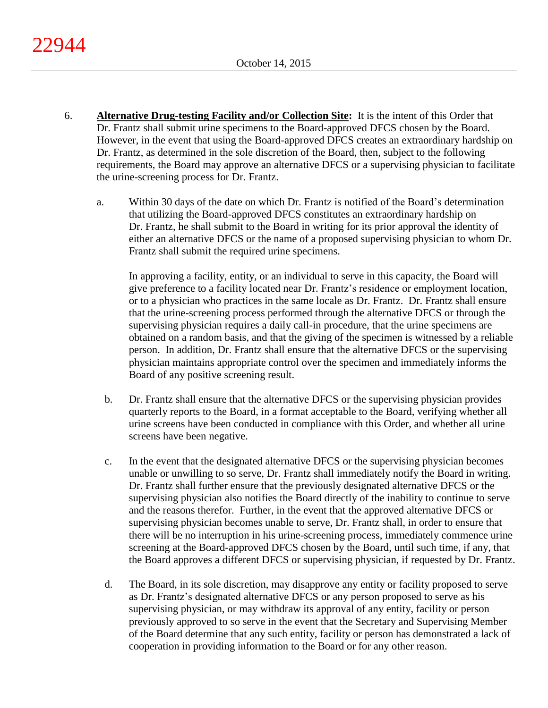- 6. **Alternative Drug-testing Facility and/or Collection Site:** It is the intent of this Order that Dr. Frantz shall submit urine specimens to the Board-approved DFCS chosen by the Board. However, in the event that using the Board-approved DFCS creates an extraordinary hardship on Dr. Frantz, as determined in the sole discretion of the Board, then, subject to the following requirements, the Board may approve an alternative DFCS or a supervising physician to facilitate the urine-screening process for Dr. Frantz.
	- a. Within 30 days of the date on which Dr. Frantz is notified of the Board's determination that utilizing the Board-approved DFCS constitutes an extraordinary hardship on Dr. Frantz, he shall submit to the Board in writing for its prior approval the identity of either an alternative DFCS or the name of a proposed supervising physician to whom Dr. Frantz shall submit the required urine specimens.

In approving a facility, entity, or an individual to serve in this capacity, the Board will give preference to a facility located near Dr. Frantz's residence or employment location, or to a physician who practices in the same locale as Dr. Frantz. Dr. Frantz shall ensure that the urine-screening process performed through the alternative DFCS or through the supervising physician requires a daily call-in procedure, that the urine specimens are obtained on a random basis, and that the giving of the specimen is witnessed by a reliable person. In addition, Dr. Frantz shall ensure that the alternative DFCS or the supervising physician maintains appropriate control over the specimen and immediately informs the Board of any positive screening result.

- b. Dr. Frantz shall ensure that the alternative DFCS or the supervising physician provides quarterly reports to the Board, in a format acceptable to the Board, verifying whether all urine screens have been conducted in compliance with this Order, and whether all urine screens have been negative.
- c. In the event that the designated alternative DFCS or the supervising physician becomes unable or unwilling to so serve, Dr. Frantz shall immediately notify the Board in writing. Dr. Frantz shall further ensure that the previously designated alternative DFCS or the supervising physician also notifies the Board directly of the inability to continue to serve and the reasons therefor. Further, in the event that the approved alternative DFCS or supervising physician becomes unable to serve, Dr. Frantz shall, in order to ensure that there will be no interruption in his urine-screening process, immediately commence urine screening at the Board-approved DFCS chosen by the Board, until such time, if any, that the Board approves a different DFCS or supervising physician, if requested by Dr. Frantz.
- d. The Board, in its sole discretion, may disapprove any entity or facility proposed to serve as Dr. Frantz's designated alternative DFCS or any person proposed to serve as his supervising physician, or may withdraw its approval of any entity, facility or person previously approved to so serve in the event that the Secretary and Supervising Member of the Board determine that any such entity, facility or person has demonstrated a lack of cooperation in providing information to the Board or for any other reason.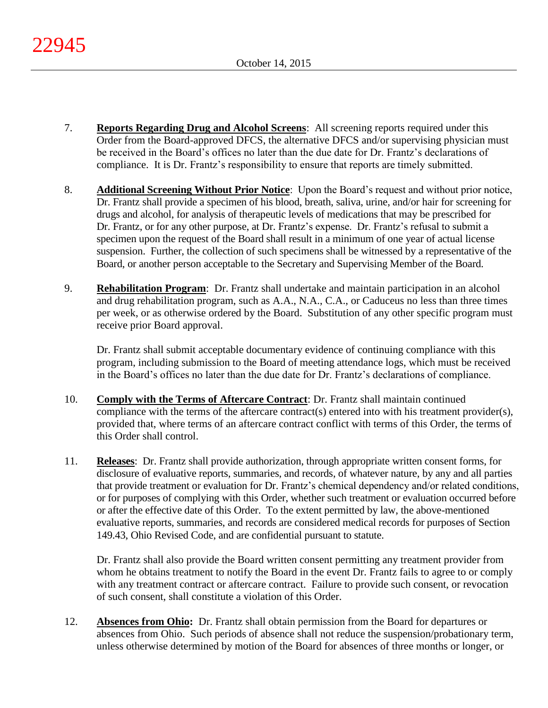- 7. **Reports Regarding Drug and Alcohol Screens**: All screening reports required under this Order from the Board-approved DFCS, the alternative DFCS and/or supervising physician must be received in the Board's offices no later than the due date for Dr. Frantz's declarations of compliance. It is Dr. Frantz's responsibility to ensure that reports are timely submitted.
- 8. **Additional Screening Without Prior Notice**: Upon the Board's request and without prior notice, Dr. Frantz shall provide a specimen of his blood, breath, saliva, urine, and/or hair for screening for drugs and alcohol, for analysis of therapeutic levels of medications that may be prescribed for Dr. Frantz, or for any other purpose, at Dr. Frantz's expense. Dr. Frantz's refusal to submit a specimen upon the request of the Board shall result in a minimum of one year of actual license suspension. Further, the collection of such specimens shall be witnessed by a representative of the Board, or another person acceptable to the Secretary and Supervising Member of the Board.
- 9. **Rehabilitation Program**: Dr. Frantz shall undertake and maintain participation in an alcohol and drug rehabilitation program, such as A.A., N.A., C.A., or Caduceus no less than three times per week, or as otherwise ordered by the Board. Substitution of any other specific program must receive prior Board approval.

Dr. Frantz shall submit acceptable documentary evidence of continuing compliance with this program, including submission to the Board of meeting attendance logs, which must be received in the Board's offices no later than the due date for Dr. Frantz's declarations of compliance.

- 10. **Comply with the Terms of Aftercare Contract**: Dr. Frantz shall maintain continued compliance with the terms of the aftercare contract(s) entered into with his treatment provider(s), provided that, where terms of an aftercare contract conflict with terms of this Order, the terms of this Order shall control.
- 11. **Releases**: Dr. Frantz shall provide authorization, through appropriate written consent forms, for disclosure of evaluative reports, summaries, and records, of whatever nature, by any and all parties that provide treatment or evaluation for Dr. Frantz's chemical dependency and/or related conditions, or for purposes of complying with this Order, whether such treatment or evaluation occurred before or after the effective date of this Order. To the extent permitted by law, the above-mentioned evaluative reports, summaries, and records are considered medical records for purposes of Section 149.43, Ohio Revised Code, and are confidential pursuant to statute.

Dr. Frantz shall also provide the Board written consent permitting any treatment provider from whom he obtains treatment to notify the Board in the event Dr. Frantz fails to agree to or comply with any treatment contract or aftercare contract. Failure to provide such consent, or revocation of such consent, shall constitute a violation of this Order.

12. **Absences from Ohio:** Dr. Frantz shall obtain permission from the Board for departures or absences from Ohio. Such periods of absence shall not reduce the suspension/probationary term, unless otherwise determined by motion of the Board for absences of three months or longer, or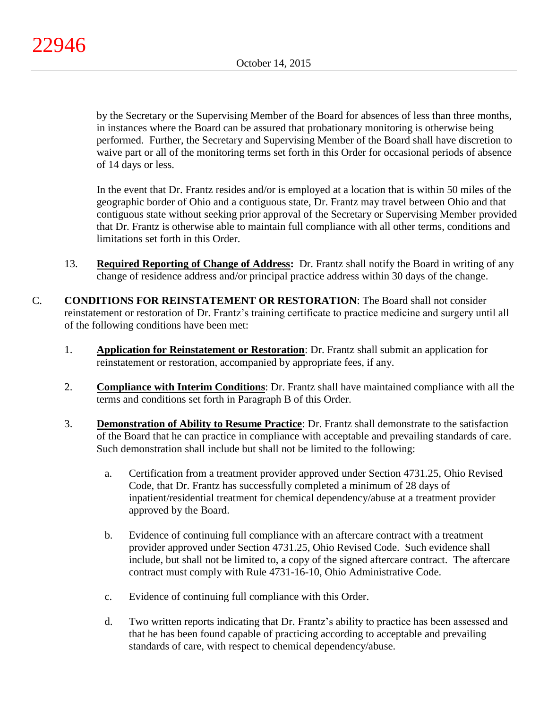by the Secretary or the Supervising Member of the Board for absences of less than three months, in instances where the Board can be assured that probationary monitoring is otherwise being performed. Further, the Secretary and Supervising Member of the Board shall have discretion to waive part or all of the monitoring terms set forth in this Order for occasional periods of absence of 14 days or less.

In the event that Dr. Frantz resides and/or is employed at a location that is within 50 miles of the geographic border of Ohio and a contiguous state, Dr. Frantz may travel between Ohio and that contiguous state without seeking prior approval of the Secretary or Supervising Member provided that Dr. Frantz is otherwise able to maintain full compliance with all other terms, conditions and limitations set forth in this Order.

- 13. **Required Reporting of Change of Address:** Dr. Frantz shall notify the Board in writing of any change of residence address and/or principal practice address within 30 days of the change.
- C. **CONDITIONS FOR REINSTATEMENT OR RESTORATION**: The Board shall not consider reinstatement or restoration of Dr. Frantz's training certificate to practice medicine and surgery until all of the following conditions have been met:
	- 1. **Application for Reinstatement or Restoration**: Dr. Frantz shall submit an application for reinstatement or restoration, accompanied by appropriate fees, if any.
	- 2. **Compliance with Interim Conditions**: Dr. Frantz shall have maintained compliance with all the terms and conditions set forth in Paragraph B of this Order.
	- 3. **Demonstration of Ability to Resume Practice**: Dr. Frantz shall demonstrate to the satisfaction of the Board that he can practice in compliance with acceptable and prevailing standards of care. Such demonstration shall include but shall not be limited to the following:
		- a. Certification from a treatment provider approved under Section 4731.25, Ohio Revised Code, that Dr. Frantz has successfully completed a minimum of 28 days of inpatient/residential treatment for chemical dependency/abuse at a treatment provider approved by the Board.
		- b. Evidence of continuing full compliance with an aftercare contract with a treatment provider approved under Section 4731.25, Ohio Revised Code. Such evidence shall include, but shall not be limited to, a copy of the signed aftercare contract. The aftercare contract must comply with Rule 4731-16-10, Ohio Administrative Code.
		- c. Evidence of continuing full compliance with this Order.
		- d. Two written reports indicating that Dr. Frantz's ability to practice has been assessed and that he has been found capable of practicing according to acceptable and prevailing standards of care, with respect to chemical dependency/abuse.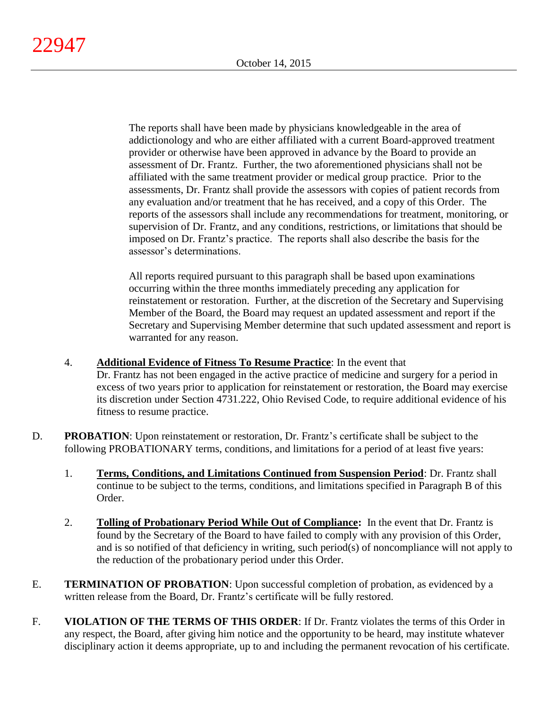The reports shall have been made by physicians knowledgeable in the area of addictionology and who are either affiliated with a current Board-approved treatment provider or otherwise have been approved in advance by the Board to provide an assessment of Dr. Frantz. Further, the two aforementioned physicians shall not be affiliated with the same treatment provider or medical group practice. Prior to the assessments, Dr. Frantz shall provide the assessors with copies of patient records from any evaluation and/or treatment that he has received, and a copy of this Order. The reports of the assessors shall include any recommendations for treatment, monitoring, or supervision of Dr. Frantz, and any conditions, restrictions, or limitations that should be imposed on Dr. Frantz's practice. The reports shall also describe the basis for the assessor's determinations.

All reports required pursuant to this paragraph shall be based upon examinations occurring within the three months immediately preceding any application for reinstatement or restoration. Further, at the discretion of the Secretary and Supervising Member of the Board, the Board may request an updated assessment and report if the Secretary and Supervising Member determine that such updated assessment and report is warranted for any reason.

- 4. **Additional Evidence of Fitness To Resume Practice**: In the event that Dr. Frantz has not been engaged in the active practice of medicine and surgery for a period in excess of two years prior to application for reinstatement or restoration, the Board may exercise its discretion under Section 4731.222, Ohio Revised Code, to require additional evidence of his fitness to resume practice.
- D. **PROBATION:** Upon reinstatement or restoration, Dr. Frantz's certificate shall be subject to the following PROBATIONARY terms, conditions, and limitations for a period of at least five years:
	- 1. **Terms, Conditions, and Limitations Continued from Suspension Period**: Dr. Frantz shall continue to be subject to the terms, conditions, and limitations specified in Paragraph B of this Order.
	- 2. **Tolling of Probationary Period While Out of Compliance:** In the event that Dr. Frantz is found by the Secretary of the Board to have failed to comply with any provision of this Order, and is so notified of that deficiency in writing, such period(s) of noncompliance will not apply to the reduction of the probationary period under this Order.
- E. **TERMINATION OF PROBATION**: Upon successful completion of probation, as evidenced by a written release from the Board, Dr. Frantz's certificate will be fully restored.
- F. **VIOLATION OF THE TERMS OF THIS ORDER**: If Dr. Frantz violates the terms of this Order in any respect, the Board, after giving him notice and the opportunity to be heard, may institute whatever disciplinary action it deems appropriate, up to and including the permanent revocation of his certificate.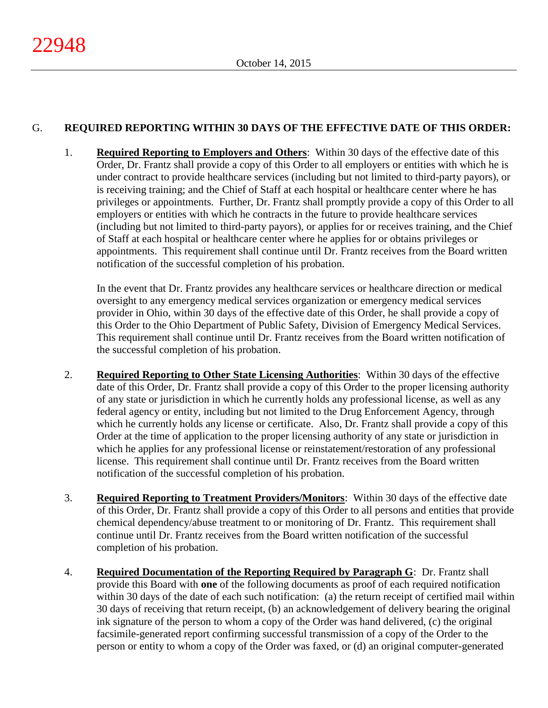# G. **REQUIRED REPORTING WITHIN 30 DAYS OF THE EFFECTIVE DATE OF THIS ORDER:**

1. **Required Reporting to Employers and Others**: Within 30 days of the effective date of this Order, Dr. Frantz shall provide a copy of this Order to all employers or entities with which he is under contract to provide healthcare services (including but not limited to third-party payors), or is receiving training; and the Chief of Staff at each hospital or healthcare center where he has privileges or appointments. Further, Dr. Frantz shall promptly provide a copy of this Order to all employers or entities with which he contracts in the future to provide healthcare services (including but not limited to third-party payors), or applies for or receives training, and the Chief of Staff at each hospital or healthcare center where he applies for or obtains privileges or appointments. This requirement shall continue until Dr. Frantz receives from the Board written notification of the successful completion of his probation.

In the event that Dr. Frantz provides any healthcare services or healthcare direction or medical oversight to any emergency medical services organization or emergency medical services provider in Ohio, within 30 days of the effective date of this Order, he shall provide a copy of this Order to the Ohio Department of Public Safety, Division of Emergency Medical Services. This requirement shall continue until Dr. Frantz receives from the Board written notification of the successful completion of his probation.

- 2. **Required Reporting to Other State Licensing Authorities**: Within 30 days of the effective date of this Order, Dr. Frantz shall provide a copy of this Order to the proper licensing authority of any state or jurisdiction in which he currently holds any professional license, as well as any federal agency or entity, including but not limited to the Drug Enforcement Agency, through which he currently holds any license or certificate. Also, Dr. Frantz shall provide a copy of this Order at the time of application to the proper licensing authority of any state or jurisdiction in which he applies for any professional license or reinstatement/restoration of any professional license. This requirement shall continue until Dr. Frantz receives from the Board written notification of the successful completion of his probation.
- 3. **Required Reporting to Treatment Providers/Monitors**: Within 30 days of the effective date of this Order, Dr. Frantz shall provide a copy of this Order to all persons and entities that provide chemical dependency/abuse treatment to or monitoring of Dr. Frantz. This requirement shall continue until Dr. Frantz receives from the Board written notification of the successful completion of his probation.
- 4. **Required Documentation of the Reporting Required by Paragraph G**: Dr. Frantz shall provide this Board with **one** of the following documents as proof of each required notification within 30 days of the date of each such notification: (a) the return receipt of certified mail within 30 days of receiving that return receipt, (b) an acknowledgement of delivery bearing the original ink signature of the person to whom a copy of the Order was hand delivered, (c) the original facsimile-generated report confirming successful transmission of a copy of the Order to the person or entity to whom a copy of the Order was faxed, or (d) an original computer-generated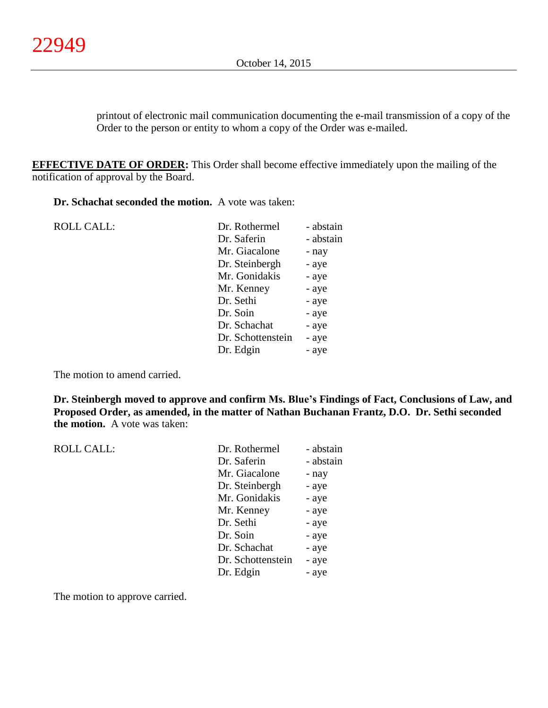printout of electronic mail communication documenting the e-mail transmission of a copy of the Order to the person or entity to whom a copy of the Order was e-mailed.

**EFFECTIVE DATE OF ORDER:** This Order shall become effective immediately upon the mailing of the notification of approval by the Board.

**Dr. Schachat seconded the motion.** A vote was taken:

| <b>ROLL CALL:</b> | Dr. Rothermel     | - abstain |
|-------------------|-------------------|-----------|
|                   | Dr. Saferin       | - abstain |
|                   | Mr. Giacalone     | - nay     |
|                   | Dr. Steinbergh    | - aye     |
|                   | Mr. Gonidakis     | - aye     |
|                   | Mr. Kenney        | - aye     |
|                   | Dr. Sethi         | - aye     |
|                   | Dr. Soin          | - aye     |
|                   | Dr. Schachat      | - aye     |
|                   | Dr. Schottenstein | - aye     |
|                   | Dr. Edgin         | - aye     |
|                   |                   |           |

The motion to amend carried.

**Dr. Steinbergh moved to approve and confirm Ms. Blue's Findings of Fact, Conclusions of Law, and Proposed Order, as amended, in the matter of Nathan Buchanan Frantz, D.O. Dr. Sethi seconded the motion.** A vote was taken:

| <b>ROLL CALL:</b> | Dr. Rothermel     | - abstain |
|-------------------|-------------------|-----------|
|                   | Dr. Saferin       | - abstain |
|                   | Mr. Giacalone     | - nay     |
|                   | Dr. Steinbergh    | - aye     |
|                   | Mr. Gonidakis     | - aye     |
|                   | Mr. Kenney        | - aye     |
|                   | Dr. Sethi         | - aye     |
|                   | Dr. Soin          | - aye     |
|                   | Dr. Schachat      | - aye     |
|                   | Dr. Schottenstein | - aye     |
|                   | Dr. Edgin         | - aye     |
|                   |                   |           |

The motion to approve carried.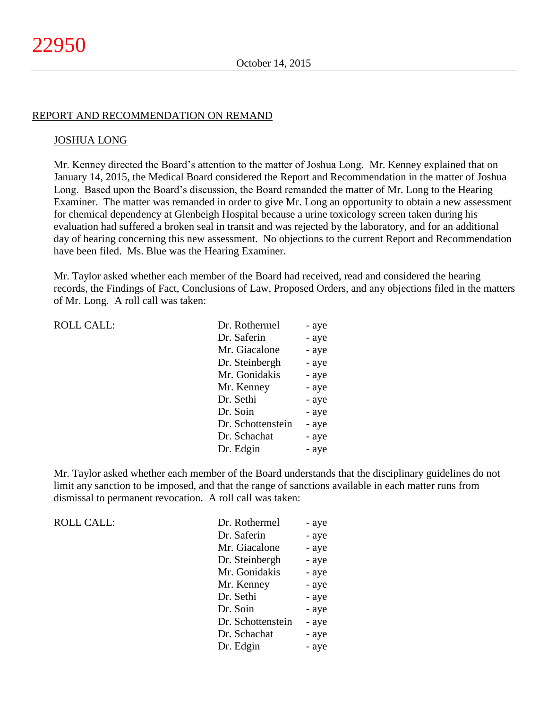#### REPORT AND RECOMMENDATION ON REMAND

#### JOSHUA LONG

Mr. Kenney directed the Board's attention to the matter of Joshua Long. Mr. Kenney explained that on January 14, 2015, the Medical Board considered the Report and Recommendation in the matter of Joshua Long. Based upon the Board's discussion, the Board remanded the matter of Mr. Long to the Hearing Examiner. The matter was remanded in order to give Mr. Long an opportunity to obtain a new assessment for chemical dependency at Glenbeigh Hospital because a urine toxicology screen taken during his evaluation had suffered a broken seal in transit and was rejected by the laboratory, and for an additional day of hearing concerning this new assessment. No objections to the current Report and Recommendation have been filed. Ms. Blue was the Hearing Examiner.

Mr. Taylor asked whether each member of the Board had received, read and considered the hearing records, the Findings of Fact, Conclusions of Law, Proposed Orders, and any objections filed in the matters of Mr. Long. A roll call was taken:

| Dr. Rothermel     | - aye |
|-------------------|-------|
| Dr. Saferin       | - aye |
| Mr. Giacalone     | - aye |
| Dr. Steinbergh    | - aye |
| Mr. Gonidakis     | - aye |
| Mr. Kenney        | - aye |
| Dr. Sethi         | - aye |
| Dr. Soin          | - aye |
| Dr. Schottenstein | - aye |
| Dr. Schachat      | - aye |
| Dr. Edgin         | - aye |

Mr. Taylor asked whether each member of the Board understands that the disciplinary guidelines do not limit any sanction to be imposed, and that the range of sanctions available in each matter runs from dismissal to permanent revocation. A roll call was taken:

 $ROLL CALL$ :

ROLL CALL:

| Dr. Rothermel     | - aye |
|-------------------|-------|
| Dr. Saferin       | - aye |
| Mr. Giacalone     | - aye |
| Dr. Steinbergh    | - aye |
| Mr. Gonidakis     | - aye |
| Mr. Kenney        | - aye |
| Dr. Sethi         | - aye |
| Dr. Soin          | - aye |
| Dr. Schottenstein | - aye |
| Dr. Schachat      | - aye |
| Dr. Edgin         | - aye |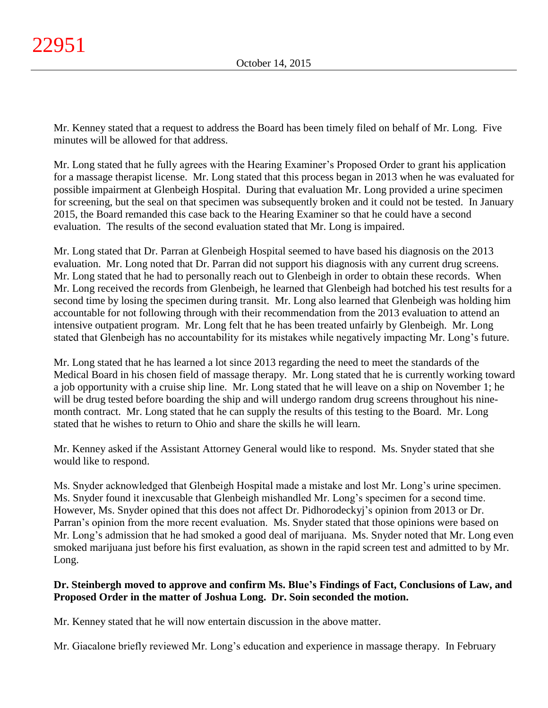Mr. Kenney stated that a request to address the Board has been timely filed on behalf of Mr. Long. Five minutes will be allowed for that address.

Mr. Long stated that he fully agrees with the Hearing Examiner's Proposed Order to grant his application for a massage therapist license. Mr. Long stated that this process began in 2013 when he was evaluated for possible impairment at Glenbeigh Hospital. During that evaluation Mr. Long provided a urine specimen for screening, but the seal on that specimen was subsequently broken and it could not be tested. In January 2015, the Board remanded this case back to the Hearing Examiner so that he could have a second evaluation. The results of the second evaluation stated that Mr. Long is impaired.

Mr. Long stated that Dr. Parran at Glenbeigh Hospital seemed to have based his diagnosis on the 2013 evaluation. Mr. Long noted that Dr. Parran did not support his diagnosis with any current drug screens. Mr. Long stated that he had to personally reach out to Glenbeigh in order to obtain these records. When Mr. Long received the records from Glenbeigh, he learned that Glenbeigh had botched his test results for a second time by losing the specimen during transit. Mr. Long also learned that Glenbeigh was holding him accountable for not following through with their recommendation from the 2013 evaluation to attend an intensive outpatient program. Mr. Long felt that he has been treated unfairly by Glenbeigh. Mr. Long stated that Glenbeigh has no accountability for its mistakes while negatively impacting Mr. Long's future.

Mr. Long stated that he has learned a lot since 2013 regarding the need to meet the standards of the Medical Board in his chosen field of massage therapy. Mr. Long stated that he is currently working toward a job opportunity with a cruise ship line. Mr. Long stated that he will leave on a ship on November 1; he will be drug tested before boarding the ship and will undergo random drug screens throughout his ninemonth contract. Mr. Long stated that he can supply the results of this testing to the Board. Mr. Long stated that he wishes to return to Ohio and share the skills he will learn.

Mr. Kenney asked if the Assistant Attorney General would like to respond. Ms. Snyder stated that she would like to respond.

Ms. Snyder acknowledged that Glenbeigh Hospital made a mistake and lost Mr. Long's urine specimen. Ms. Snyder found it inexcusable that Glenbeigh mishandled Mr. Long's specimen for a second time. However, Ms. Snyder opined that this does not affect Dr. Pidhorodeckyj's opinion from 2013 or Dr. Parran's opinion from the more recent evaluation. Ms. Snyder stated that those opinions were based on Mr. Long's admission that he had smoked a good deal of marijuana. Ms. Snyder noted that Mr. Long even smoked marijuana just before his first evaluation, as shown in the rapid screen test and admitted to by Mr. Long.

# **Dr. Steinbergh moved to approve and confirm Ms. Blue's Findings of Fact, Conclusions of Law, and Proposed Order in the matter of Joshua Long. Dr. Soin seconded the motion.**

Mr. Kenney stated that he will now entertain discussion in the above matter.

Mr. Giacalone briefly reviewed Mr. Long's education and experience in massage therapy. In February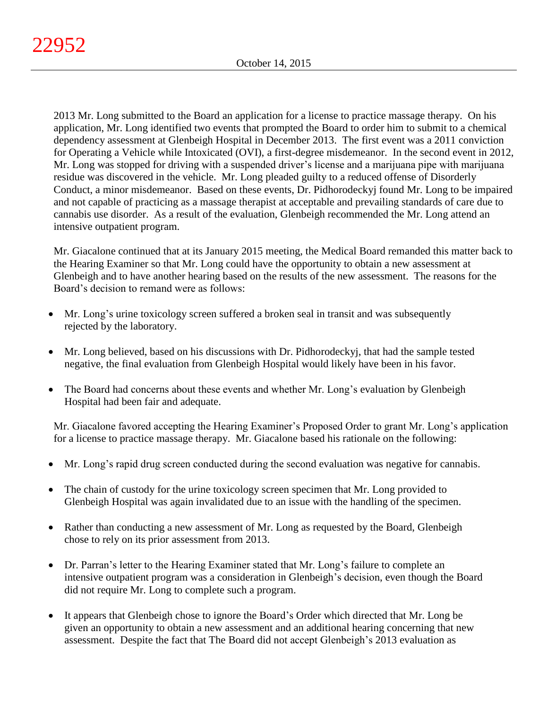2013 Mr. Long submitted to the Board an application for a license to practice massage therapy. On his application, Mr. Long identified two events that prompted the Board to order him to submit to a chemical dependency assessment at Glenbeigh Hospital in December 2013. The first event was a 2011 conviction for Operating a Vehicle while Intoxicated (OVI), a first-degree misdemeanor. In the second event in 2012, Mr. Long was stopped for driving with a suspended driver's license and a marijuana pipe with marijuana residue was discovered in the vehicle. Mr. Long pleaded guilty to a reduced offense of Disorderly Conduct, a minor misdemeanor. Based on these events, Dr. Pidhorodeckyj found Mr. Long to be impaired and not capable of practicing as a massage therapist at acceptable and prevailing standards of care due to cannabis use disorder. As a result of the evaluation, Glenbeigh recommended the Mr. Long attend an intensive outpatient program.

Mr. Giacalone continued that at its January 2015 meeting, the Medical Board remanded this matter back to the Hearing Examiner so that Mr. Long could have the opportunity to obtain a new assessment at Glenbeigh and to have another hearing based on the results of the new assessment. The reasons for the Board's decision to remand were as follows:

- Mr. Long's urine toxicology screen suffered a broken seal in transit and was subsequently rejected by the laboratory.
- Mr. Long believed, based on his discussions with Dr. Pidhorodeckyj, that had the sample tested negative, the final evaluation from Glenbeigh Hospital would likely have been in his favor.
- The Board had concerns about these events and whether Mr. Long's evaluation by Glenbeigh Hospital had been fair and adequate.

Mr. Giacalone favored accepting the Hearing Examiner's Proposed Order to grant Mr. Long's application for a license to practice massage therapy. Mr. Giacalone based his rationale on the following:

- Mr. Long's rapid drug screen conducted during the second evaluation was negative for cannabis.
- The chain of custody for the urine toxicology screen specimen that Mr. Long provided to Glenbeigh Hospital was again invalidated due to an issue with the handling of the specimen.
- Rather than conducting a new assessment of Mr. Long as requested by the Board, Glenbeigh chose to rely on its prior assessment from 2013.
- Dr. Parran's letter to the Hearing Examiner stated that Mr. Long's failure to complete an intensive outpatient program was a consideration in Glenbeigh's decision, even though the Board did not require Mr. Long to complete such a program.
- It appears that Glenbeigh chose to ignore the Board's Order which directed that Mr. Long be given an opportunity to obtain a new assessment and an additional hearing concerning that new assessment. Despite the fact that The Board did not accept Glenbeigh's 2013 evaluation as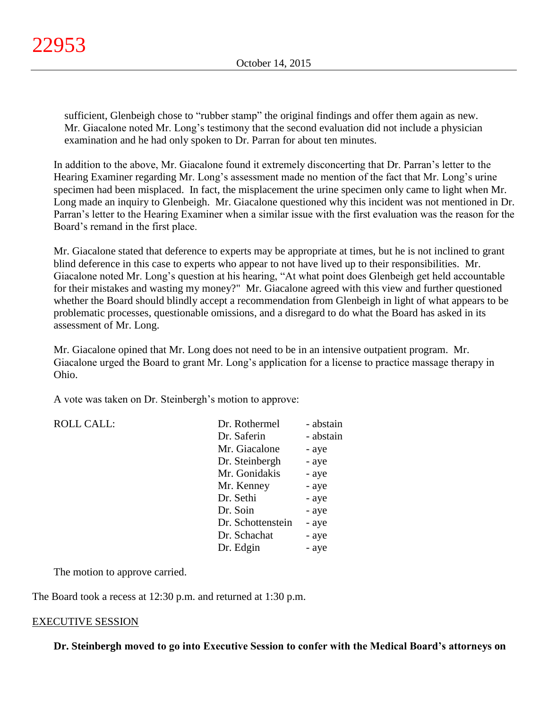sufficient, Glenbeigh chose to "rubber stamp" the original findings and offer them again as new. Mr. Giacalone noted Mr. Long's testimony that the second evaluation did not include a physician examination and he had only spoken to Dr. Parran for about ten minutes.

In addition to the above, Mr. Giacalone found it extremely disconcerting that Dr. Parran's letter to the Hearing Examiner regarding Mr. Long's assessment made no mention of the fact that Mr. Long's urine specimen had been misplaced. In fact, the misplacement the urine specimen only came to light when Mr. Long made an inquiry to Glenbeigh. Mr. Giacalone questioned why this incident was not mentioned in Dr. Parran's letter to the Hearing Examiner when a similar issue with the first evaluation was the reason for the Board's remand in the first place.

Mr. Giacalone stated that deference to experts may be appropriate at times, but he is not inclined to grant blind deference in this case to experts who appear to not have lived up to their responsibilities. Mr. Giacalone noted Mr. Long's question at his hearing, "At what point does Glenbeigh get held accountable for their mistakes and wasting my money?" Mr. Giacalone agreed with this view and further questioned whether the Board should blindly accept a recommendation from Glenbeigh in light of what appears to be problematic processes, questionable omissions, and a disregard to do what the Board has asked in its assessment of Mr. Long.

Mr. Giacalone opined that Mr. Long does not need to be in an intensive outpatient program. Mr. Giacalone urged the Board to grant Mr. Long's application for a license to practice massage therapy in Ohio.

A vote was taken on Dr. Steinbergh's motion to approve:

| <b>ROLL CALL:</b> | Dr. Rothermel     | - abstain |
|-------------------|-------------------|-----------|
|                   | Dr. Saferin       | - abstain |
|                   | Mr. Giacalone     | - aye     |
|                   | Dr. Steinbergh    | - aye     |
|                   | Mr. Gonidakis     | - aye     |
|                   | Mr. Kenney        | - aye     |
|                   | Dr. Sethi         | - aye     |
|                   | Dr. Soin          | - aye     |
|                   | Dr. Schottenstein | - aye     |
|                   | Dr. Schachat      | - aye     |
|                   | Dr. Edgin         | - aye     |
|                   |                   |           |

The motion to approve carried.

The Board took a recess at 12:30 p.m. and returned at 1:30 p.m.

#### EXECUTIVE SESSION

**Dr. Steinbergh moved to go into Executive Session to confer with the Medical Board's attorneys on**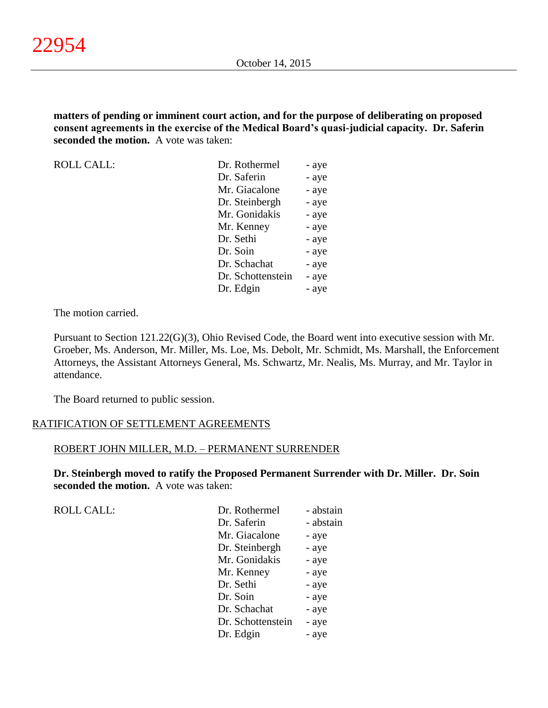**matters of pending or imminent court action, and for the purpose of deliberating on proposed consent agreements in the exercise of the Medical Board's quasi-judicial capacity. Dr. Saferin seconded the motion.** A vote was taken:

ROLL CALL: Dr. Rothermel - aye Dr. Saferin - aye Mr. Giacalone - aye Dr. Steinbergh - aye Mr. Gonidakis - aye Mr. Kenney - aye Dr. Sethi - aye Dr. Soin - aye Dr. Schachat - aye Dr. Schottenstein - aye Dr. Edgin - aye

The motion carried.

Pursuant to Section 121.22(G)(3), Ohio Revised Code, the Board went into executive session with Mr. Groeber, Ms. Anderson, Mr. Miller, Ms. Loe, Ms. Debolt, Mr. Schmidt, Ms. Marshall, the Enforcement Attorneys, the Assistant Attorneys General, Ms. Schwartz, Mr. Nealis, Ms. Murray, and Mr. Taylor in attendance.

The Board returned to public session.

# RATIFICATION OF SETTLEMENT AGREEMENTS

#### ROBERT JOHN MILLER, M.D. – PERMANENT SURRENDER

**Dr. Steinbergh moved to ratify the Proposed Permanent Surrender with Dr. Miller. Dr. Soin seconded the motion.** A vote was taken:

ROLL CALL:

| Dr. Rothermel     | - abstain |
|-------------------|-----------|
| Dr. Saferin       | - abstain |
| Mr. Giacalone     | - aye     |
| Dr. Steinbergh    | - aye     |
| Mr. Gonidakis     | - aye     |
| Mr. Kenney        | - aye     |
| Dr. Sethi         | - aye     |
| Dr. Soin          | - aye     |
| Dr. Schachat      | - aye     |
| Dr. Schottenstein | - aye     |
| Dr. Edgin         | - aye     |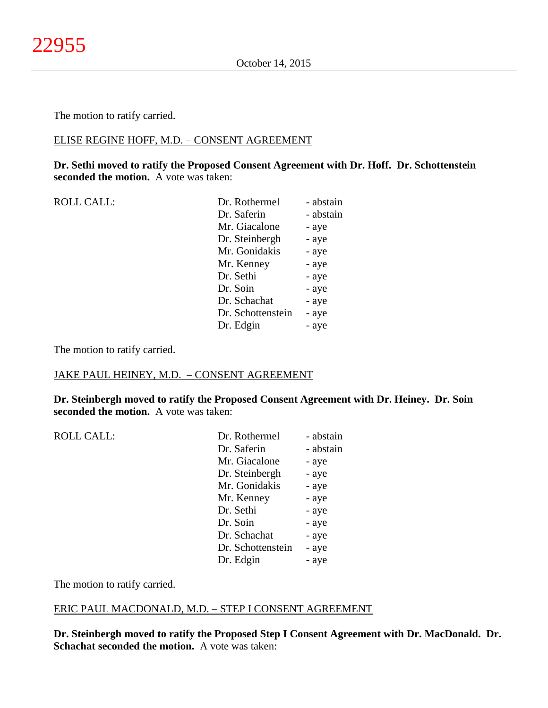The motion to ratify carried.

#### ELISE REGINE HOFF, M.D. – CONSENT AGREEMENT

**Dr. Sethi moved to ratify the Proposed Consent Agreement with Dr. Hoff. Dr. Schottenstein seconded the motion.** A vote was taken:

| <b>ROLL CALL:</b> | Dr. Rothermel     | - abstain |
|-------------------|-------------------|-----------|
|                   | Dr. Saferin       | - abstain |
|                   | Mr. Giacalone     | - aye     |
|                   | Dr. Steinbergh    | - aye     |
|                   | Mr. Gonidakis     | - aye     |
|                   | Mr. Kenney        | - aye     |
|                   | Dr. Sethi         | - aye     |
|                   | Dr. Soin          | - aye     |
|                   | Dr. Schachat      | - aye     |
|                   | Dr. Schottenstein | - aye     |
|                   | Dr. Edgin         | - aye     |
|                   |                   |           |

The motion to ratify carried.

#### JAKE PAUL HEINEY, M.D. – CONSENT AGREEMENT

**Dr. Steinbergh moved to ratify the Proposed Consent Agreement with Dr. Heiney. Dr. Soin seconded the motion.** A vote was taken:

| <b>ROLL CALL:</b> | Dr. Rothermel     | - abstain |
|-------------------|-------------------|-----------|
|                   | Dr. Saferin       | - abstain |
|                   | Mr. Giacalone     | - aye     |
|                   | Dr. Steinbergh    | - aye     |
|                   | Mr. Gonidakis     | - aye     |
|                   | Mr. Kenney        | - aye     |
|                   | Dr. Sethi         | - aye     |
|                   | Dr. Soin          | - aye     |
|                   | Dr. Schachat      | - aye     |
|                   | Dr. Schottenstein | - aye     |
|                   | Dr. Edgin         | - aye     |
|                   |                   |           |

The motion to ratify carried.

#### ERIC PAUL MACDONALD, M.D. – STEP I CONSENT AGREEMENT

**Dr. Steinbergh moved to ratify the Proposed Step I Consent Agreement with Dr. MacDonald. Dr. Schachat seconded the motion.** A vote was taken: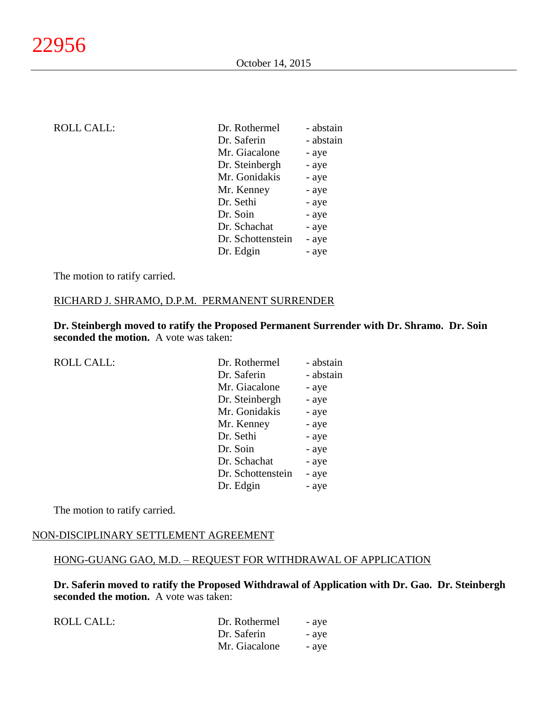| <b>ROLL CALL:</b> | Dr. Rothermel     | - abstain |
|-------------------|-------------------|-----------|
|                   | Dr. Saferin       | - abstain |
|                   | Mr. Giacalone     | - aye     |
|                   | Dr. Steinbergh    | - aye     |
|                   | Mr. Gonidakis     | - aye     |
|                   | Mr. Kenney        | - aye     |
|                   | Dr. Sethi         | - aye     |
|                   | Dr. Soin          | - aye     |
|                   | Dr. Schachat      | - aye     |
|                   | Dr. Schottenstein | - aye     |
|                   | Dr. Edgin         | - aye     |

The motion to ratify carried.

#### RICHARD J. SHRAMO, D.P.M. PERMANENT SURRENDER

**Dr. Steinbergh moved to ratify the Proposed Permanent Surrender with Dr. Shramo. Dr. Soin seconded the motion.** A vote was taken:

| <b>ROLL CALL:</b> | Dr. Rothermel     | - abstain |
|-------------------|-------------------|-----------|
|                   | Dr. Saferin       | - abstain |
|                   | Mr. Giacalone     | - aye     |
|                   | Dr. Steinbergh    | - aye     |
|                   | Mr. Gonidakis     | - aye     |
|                   | Mr. Kenney        | - aye     |
|                   | Dr. Sethi         | - aye     |
|                   | Dr. Soin          | - aye     |
|                   | Dr. Schachat      | - aye     |
|                   | Dr. Schottenstein | - aye     |
|                   | Dr. Edgin         | - aye     |
|                   |                   |           |

The motion to ratify carried.

#### NON-DISCIPLINARY SETTLEMENT AGREEMENT

#### HONG-GUANG GAO, M.D. – REQUEST FOR WITHDRAWAL OF APPLICATION

**Dr. Saferin moved to ratify the Proposed Withdrawal of Application with Dr. Gao. Dr. Steinbergh seconded the motion.** A vote was taken:

| ROLL CALL: | Dr. Rothermel | - aye |
|------------|---------------|-------|
|            | Dr. Saferin   | - aye |
|            | Mr. Giacalone | - aye |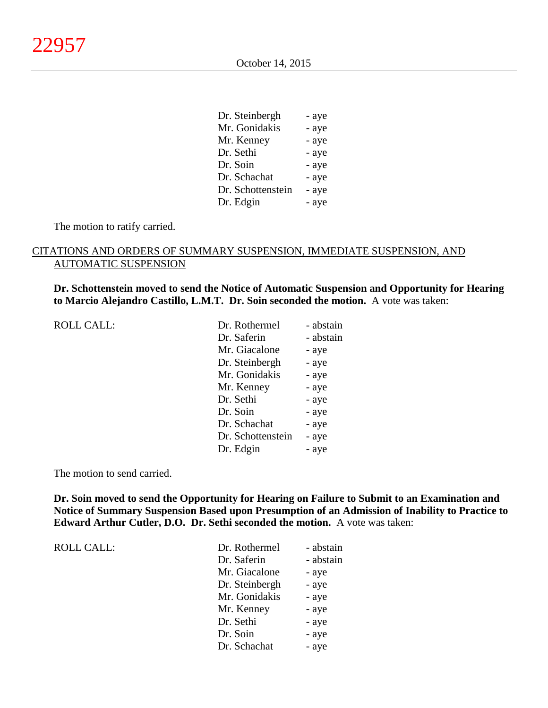$\alpha$ , steinbergh  $\alpha$ 

| Dr. Steinbergh    | - aye |
|-------------------|-------|
| Mr. Gonidakis     | - aye |
| Mr. Kenney        | - aye |
| Dr. Sethi         | - aye |
| Dr. Soin          | - aye |
| Dr. Schachat      | - aye |
| Dr. Schottenstein | - aye |
| Dr. Edgin         | - aye |
|                   |       |

The motion to ratify carried.

# CITATIONS AND ORDERS OF SUMMARY SUSPENSION, IMMEDIATE SUSPENSION, AND AUTOMATIC SUSPENSION

**Dr. Schottenstein moved to send the Notice of Automatic Suspension and Opportunity for Hearing to Marcio Alejandro Castillo, L.M.T. Dr. Soin seconded the motion.** A vote was taken:

| <b>ROLL CALL:</b> | Dr. Rothermel     | - abstain |
|-------------------|-------------------|-----------|
|                   | Dr. Saferin       | - abstain |
|                   | Mr. Giacalone     | - aye     |
|                   | Dr. Steinbergh    | - aye     |
|                   | Mr. Gonidakis     | - aye     |
|                   | Mr. Kenney        | - aye     |
|                   | Dr. Sethi         | - aye     |
|                   | Dr. Soin          | - aye     |
|                   | Dr. Schachat      | - aye     |
|                   | Dr. Schottenstein | - aye     |
|                   | Dr. Edgin         | - aye     |

The motion to send carried.

**Dr. Soin moved to send the Opportunity for Hearing on Failure to Submit to an Examination and Notice of Summary Suspension Based upon Presumption of an Admission of Inability to Practice to Edward Arthur Cutler, D.O. Dr. Sethi seconded the motion.** A vote was taken:

ROLL CALL:  $\qquad \qquad \blacksquare$ 

| Dr. Rothermel  | - abstain |
|----------------|-----------|
| Dr. Saferin    | - abstain |
| Mr. Giacalone  | - aye     |
| Dr. Steinbergh | - aye     |
| Mr. Gonidakis  | - aye     |
| Mr. Kenney     | - aye     |
| Dr. Sethi      | - aye     |
| Dr. Soin       | - aye     |
| Dr. Schachat   | - aye     |
|                |           |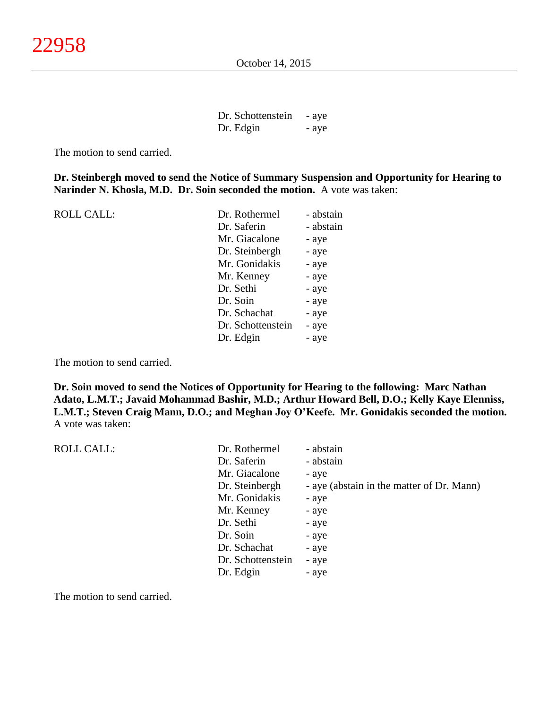| Dr. Schottenstein | - aye |
|-------------------|-------|
| Dr. Edgin         | - aye |

The motion to send carried.

**Dr. Steinbergh moved to send the Notice of Summary Suspension and Opportunity for Hearing to Narinder N. Khosla, M.D. Dr. Soin seconded the motion.** A vote was taken:

| <b>ROLL CALL:</b> | Dr. Rothermel     | - abstain |
|-------------------|-------------------|-----------|
|                   | Dr. Saferin       | - abstain |
|                   | Mr. Giacalone     | - aye     |
|                   | Dr. Steinbergh    | - aye     |
|                   | Mr. Gonidakis     | - aye     |
|                   | Mr. Kenney        | - aye     |
|                   | Dr. Sethi         | - aye     |
|                   | Dr. Soin          | - aye     |
|                   | Dr. Schachat      | - aye     |
|                   | Dr. Schottenstein | - aye     |
|                   | Dr. Edgin         | - aye     |
|                   |                   |           |

The motion to send carried.

**Dr. Soin moved to send the Notices of Opportunity for Hearing to the following: Marc Nathan Adato, L.M.T.; Javaid Mohammad Bashir, M.D.; Arthur Howard Bell, D.O.; Kelly Kaye Elenniss, L.M.T.; Steven Craig Mann, D.O.; and Meghan Joy O'Keefe. Mr. Gonidakis seconded the motion.** A vote was taken:

| <b>ROLL CALL:</b> | Dr. Rothermel     | - abstain                                 |
|-------------------|-------------------|-------------------------------------------|
|                   | Dr. Saferin       | - abstain                                 |
|                   | Mr. Giacalone     | - aye                                     |
|                   | Dr. Steinbergh    | - aye (abstain in the matter of Dr. Mann) |
|                   | Mr. Gonidakis     | - aye                                     |
|                   | Mr. Kenney        | - aye                                     |
|                   | Dr. Sethi         | - aye                                     |
|                   | Dr. Soin          | - aye                                     |
|                   | Dr. Schachat      | - aye                                     |
|                   | Dr. Schottenstein | - aye                                     |
|                   | Dr. Edgin         | - aye                                     |
|                   |                   |                                           |

The motion to send carried.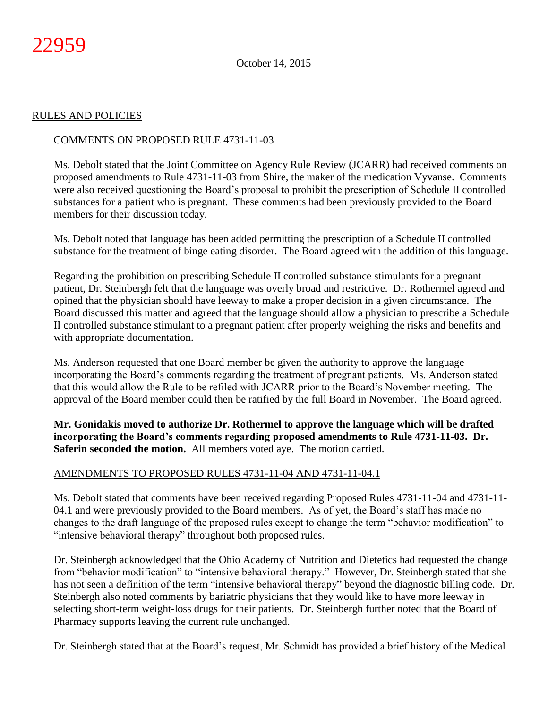# RULES AND POLICIES

# COMMENTS ON PROPOSED RULE 4731-11-03

Ms. Debolt stated that the Joint Committee on Agency Rule Review (JCARR) had received comments on proposed amendments to Rule 4731-11-03 from Shire, the maker of the medication Vyvanse. Comments were also received questioning the Board's proposal to prohibit the prescription of Schedule II controlled substances for a patient who is pregnant. These comments had been previously provided to the Board members for their discussion today.

Ms. Debolt noted that language has been added permitting the prescription of a Schedule II controlled substance for the treatment of binge eating disorder. The Board agreed with the addition of this language.

Regarding the prohibition on prescribing Schedule II controlled substance stimulants for a pregnant patient, Dr. Steinbergh felt that the language was overly broad and restrictive. Dr. Rothermel agreed and opined that the physician should have leeway to make a proper decision in a given circumstance. The Board discussed this matter and agreed that the language should allow a physician to prescribe a Schedule II controlled substance stimulant to a pregnant patient after properly weighing the risks and benefits and with appropriate documentation.

Ms. Anderson requested that one Board member be given the authority to approve the language incorporating the Board's comments regarding the treatment of pregnant patients. Ms. Anderson stated that this would allow the Rule to be refiled with JCARR prior to the Board's November meeting. The approval of the Board member could then be ratified by the full Board in November. The Board agreed.

**Mr. Gonidakis moved to authorize Dr. Rothermel to approve the language which will be drafted incorporating the Board's comments regarding proposed amendments to Rule 4731-11-03. Dr. Saferin seconded the motion.** All members voted aye. The motion carried.

# AMENDMENTS TO PROPOSED RULES 4731-11-04 AND 4731-11-04.1

Ms. Debolt stated that comments have been received regarding Proposed Rules 4731-11-04 and 4731-11- 04.1 and were previously provided to the Board members. As of yet, the Board's staff has made no changes to the draft language of the proposed rules except to change the term "behavior modification" to "intensive behavioral therapy" throughout both proposed rules.

Dr. Steinbergh acknowledged that the Ohio Academy of Nutrition and Dietetics had requested the change from "behavior modification" to "intensive behavioral therapy." However, Dr. Steinbergh stated that she has not seen a definition of the term "intensive behavioral therapy" beyond the diagnostic billing code. Dr. Steinbergh also noted comments by bariatric physicians that they would like to have more leeway in selecting short-term weight-loss drugs for their patients. Dr. Steinbergh further noted that the Board of Pharmacy supports leaving the current rule unchanged.

Dr. Steinbergh stated that at the Board's request, Mr. Schmidt has provided a brief history of the Medical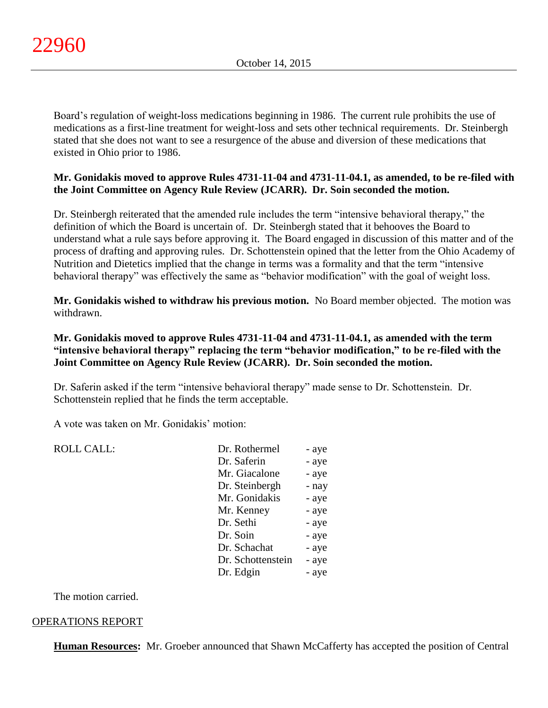Board's regulation of weight-loss medications beginning in 1986. The current rule prohibits the use of medications as a first-line treatment for weight-loss and sets other technical requirements. Dr. Steinbergh stated that she does not want to see a resurgence of the abuse and diversion of these medications that existed in Ohio prior to 1986.

# **Mr. Gonidakis moved to approve Rules 4731-11-04 and 4731-11-04.1, as amended, to be re-filed with the Joint Committee on Agency Rule Review (JCARR). Dr. Soin seconded the motion.**

Dr. Steinbergh reiterated that the amended rule includes the term "intensive behavioral therapy," the definition of which the Board is uncertain of. Dr. Steinbergh stated that it behooves the Board to understand what a rule says before approving it. The Board engaged in discussion of this matter and of the process of drafting and approving rules. Dr. Schottenstein opined that the letter from the Ohio Academy of Nutrition and Dietetics implied that the change in terms was a formality and that the term "intensive behavioral therapy" was effectively the same as "behavior modification" with the goal of weight loss.

**Mr. Gonidakis wished to withdraw his previous motion.** No Board member objected. The motion was withdrawn.

# **Mr. Gonidakis moved to approve Rules 4731-11-04 and 4731-11-04.1, as amended with the term "intensive behavioral therapy" replacing the term "behavior modification," to be re-filed with the Joint Committee on Agency Rule Review (JCARR). Dr. Soin seconded the motion.**

Dr. Saferin asked if the term "intensive behavioral therapy" made sense to Dr. Schottenstein. Dr. Schottenstein replied that he finds the term acceptable.

A vote was taken on Mr. Gonidakis' motion:

| <b>ROLL CALL:</b> | Dr. Rothermel     | - aye |
|-------------------|-------------------|-------|
|                   | Dr. Saferin       | - aye |
|                   | Mr. Giacalone     | - aye |
|                   | Dr. Steinbergh    | - nay |
|                   | Mr. Gonidakis     | - aye |
|                   | Mr. Kenney        | - aye |
|                   | Dr. Sethi         | - aye |
|                   | Dr. Soin          | - aye |
|                   | Dr. Schachat      | - aye |
|                   | Dr. Schottenstein | - aye |
|                   | Dr. Edgin         | - aye |
|                   |                   |       |

The motion carried.

# OPERATIONS REPORT

**Human Resources:** Mr. Groeber announced that Shawn McCafferty has accepted the position of Central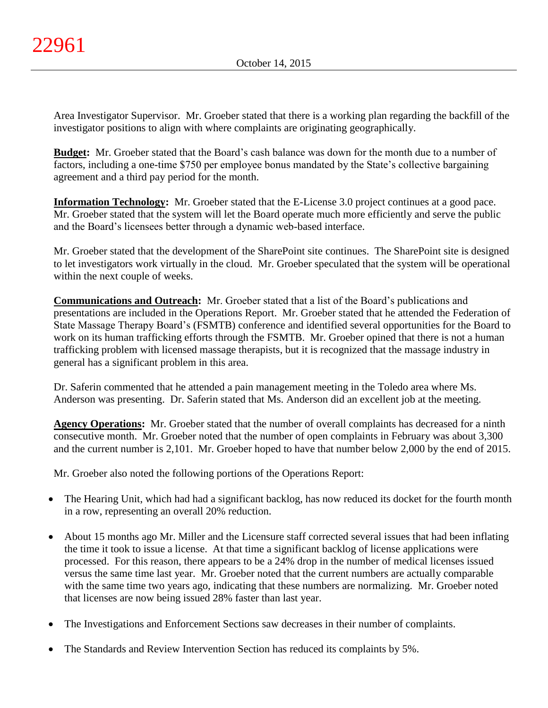Area Investigator Supervisor. Mr. Groeber stated that there is a working plan regarding the backfill of the investigator positions to align with where complaints are originating geographically.

**Budget:** Mr. Groeber stated that the Board's cash balance was down for the month due to a number of factors, including a one-time \$750 per employee bonus mandated by the State's collective bargaining agreement and a third pay period for the month.

**Information Technology:** Mr. Groeber stated that the E-License 3.0 project continues at a good pace. Mr. Groeber stated that the system will let the Board operate much more efficiently and serve the public and the Board's licensees better through a dynamic web-based interface.

Mr. Groeber stated that the development of the SharePoint site continues. The SharePoint site is designed to let investigators work virtually in the cloud. Mr. Groeber speculated that the system will be operational within the next couple of weeks.

**Communications and Outreach:** Mr. Groeber stated that a list of the Board's publications and presentations are included in the Operations Report. Mr. Groeber stated that he attended the Federation of State Massage Therapy Board's (FSMTB) conference and identified several opportunities for the Board to work on its human trafficking efforts through the FSMTB. Mr. Groeber opined that there is not a human trafficking problem with licensed massage therapists, but it is recognized that the massage industry in general has a significant problem in this area.

Dr. Saferin commented that he attended a pain management meeting in the Toledo area where Ms. Anderson was presenting. Dr. Saferin stated that Ms. Anderson did an excellent job at the meeting.

**Agency Operations:** Mr. Groeber stated that the number of overall complaints has decreased for a ninth consecutive month. Mr. Groeber noted that the number of open complaints in February was about 3,300 and the current number is 2,101. Mr. Groeber hoped to have that number below 2,000 by the end of 2015.

Mr. Groeber also noted the following portions of the Operations Report:

- The Hearing Unit, which had had a significant backlog, has now reduced its docket for the fourth month in a row, representing an overall 20% reduction.
- About 15 months ago Mr. Miller and the Licensure staff corrected several issues that had been inflating the time it took to issue a license. At that time a significant backlog of license applications were processed. For this reason, there appears to be a 24% drop in the number of medical licenses issued versus the same time last year. Mr. Groeber noted that the current numbers are actually comparable with the same time two years ago, indicating that these numbers are normalizing. Mr. Groeber noted that licenses are now being issued 28% faster than last year.
- The Investigations and Enforcement Sections saw decreases in their number of complaints.
- The Standards and Review Intervention Section has reduced its complaints by 5%.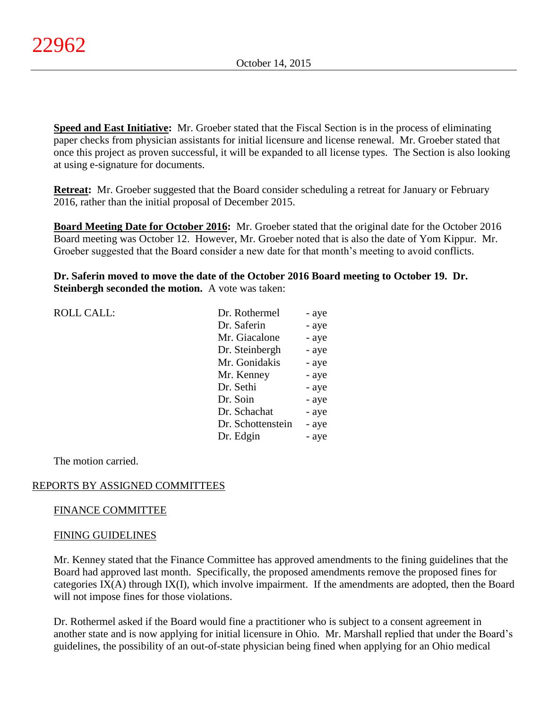**Speed and East Initiative:** Mr. Groeber stated that the Fiscal Section is in the process of eliminating paper checks from physician assistants for initial licensure and license renewal. Mr. Groeber stated that once this project as proven successful, it will be expanded to all license types. The Section is also looking at using e-signature for documents.

**Retreat:** Mr. Groeber suggested that the Board consider scheduling a retreat for January or February 2016, rather than the initial proposal of December 2015.

**Board Meeting Date for October 2016:** Mr. Groeber stated that the original date for the October 2016 Board meeting was October 12. However, Mr. Groeber noted that is also the date of Yom Kippur. Mr. Groeber suggested that the Board consider a new date for that month's meeting to avoid conflicts.

**Dr. Saferin moved to move the date of the October 2016 Board meeting to October 19. Dr. Steinbergh seconded the motion.** A vote was taken:

| <b>ROLL CALL:</b> | Dr. Rothermel     | - aye |
|-------------------|-------------------|-------|
|                   | Dr. Saferin       | - aye |
|                   | Mr. Giacalone     | - aye |
|                   | Dr. Steinbergh    | - aye |
|                   | Mr. Gonidakis     | - aye |
|                   | Mr. Kenney        | - aye |
|                   | Dr. Sethi         | - aye |
|                   | Dr. Soin          | - aye |
|                   | Dr. Schachat      | - aye |
|                   | Dr. Schottenstein | - aye |
|                   | Dr. Edgin         | - aye |
|                   |                   |       |

The motion carried.

# REPORTS BY ASSIGNED COMMITTEES

# FINANCE COMMITTEE

# FINING GUIDELINES

Mr. Kenney stated that the Finance Committee has approved amendments to the fining guidelines that the Board had approved last month. Specifically, the proposed amendments remove the proposed fines for categories IX(A) through IX(I), which involve impairment. If the amendments are adopted, then the Board will not impose fines for those violations.

Dr. Rothermel asked if the Board would fine a practitioner who is subject to a consent agreement in another state and is now applying for initial licensure in Ohio. Mr. Marshall replied that under the Board's guidelines, the possibility of an out-of-state physician being fined when applying for an Ohio medical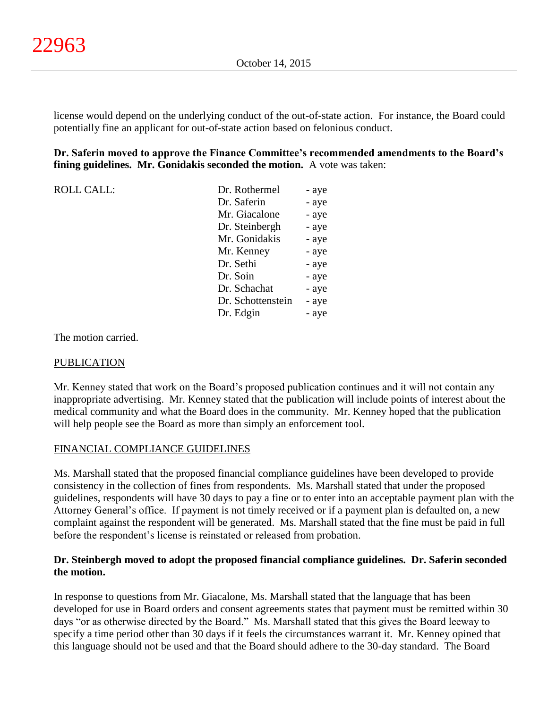license would depend on the underlying conduct of the out-of-state action. For instance, the Board could potentially fine an applicant for out-of-state action based on felonious conduct.

# **Dr. Saferin moved to approve the Finance Committee's recommended amendments to the Board's fining guidelines. Mr. Gonidakis seconded the motion.** A vote was taken:

 $ROLL CALL$ :

| Dr. Rothermel     | - aye |
|-------------------|-------|
| Dr. Saferin       | - aye |
| Mr. Giacalone     | - aye |
| Dr. Steinbergh    | - aye |
| Mr. Gonidakis     | - aye |
| Mr. Kenney        | - aye |
| Dr. Sethi         | - aye |
| Dr. Soin          | - aye |
| Dr. Schachat      | - aye |
| Dr. Schottenstein | - aye |
| Dr. Edgin         | - aye |
|                   |       |

The motion carried.

#### PUBLICATION

Mr. Kenney stated that work on the Board's proposed publication continues and it will not contain any inappropriate advertising. Mr. Kenney stated that the publication will include points of interest about the medical community and what the Board does in the community. Mr. Kenney hoped that the publication will help people see the Board as more than simply an enforcement tool.

# FINANCIAL COMPLIANCE GUIDELINES

Ms. Marshall stated that the proposed financial compliance guidelines have been developed to provide consistency in the collection of fines from respondents. Ms. Marshall stated that under the proposed guidelines, respondents will have 30 days to pay a fine or to enter into an acceptable payment plan with the Attorney General's office. If payment is not timely received or if a payment plan is defaulted on, a new complaint against the respondent will be generated. Ms. Marshall stated that the fine must be paid in full before the respondent's license is reinstated or released from probation.

# **Dr. Steinbergh moved to adopt the proposed financial compliance guidelines. Dr. Saferin seconded the motion.**

In response to questions from Mr. Giacalone, Ms. Marshall stated that the language that has been developed for use in Board orders and consent agreements states that payment must be remitted within 30 days "or as otherwise directed by the Board." Ms. Marshall stated that this gives the Board leeway to specify a time period other than 30 days if it feels the circumstances warrant it. Mr. Kenney opined that this language should not be used and that the Board should adhere to the 30-day standard. The Board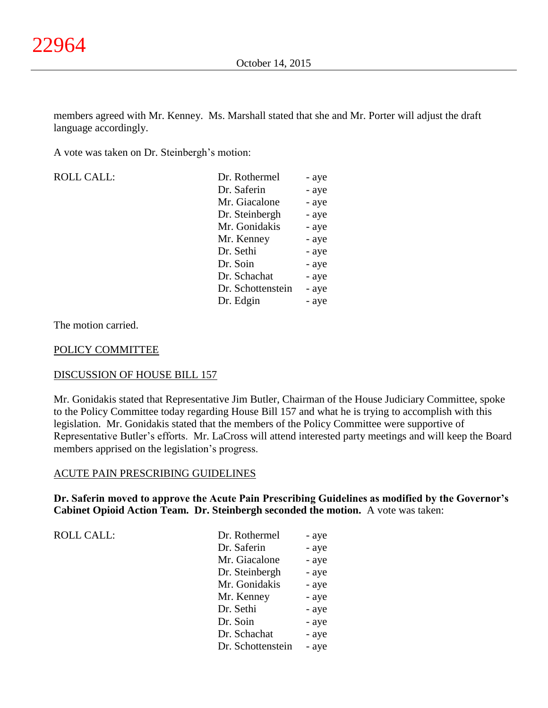members agreed with Mr. Kenney. Ms. Marshall stated that she and Mr. Porter will adjust the draft language accordingly.

A vote was taken on Dr. Steinbergh's motion:

| ROLL CALL: |
|------------|
|            |

| <b>ROLL CALL:</b> | Dr. Rothermel     | - aye |
|-------------------|-------------------|-------|
|                   | Dr. Saferin       | - aye |
|                   | Mr. Giacalone     | - aye |
|                   | Dr. Steinbergh    | - aye |
|                   | Mr. Gonidakis     | - aye |
|                   | Mr. Kenney        | - aye |
|                   | Dr. Sethi         | - aye |
|                   | Dr. Soin          | - aye |
|                   | Dr. Schachat      | - aye |
|                   | Dr. Schottenstein | - aye |
|                   | Dr. Edgin         | - aye |
|                   |                   |       |

The motion carried.

#### POLICY COMMITTEE

# DISCUSSION OF HOUSE BILL 157

Mr. Gonidakis stated that Representative Jim Butler, Chairman of the House Judiciary Committee, spoke to the Policy Committee today regarding House Bill 157 and what he is trying to accomplish with this legislation. Mr. Gonidakis stated that the members of the Policy Committee were supportive of Representative Butler's efforts. Mr. LaCross will attend interested party meetings and will keep the Board members apprised on the legislation's progress.

#### ACUTE PAIN PRESCRIBING GUIDELINES

**Dr. Saferin moved to approve the Acute Pain Prescribing Guidelines as modified by the Governor's Cabinet Opioid Action Team. Dr. Steinbergh seconded the motion.** A vote was taken:

ROLL CALL:

| Dr. Rothermel     | - aye |
|-------------------|-------|
| Dr. Saferin       | - aye |
| Mr. Giacalone     | - aye |
| Dr. Steinbergh    | - aye |
| Mr. Gonidakis     | - aye |
| Mr. Kenney        | - aye |
| Dr. Sethi         | - aye |
| Dr. Soin          | - aye |
| Dr. Schachat      | - aye |
| Dr. Schottenstein | - aye |
|                   |       |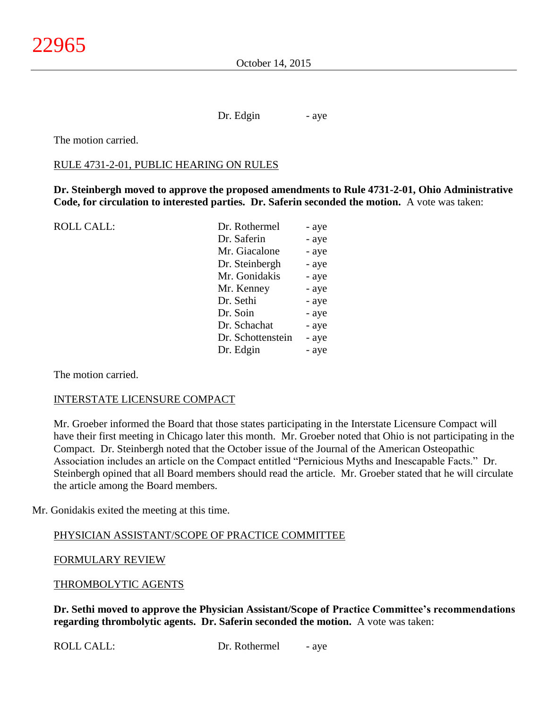Dr. Edgin - aye

The motion carried.

#### RULE 4731-2-01, PUBLIC HEARING ON RULES

**Dr. Steinbergh moved to approve the proposed amendments to Rule 4731-2-01, Ohio Administrative Code, for circulation to interested parties. Dr. Saferin seconded the motion.** A vote was taken:

ROLL CALL: Dr. Rothermel - ave

| LI. KUULUIILI     | - a y v |
|-------------------|---------|
| Dr. Saferin       | - aye   |
| Mr. Giacalone     | - aye   |
| Dr. Steinbergh    | - aye   |
| Mr. Gonidakis     | - aye   |
| Mr. Kenney        | - aye   |
| Dr. Sethi         | - aye   |
| Dr. Soin          | - aye   |
| Dr. Schachat      | - aye   |
| Dr. Schottenstein | - aye   |
| Dr. Edgin         | - aye   |
|                   |         |

The motion carried.

#### INTERSTATE LICENSURE COMPACT

Mr. Groeber informed the Board that those states participating in the Interstate Licensure Compact will have their first meeting in Chicago later this month. Mr. Groeber noted that Ohio is not participating in the Compact. Dr. Steinbergh noted that the October issue of the Journal of the American Osteopathic Association includes an article on the Compact entitled "Pernicious Myths and Inescapable Facts." Dr. Steinbergh opined that all Board members should read the article. Mr. Groeber stated that he will circulate the article among the Board members.

Mr. Gonidakis exited the meeting at this time.

# PHYSICIAN ASSISTANT/SCOPE OF PRACTICE COMMITTEE

FORMULARY REVIEW

THROMBOLYTIC AGENTS

**Dr. Sethi moved to approve the Physician Assistant/Scope of Practice Committee's recommendations regarding thrombolytic agents. Dr. Saferin seconded the motion.** A vote was taken: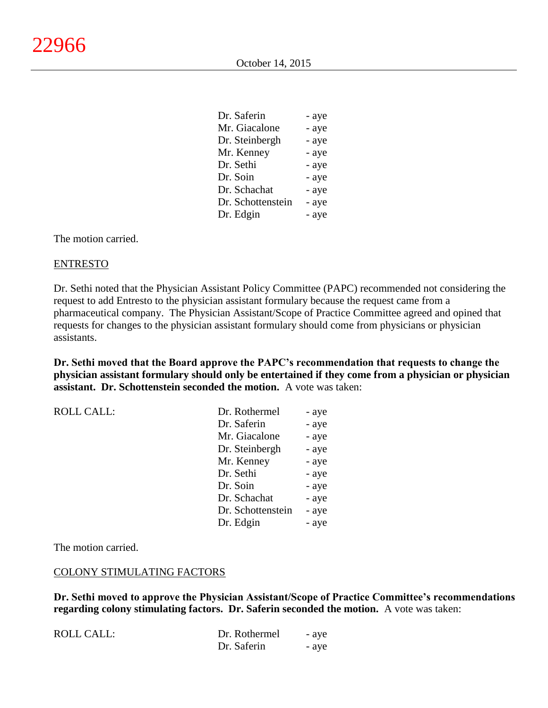$D^{\alpha}$  safering  $\alpha$ 

| Dr. Saferin       | - ave |
|-------------------|-------|
| Mr. Giacalone     | - aye |
| Dr. Steinbergh    | - aye |
| Mr. Kenney        | - aye |
| Dr. Sethi         | - aye |
| Dr. Soin          | - aye |
| Dr. Schachat      | - aye |
| Dr. Schottenstein | - aye |
| Dr. Edgin         | - aye |
|                   |       |

The motion carried.

#### ENTRESTO

Dr. Sethi noted that the Physician Assistant Policy Committee (PAPC) recommended not considering the request to add Entresto to the physician assistant formulary because the request came from a pharmaceutical company. The Physician Assistant/Scope of Practice Committee agreed and opined that requests for changes to the physician assistant formulary should come from physicians or physician assistants.

**Dr. Sethi moved that the Board approve the PAPC's recommendation that requests to change the physician assistant formulary should only be entertained if they come from a physician or physician assistant. Dr. Schottenstein seconded the motion.** A vote was taken:

| <b>ROLL CALL:</b> | Dr. Rothermel     | - aye |
|-------------------|-------------------|-------|
|                   | Dr. Saferin       | - aye |
|                   | Mr. Giacalone     | - aye |
|                   | Dr. Steinbergh    | - aye |
|                   | Mr. Kenney        | - aye |
|                   | Dr. Sethi         | - aye |
|                   | Dr. Soin          | - aye |
|                   | Dr. Schachat      | - aye |
|                   | Dr. Schottenstein | - aye |
|                   | Dr. Edgin         | - aye |

The motion carried.

#### COLONY STIMULATING FACTORS

**Dr. Sethi moved to approve the Physician Assistant/Scope of Practice Committee's recommendations regarding colony stimulating factors. Dr. Saferin seconded the motion.** A vote was taken:

| <b>ROLL CALL:</b> | Dr. Rothermel | - ave |
|-------------------|---------------|-------|
|                   | Dr. Saferin   | - ave |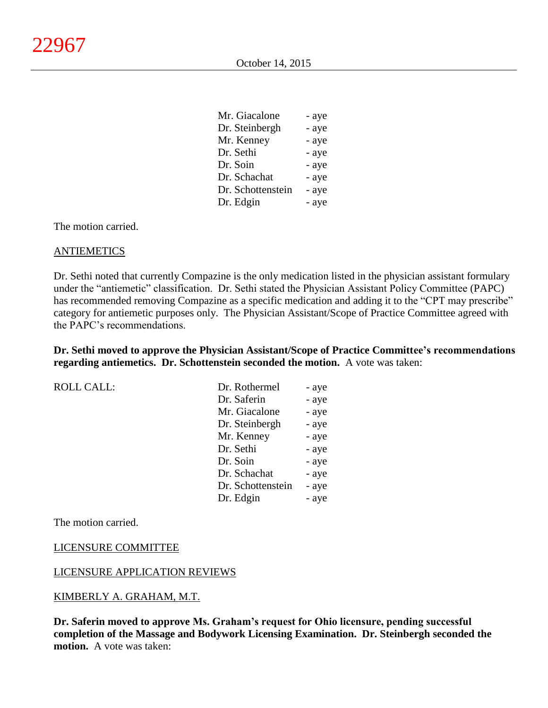| - aye |
|-------|
| - aye |
| - aye |
| - aye |
| - aye |
| - aye |
| - aye |
| - aye |
|       |

 $M<sub>0</sub>$   $\sim$   $M<sub>0</sub>$ 

The motion carried.

#### **ANTIEMETICS**

Dr. Sethi noted that currently Compazine is the only medication listed in the physician assistant formulary under the "antiemetic" classification. Dr. Sethi stated the Physician Assistant Policy Committee (PAPC) has recommended removing Compazine as a specific medication and adding it to the "CPT may prescribe" category for antiemetic purposes only. The Physician Assistant/Scope of Practice Committee agreed with the PAPC's recommendations.

**Dr. Sethi moved to approve the Physician Assistant/Scope of Practice Committee's recommendations regarding antiemetics. Dr. Schottenstein seconded the motion.** A vote was taken:

ROLL CALL:

| Dr. Rothermel     | - aye |
|-------------------|-------|
| Dr. Saferin       | - aye |
| Mr. Giacalone     | - aye |
| Dr. Steinbergh    | - aye |
| Mr. Kenney        | - aye |
| Dr. Sethi         | - aye |
| Dr. Soin          | - aye |
| Dr. Schachat      | - aye |
| Dr. Schottenstein | - aye |
| Dr. Edgin         | - aye |

The motion carried.

#### LICENSURE COMMITTEE

#### LICENSURE APPLICATION REVIEWS

#### KIMBERLY A. GRAHAM, M.T.

**Dr. Saferin moved to approve Ms. Graham's request for Ohio licensure, pending successful completion of the Massage and Bodywork Licensing Examination. Dr. Steinbergh seconded the motion.** A vote was taken: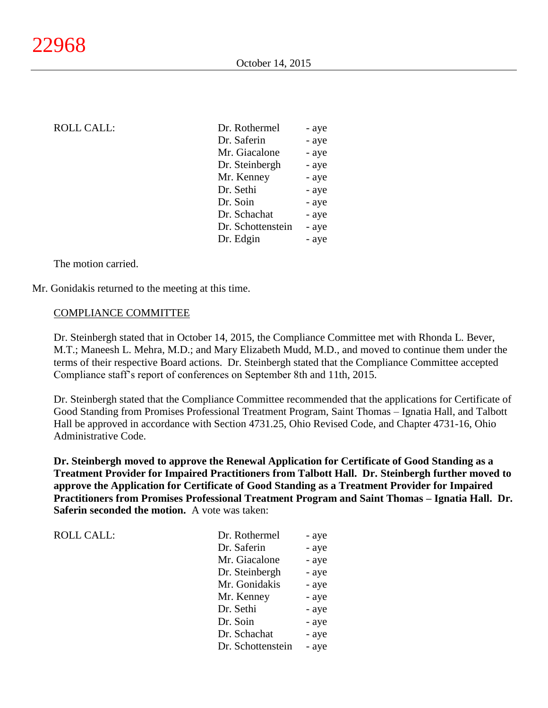# $ROLL CALL$ :

| Dr. Rothermel     | - aye |
|-------------------|-------|
| Dr. Saferin       | - aye |
| Mr. Giacalone     | - aye |
| Dr. Steinbergh    | - aye |
| Mr. Kenney        | - aye |
| Dr. Sethi         | - aye |
| Dr. Soin          | - aye |
| Dr. Schachat      | - aye |
| Dr. Schottenstein | - aye |
| Dr. Edgin         | - aye |
|                   |       |

The motion carried.

Mr. Gonidakis returned to the meeting at this time.

#### COMPLIANCE COMMITTEE

Dr. Steinbergh stated that in October 14, 2015, the Compliance Committee met with Rhonda L. Bever, M.T.; Maneesh L. Mehra, M.D.; and Mary Elizabeth Mudd, M.D., and moved to continue them under the terms of their respective Board actions. Dr. Steinbergh stated that the Compliance Committee accepted Compliance staff's report of conferences on September 8th and 11th, 2015.

Dr. Steinbergh stated that the Compliance Committee recommended that the applications for Certificate of Good Standing from Promises Professional Treatment Program, Saint Thomas – Ignatia Hall, and Talbott Hall be approved in accordance with Section 4731.25, Ohio Revised Code, and Chapter 4731-16, Ohio Administrative Code.

**Dr. Steinbergh moved to approve the Renewal Application for Certificate of Good Standing as a Treatment Provider for Impaired Practitioners from Talbott Hall. Dr. Steinbergh further moved to approve the Application for Certificate of Good Standing as a Treatment Provider for Impaired Practitioners from Promises Professional Treatment Program and Saint Thomas – Ignatia Hall. Dr. Saferin seconded the motion.** A vote was taken:

| <b>ROLL CALL:</b> | Dr. Rothermel     | - aye |
|-------------------|-------------------|-------|
|                   | Dr. Saferin       | - aye |
|                   | Mr. Giacalone     | - aye |
|                   | Dr. Steinbergh    | - aye |
|                   | Mr. Gonidakis     | - aye |
|                   | Mr. Kenney        | - aye |
|                   | Dr. Sethi         | - aye |
|                   | Dr. Soin          | - aye |
|                   | Dr. Schachat      | - aye |
|                   | Dr. Schottenstein | - aye |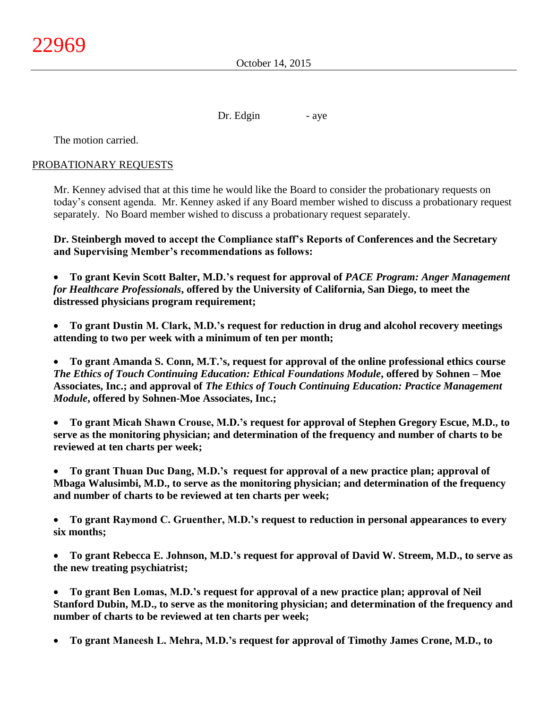October 14, 2015

Dr. Edgin - aye

The motion carried.

# PROBATIONARY REQUESTS

Mr. Kenney advised that at this time he would like the Board to consider the probationary requests on today's consent agenda. Mr. Kenney asked if any Board member wished to discuss a probationary request separately. No Board member wished to discuss a probationary request separately.

**Dr. Steinbergh moved to accept the Compliance staff's Reports of Conferences and the Secretary and Supervising Member's recommendations as follows:**

 **To grant Kevin Scott Balter, M.D.'s request for approval of** *PACE Program: Anger Management for Healthcare Professionals***, offered by the University of California, San Diego, to meet the distressed physicians program requirement;**

 **To grant Dustin M. Clark, M.D.'s request for reduction in drug and alcohol recovery meetings attending to two per week with a minimum of ten per month;**

 **To grant Amanda S. Conn, M.T.'s, request for approval of the online professional ethics course**  *The Ethics of Touch Continuing Education: Ethical Foundations Module***, offered by Sohnen – Moe Associates, Inc.; and approval of** *The Ethics of Touch Continuing Education: Practice Management Module***, offered by Sohnen-Moe Associates, Inc.;**

 **To grant Micah Shawn Crouse, M.D.'s request for approval of Stephen Gregory Escue, M.D., to serve as the monitoring physician; and determination of the frequency and number of charts to be reviewed at ten charts per week;**

 **To grant Thuan Duc Dang, M.D.'s request for approval of a new practice plan; approval of Mbaga Walusimbi, M.D., to serve as the monitoring physician; and determination of the frequency and number of charts to be reviewed at ten charts per week;**

 **To grant Raymond C. Gruenther, M.D.'s request to reduction in personal appearances to every six months;**

 **To grant Rebecca E. Johnson, M.D.'s request for approval of David W. Streem, M.D., to serve as the new treating psychiatrist;**

 **To grant Ben Lomas, M.D.'s request for approval of a new practice plan; approval of Neil Stanford Dubin, M.D., to serve as the monitoring physician; and determination of the frequency and number of charts to be reviewed at ten charts per week;**

**To grant Maneesh L. Mehra, M.D.'s request for approval of Timothy James Crone, M.D., to**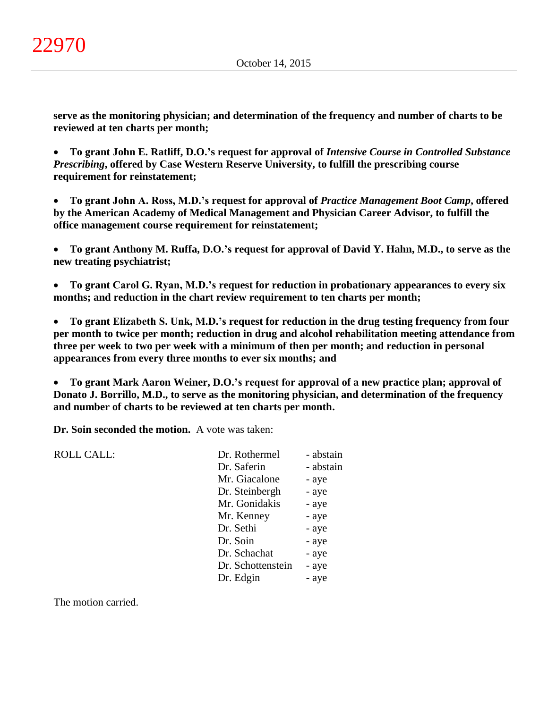**serve as the monitoring physician; and determination of the frequency and number of charts to be reviewed at ten charts per month;**

 **To grant John E. Ratliff, D.O.'s request for approval of** *Intensive Course in Controlled Substance Prescribing***, offered by Case Western Reserve University, to fulfill the prescribing course requirement for reinstatement;**

 **To grant John A. Ross, M.D.'s request for approval of** *Practice Management Boot Camp***, offered by the American Academy of Medical Management and Physician Career Advisor, to fulfill the office management course requirement for reinstatement;**

 **To grant Anthony M. Ruffa, D.O.'s request for approval of David Y. Hahn, M.D., to serve as the new treating psychiatrist;**

 **To grant Carol G. Ryan, M.D.'s request for reduction in probationary appearances to every six months; and reduction in the chart review requirement to ten charts per month;**

 **To grant Elizabeth S. Unk, M.D.'s request for reduction in the drug testing frequency from four per month to twice per month; reduction in drug and alcohol rehabilitation meeting attendance from three per week to two per week with a minimum of then per month; and reduction in personal appearances from every three months to ever six months; and**

 **To grant Mark Aaron Weiner, D.O.'s request for approval of a new practice plan; approval of Donato J. Borrillo, M.D., to serve as the monitoring physician, and determination of the frequency and number of charts to be reviewed at ten charts per month.**

**Dr. Soin seconded the motion.** A vote was taken:

| <b>ROLL CALL:</b> | Dr. Rothermel     | - abstain |
|-------------------|-------------------|-----------|
|                   | Dr. Saferin       | - abstain |
|                   | Mr. Giacalone     | - aye     |
|                   | Dr. Steinbergh    | - aye     |
|                   | Mr. Gonidakis     | - aye     |
|                   | Mr. Kenney        | - aye     |
|                   | Dr. Sethi         | - aye     |
|                   | Dr. Soin          | - aye     |
|                   | Dr. Schachat      | - aye     |
|                   | Dr. Schottenstein | - aye     |
|                   | Dr. Edgin         | - aye     |
|                   |                   |           |

The motion carried.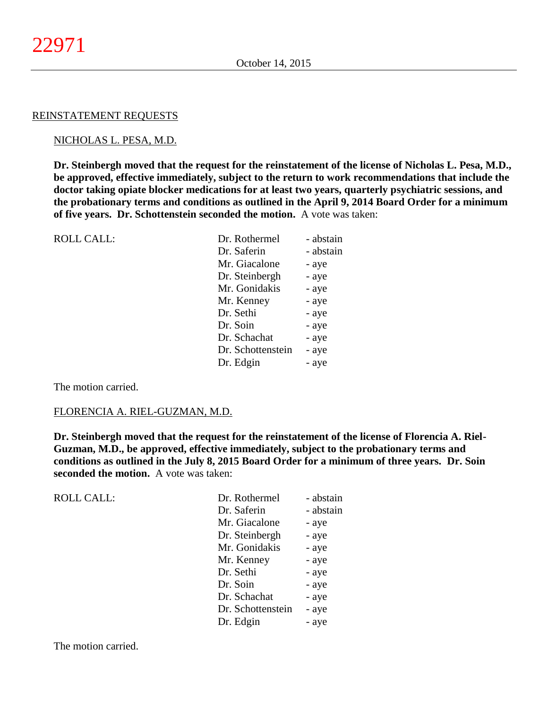#### REINSTATEMENT REQUESTS

#### NICHOLAS L. PESA, M.D.

**Dr. Steinbergh moved that the request for the reinstatement of the license of Nicholas L. Pesa, M.D., be approved, effective immediately, subject to the return to work recommendations that include the doctor taking opiate blocker medications for at least two years, quarterly psychiatric sessions, and the probationary terms and conditions as outlined in the April 9, 2014 Board Order for a minimum of five years. Dr. Schottenstein seconded the motion.** A vote was taken:

| <b>ROLL CALL:</b> | Dr. Rothermel     | - abstain |
|-------------------|-------------------|-----------|
|                   | Dr. Saferin       | - abstain |
|                   | Mr. Giacalone     | - aye     |
|                   | Dr. Steinbergh    | - aye     |
|                   | Mr. Gonidakis     | - aye     |
|                   | Mr. Kenney        | - aye     |
|                   | Dr. Sethi         | - aye     |
|                   | Dr. Soin          | - aye     |
|                   | Dr. Schachat      | - aye     |
|                   | Dr. Schottenstein | - aye     |
|                   | Dr. Edgin         | - aye     |
|                   |                   |           |

The motion carried.

#### FLORENCIA A. RIEL-GUZMAN, M.D.

**Dr. Steinbergh moved that the request for the reinstatement of the license of Florencia A. Riel-Guzman, M.D., be approved, effective immediately, subject to the probationary terms and conditions as outlined in the July 8, 2015 Board Order for a minimum of three years. Dr. Soin seconded the motion.** A vote was taken:

| <b>ROLL CALL:</b> | Dr. Rothermel     | - abstain |
|-------------------|-------------------|-----------|
|                   | Dr. Saferin       | - abstain |
|                   | Mr. Giacalone     | - aye     |
|                   | Dr. Steinbergh    | - aye     |
|                   | Mr. Gonidakis     | - aye     |
|                   | Mr. Kenney        | - aye     |
|                   | Dr. Sethi         | - aye     |
|                   | Dr. Soin          | - aye     |
|                   | Dr. Schachat      | - aye     |
|                   | Dr. Schottenstein | - aye     |
|                   | Dr. Edgin         | - aye     |
|                   |                   |           |

The motion carried.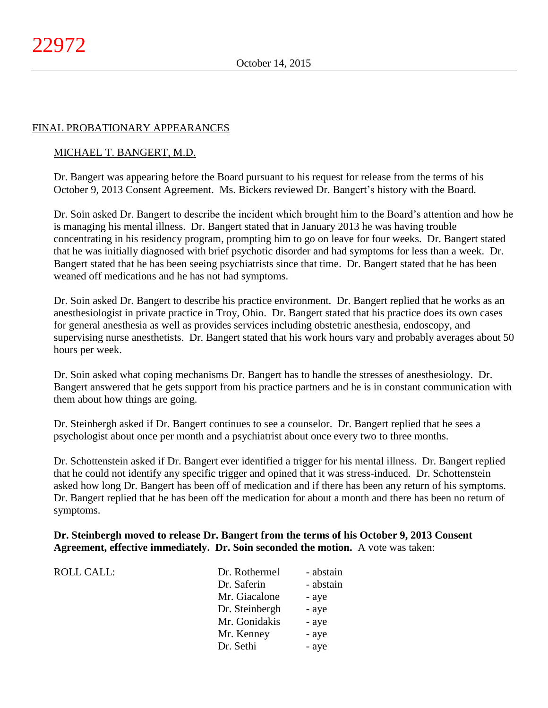# FINAL PROBATIONARY APPEARANCES

#### MICHAEL T. BANGERT, M.D.

Dr. Bangert was appearing before the Board pursuant to his request for release from the terms of his October 9, 2013 Consent Agreement. Ms. Bickers reviewed Dr. Bangert's history with the Board.

Dr. Soin asked Dr. Bangert to describe the incident which brought him to the Board's attention and how he is managing his mental illness. Dr. Bangert stated that in January 2013 he was having trouble concentrating in his residency program, prompting him to go on leave for four weeks. Dr. Bangert stated that he was initially diagnosed with brief psychotic disorder and had symptoms for less than a week. Dr. Bangert stated that he has been seeing psychiatrists since that time. Dr. Bangert stated that he has been weaned off medications and he has not had symptoms.

Dr. Soin asked Dr. Bangert to describe his practice environment. Dr. Bangert replied that he works as an anesthesiologist in private practice in Troy, Ohio. Dr. Bangert stated that his practice does its own cases for general anesthesia as well as provides services including obstetric anesthesia, endoscopy, and supervising nurse anesthetists. Dr. Bangert stated that his work hours vary and probably averages about 50 hours per week.

Dr. Soin asked what coping mechanisms Dr. Bangert has to handle the stresses of anesthesiology. Dr. Bangert answered that he gets support from his practice partners and he is in constant communication with them about how things are going.

Dr. Steinbergh asked if Dr. Bangert continues to see a counselor. Dr. Bangert replied that he sees a psychologist about once per month and a psychiatrist about once every two to three months.

Dr. Schottenstein asked if Dr. Bangert ever identified a trigger for his mental illness. Dr. Bangert replied that he could not identify any specific trigger and opined that it was stress-induced. Dr. Schottenstein asked how long Dr. Bangert has been off of medication and if there has been any return of his symptoms. Dr. Bangert replied that he has been off the medication for about a month and there has been no return of symptoms.

# **Dr. Steinbergh moved to release Dr. Bangert from the terms of his October 9, 2013 Consent Agreement, effective immediately. Dr. Soin seconded the motion.** A vote was taken:

| <b>ROLL CALL:</b> | Dr. Rothermel  | - abstain |
|-------------------|----------------|-----------|
|                   | Dr. Saferin    | - abstain |
|                   | Mr. Giacalone  | - aye     |
|                   | Dr. Steinbergh | - aye     |
|                   | Mr. Gonidakis  | - aye     |
|                   | Mr. Kenney     | - aye     |
|                   | Dr. Sethi      | - aye     |
|                   |                |           |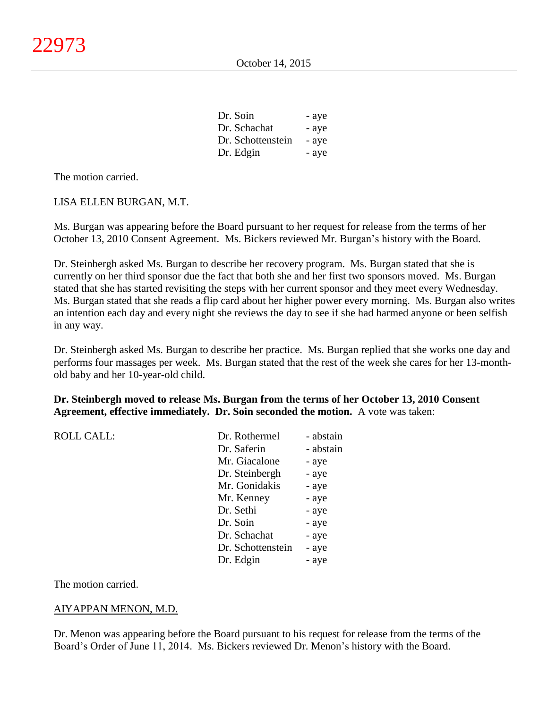| Dr. Soin          | - aye |
|-------------------|-------|
| Dr. Schachat      | - aye |
| Dr. Schottenstein | - aye |
| Dr. Edgin         | - aye |

The motion carried.

#### LISA ELLEN BURGAN, M.T.

Ms. Burgan was appearing before the Board pursuant to her request for release from the terms of her October 13, 2010 Consent Agreement. Ms. Bickers reviewed Mr. Burgan's history with the Board.

Dr. Steinbergh asked Ms. Burgan to describe her recovery program. Ms. Burgan stated that she is currently on her third sponsor due the fact that both she and her first two sponsors moved. Ms. Burgan stated that she has started revisiting the steps with her current sponsor and they meet every Wednesday. Ms. Burgan stated that she reads a flip card about her higher power every morning. Ms. Burgan also writes an intention each day and every night she reviews the day to see if she had harmed anyone or been selfish in any way.

Dr. Steinbergh asked Ms. Burgan to describe her practice. Ms. Burgan replied that she works one day and performs four massages per week. Ms. Burgan stated that the rest of the week she cares for her 13-monthold baby and her 10-year-old child.

#### **Dr. Steinbergh moved to release Ms. Burgan from the terms of her October 13, 2010 Consent Agreement, effective immediately. Dr. Soin seconded the motion.** A vote was taken:

| - abstain                                                   |
|-------------------------------------------------------------|
|                                                             |
|                                                             |
|                                                             |
|                                                             |
|                                                             |
|                                                             |
|                                                             |
|                                                             |
|                                                             |
|                                                             |
| - aye<br>- aye<br>- aye<br>- aye<br>- aye<br>- aye<br>- aye |

The motion carried.

# AIYAPPAN MENON, M.D.

Dr. Menon was appearing before the Board pursuant to his request for release from the terms of the Board's Order of June 11, 2014. Ms. Bickers reviewed Dr. Menon's history with the Board.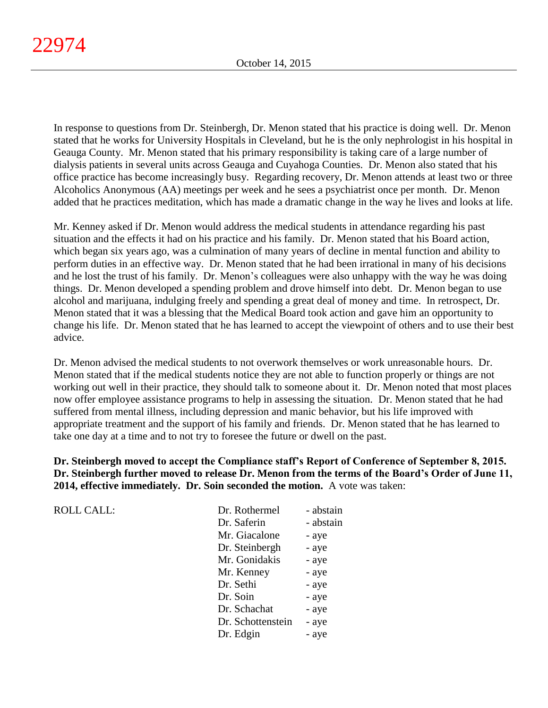In response to questions from Dr. Steinbergh, Dr. Menon stated that his practice is doing well. Dr. Menon stated that he works for University Hospitals in Cleveland, but he is the only nephrologist in his hospital in Geauga County. Mr. Menon stated that his primary responsibility is taking care of a large number of dialysis patients in several units across Geauga and Cuyahoga Counties. Dr. Menon also stated that his office practice has become increasingly busy. Regarding recovery, Dr. Menon attends at least two or three Alcoholics Anonymous (AA) meetings per week and he sees a psychiatrist once per month. Dr. Menon added that he practices meditation, which has made a dramatic change in the way he lives and looks at life.

Mr. Kenney asked if Dr. Menon would address the medical students in attendance regarding his past situation and the effects it had on his practice and his family. Dr. Menon stated that his Board action, which began six years ago, was a culmination of many years of decline in mental function and ability to perform duties in an effective way. Dr. Menon stated that he had been irrational in many of his decisions and he lost the trust of his family. Dr. Menon's colleagues were also unhappy with the way he was doing things. Dr. Menon developed a spending problem and drove himself into debt. Dr. Menon began to use alcohol and marijuana, indulging freely and spending a great deal of money and time. In retrospect, Dr. Menon stated that it was a blessing that the Medical Board took action and gave him an opportunity to change his life. Dr. Menon stated that he has learned to accept the viewpoint of others and to use their best advice.

Dr. Menon advised the medical students to not overwork themselves or work unreasonable hours. Dr. Menon stated that if the medical students notice they are not able to function properly or things are not working out well in their practice, they should talk to someone about it. Dr. Menon noted that most places now offer employee assistance programs to help in assessing the situation. Dr. Menon stated that he had suffered from mental illness, including depression and manic behavior, but his life improved with appropriate treatment and the support of his family and friends. Dr. Menon stated that he has learned to take one day at a time and to not try to foresee the future or dwell on the past.

**Dr. Steinbergh moved to accept the Compliance staff's Report of Conference of September 8, 2015. Dr. Steinbergh further moved to release Dr. Menon from the terms of the Board's Order of June 11, 2014, effective immediately. Dr. Soin seconded the motion.** A vote was taken:

| <b>ROLL CALL:</b> | Dr. Rothermel     | - abstain |
|-------------------|-------------------|-----------|
|                   | Dr. Saferin       | - abstain |
|                   | Mr. Giacalone     | - aye     |
|                   | Dr. Steinbergh    | - aye     |
|                   | Mr. Gonidakis     | - aye     |
|                   | Mr. Kenney        | - aye     |
|                   | Dr. Sethi         | - aye     |
|                   | Dr. Soin          | - aye     |
|                   | Dr. Schachat      | - aye     |
|                   | Dr. Schottenstein | - aye     |
|                   | Dr. Edgin         | - aye     |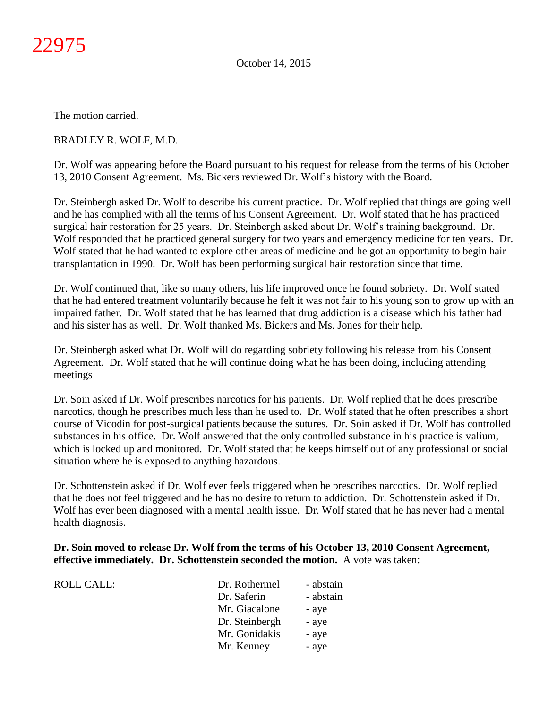The motion carried.

# BRADLEY R. WOLF, M.D.

Dr. Wolf was appearing before the Board pursuant to his request for release from the terms of his October 13, 2010 Consent Agreement. Ms. Bickers reviewed Dr. Wolf's history with the Board.

Dr. Steinbergh asked Dr. Wolf to describe his current practice. Dr. Wolf replied that things are going well and he has complied with all the terms of his Consent Agreement. Dr. Wolf stated that he has practiced surgical hair restoration for 25 years. Dr. Steinbergh asked about Dr. Wolf's training background. Dr. Wolf responded that he practiced general surgery for two years and emergency medicine for ten years. Dr. Wolf stated that he had wanted to explore other areas of medicine and he got an opportunity to begin hair transplantation in 1990. Dr. Wolf has been performing surgical hair restoration since that time.

Dr. Wolf continued that, like so many others, his life improved once he found sobriety. Dr. Wolf stated that he had entered treatment voluntarily because he felt it was not fair to his young son to grow up with an impaired father. Dr. Wolf stated that he has learned that drug addiction is a disease which his father had and his sister has as well. Dr. Wolf thanked Ms. Bickers and Ms. Jones for their help.

Dr. Steinbergh asked what Dr. Wolf will do regarding sobriety following his release from his Consent Agreement. Dr. Wolf stated that he will continue doing what he has been doing, including attending meetings

Dr. Soin asked if Dr. Wolf prescribes narcotics for his patients. Dr. Wolf replied that he does prescribe narcotics, though he prescribes much less than he used to. Dr. Wolf stated that he often prescribes a short course of Vicodin for post-surgical patients because the sutures. Dr. Soin asked if Dr. Wolf has controlled substances in his office. Dr. Wolf answered that the only controlled substance in his practice is valium, which is locked up and monitored. Dr. Wolf stated that he keeps himself out of any professional or social situation where he is exposed to anything hazardous.

Dr. Schottenstein asked if Dr. Wolf ever feels triggered when he prescribes narcotics. Dr. Wolf replied that he does not feel triggered and he has no desire to return to addiction. Dr. Schottenstein asked if Dr. Wolf has ever been diagnosed with a mental health issue. Dr. Wolf stated that he has never had a mental health diagnosis.

# **Dr. Soin moved to release Dr. Wolf from the terms of his October 13, 2010 Consent Agreement, effective immediately. Dr. Schottenstein seconded the motion.** A vote was taken:

| ROLL CALL: | Dr. Rothermel  | - abstain |
|------------|----------------|-----------|
|            | Dr. Saferin    | - abstain |
|            | Mr. Giacalone  | - aye     |
|            | Dr. Steinbergh | - aye     |
|            | Mr. Gonidakis  | - aye     |
|            | Mr. Kenney     | - aye     |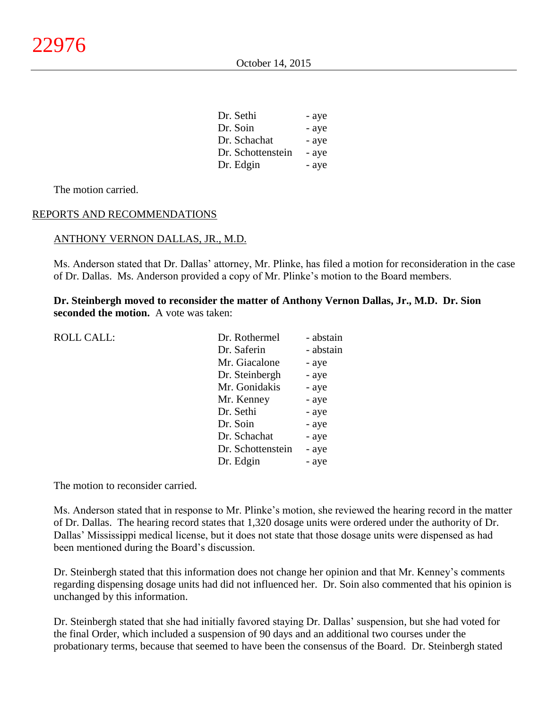| Dr. Sethi         | - aye |
|-------------------|-------|
| Dr. Soin          | - aye |
| Dr. Schachat      | - aye |
| Dr. Schottenstein | - aye |
| Dr. Edgin         | - aye |

The motion carried.

# REPORTS AND RECOMMENDATIONS

#### ANTHONY VERNON DALLAS, JR., M.D.

Ms. Anderson stated that Dr. Dallas' attorney, Mr. Plinke, has filed a motion for reconsideration in the case of Dr. Dallas. Ms. Anderson provided a copy of Mr. Plinke's motion to the Board members.

**Dr. Steinbergh moved to reconsider the matter of Anthony Vernon Dallas, Jr., M.D. Dr. Sion seconded the motion.** A vote was taken:

| <b>ROLL CALL:</b> | Dr. Rothermel     | - abstain |
|-------------------|-------------------|-----------|
|                   | Dr. Saferin       | - abstain |
|                   | Mr. Giacalone     | - aye     |
|                   | Dr. Steinbergh    | - aye     |
|                   | Mr. Gonidakis     | - aye     |
|                   | Mr. Kenney        | - aye     |
|                   | Dr. Sethi         | - aye     |
|                   | Dr. Soin          | - aye     |
|                   | Dr. Schachat      | - aye     |
|                   | Dr. Schottenstein | - aye     |
|                   | Dr. Edgin         | - aye     |
|                   |                   |           |

The motion to reconsider carried.

Ms. Anderson stated that in response to Mr. Plinke's motion, she reviewed the hearing record in the matter of Dr. Dallas. The hearing record states that 1,320 dosage units were ordered under the authority of Dr. Dallas' Mississippi medical license, but it does not state that those dosage units were dispensed as had been mentioned during the Board's discussion.

Dr. Steinbergh stated that this information does not change her opinion and that Mr. Kenney's comments regarding dispensing dosage units had did not influenced her. Dr. Soin also commented that his opinion is unchanged by this information.

Dr. Steinbergh stated that she had initially favored staying Dr. Dallas' suspension, but she had voted for the final Order, which included a suspension of 90 days and an additional two courses under the probationary terms, because that seemed to have been the consensus of the Board. Dr. Steinbergh stated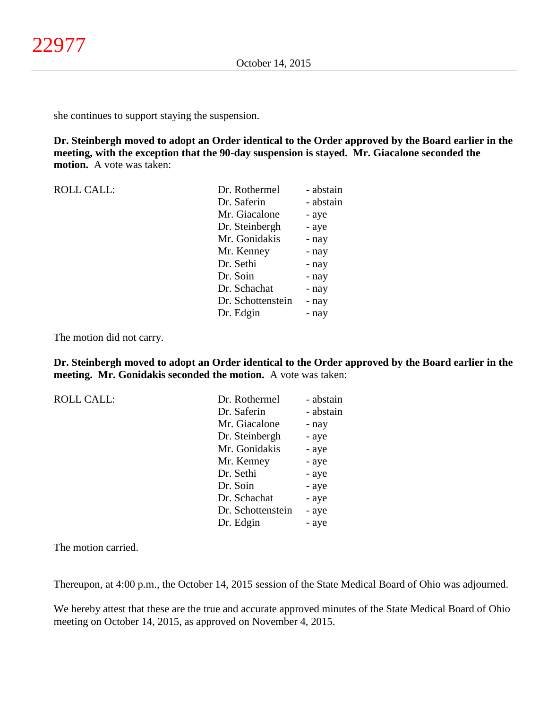she continues to support staying the suspension.

**Dr. Steinbergh moved to adopt an Order identical to the Order approved by the Board earlier in the meeting, with the exception that the 90-day suspension is stayed. Mr. Giacalone seconded the motion.** A vote was taken:

| <b>ROLL CALL:</b> | Dr. Rothermel     | - abstain |
|-------------------|-------------------|-----------|
|                   | Dr. Saferin       | - abstain |
|                   | Mr. Giacalone     | - aye     |
|                   | Dr. Steinbergh    | - aye     |
|                   | Mr. Gonidakis     | - nay     |
|                   | Mr. Kenney        | - nay     |
|                   | Dr. Sethi         | - nay     |
|                   | Dr. Soin          | - nay     |
|                   | Dr. Schachat      | - nay     |
|                   | Dr. Schottenstein | - nay     |
|                   | Dr. Edgin         | - nay     |

The motion did not carry.

**Dr. Steinbergh moved to adopt an Order identical to the Order approved by the Board earlier in the meeting. Mr. Gonidakis seconded the motion.** A vote was taken:

| Dr. Rothermel     | - abstain |
|-------------------|-----------|
| Dr. Saferin       | - abstain |
| Mr. Giacalone     | - nay     |
| Dr. Steinbergh    | - aye     |
| Mr. Gonidakis     | - aye     |
| Mr. Kenney        | - aye     |
| Dr. Sethi         | - aye     |
| Dr. Soin          | - aye     |
| Dr. Schachat      | - aye     |
| Dr. Schottenstein | - aye     |
| Dr. Edgin         | - ave     |
|                   |           |

The motion carried.

Thereupon, at 4:00 p.m., the October 14, 2015 session of the State Medical Board of Ohio was adjourned.

We hereby attest that these are the true and accurate approved minutes of the State Medical Board of Ohio meeting on October 14, 2015, as approved on November 4, 2015.